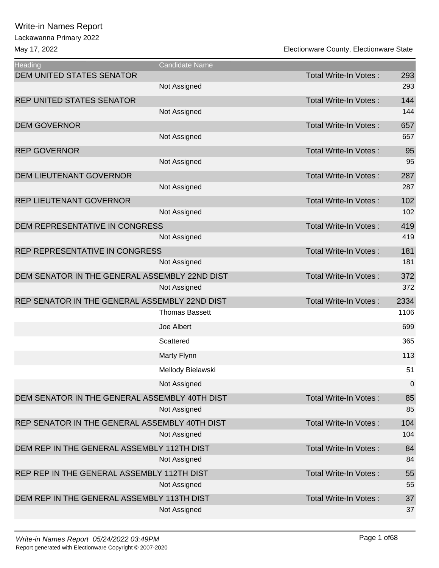Lackawanna Primary 2022

| Heading                                       | <b>Candidate Name</b> |                              |           |
|-----------------------------------------------|-----------------------|------------------------------|-----------|
| <b>DEM UNITED STATES SENATOR</b>              |                       | <b>Total Write-In Votes:</b> | 293       |
|                                               | Not Assigned          |                              | 293       |
| <b>REP UNITED STATES SENATOR</b>              |                       | <b>Total Write-In Votes:</b> | 144       |
|                                               | Not Assigned          |                              | 144       |
| <b>DEM GOVERNOR</b>                           |                       | <b>Total Write-In Votes:</b> | 657       |
|                                               | Not Assigned          |                              | 657       |
| <b>REP GOVERNOR</b>                           |                       | Total Write-In Votes:        | 95        |
|                                               | Not Assigned          |                              | 95        |
| <b>DEM LIEUTENANT GOVERNOR</b>                |                       | <b>Total Write-In Votes:</b> | 287       |
|                                               | Not Assigned          |                              | 287       |
| REP LIEUTENANT GOVERNOR                       |                       | <b>Total Write-In Votes:</b> | 102       |
|                                               | Not Assigned          |                              | 102       |
| DEM REPRESENTATIVE IN CONGRESS                |                       | <b>Total Write-In Votes:</b> | 419       |
|                                               | Not Assigned          |                              | 419       |
| REP REPRESENTATIVE IN CONGRESS                |                       | Total Write-In Votes:        | 181       |
|                                               | Not Assigned          |                              | 181       |
| DEM SENATOR IN THE GENERAL ASSEMBLY 22ND DIST |                       | <b>Total Write-In Votes:</b> | 372       |
|                                               | Not Assigned          |                              | 372       |
| REP SENATOR IN THE GENERAL ASSEMBLY 22ND DIST |                       | <b>Total Write-In Votes:</b> | 2334      |
|                                               | <b>Thomas Bassett</b> |                              | 1106      |
|                                               | Joe Albert            |                              | 699       |
|                                               | Scattered             |                              | 365       |
|                                               | Marty Flynn           |                              | 113       |
|                                               | Mellody Bielawski     |                              | 51        |
|                                               | Not Assigned          |                              | $\pmb{0}$ |
| DEM SENATOR IN THE GENERAL ASSEMBLY 40TH DIST |                       | Total Write-In Votes:        | 85        |
|                                               | Not Assigned          |                              | 85        |
| REP SENATOR IN THE GENERAL ASSEMBLY 40TH DIST |                       | <b>Total Write-In Votes:</b> | 104       |
|                                               | Not Assigned          |                              | 104       |
| DEM REP IN THE GENERAL ASSEMBLY 112TH DIST    |                       | <b>Total Write-In Votes:</b> | 84        |
|                                               | Not Assigned          |                              | 84        |
| REP REP IN THE GENERAL ASSEMBLY 112TH DIST    |                       | <b>Total Write-In Votes:</b> | 55        |
|                                               | Not Assigned          |                              | 55        |
| DEM REP IN THE GENERAL ASSEMBLY 113TH DIST    |                       | <b>Total Write-In Votes:</b> | 37        |
|                                               | Not Assigned          |                              | 37        |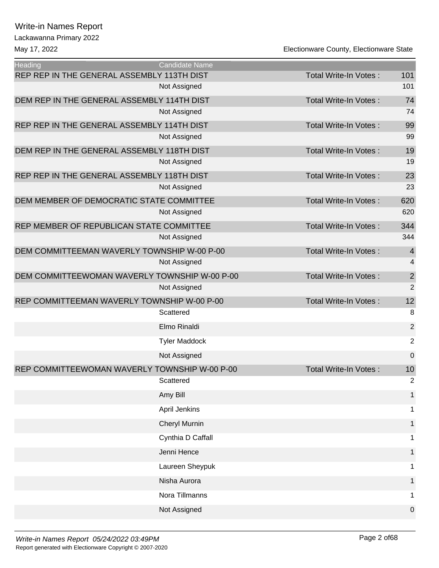# Lackawanna Primary 2022 Write-in Names Report

| <b>Heading</b>                                | Candidate Name       |                              |                |
|-----------------------------------------------|----------------------|------------------------------|----------------|
| REP REP IN THE GENERAL ASSEMBLY 113TH DIST    |                      | Total Write-In Votes:        | 101            |
|                                               | Not Assigned         |                              | 101            |
| DEM REP IN THE GENERAL ASSEMBLY 114TH DIST    |                      | <b>Total Write-In Votes:</b> | 74             |
|                                               | Not Assigned         |                              | 74             |
| REP REP IN THE GENERAL ASSEMBLY 114TH DIST    |                      | Total Write-In Votes:        | 99             |
|                                               | Not Assigned         |                              | 99             |
| DEM REP IN THE GENERAL ASSEMBLY 118TH DIST    |                      | Total Write-In Votes:        | 19             |
|                                               | Not Assigned         |                              | 19             |
| REP REP IN THE GENERAL ASSEMBLY 118TH DIST    |                      | Total Write-In Votes:        | 23             |
|                                               | Not Assigned         |                              | 23             |
| DEM MEMBER OF DEMOCRATIC STATE COMMITTEE      |                      | <b>Total Write-In Votes:</b> | 620            |
|                                               | Not Assigned         |                              | 620            |
| REP MEMBER OF REPUBLICAN STATE COMMITTEE      |                      | Total Write-In Votes:        | 344            |
|                                               | Not Assigned         |                              | 344            |
| DEM COMMITTEEMAN WAVERLY TOWNSHIP W-00 P-00   |                      | <b>Total Write-In Votes:</b> | $\overline{4}$ |
|                                               | Not Assigned         |                              | 4              |
| DEM COMMITTEEWOMAN WAVERLY TOWNSHIP W-00 P-00 |                      | Total Write-In Votes:        | $\overline{c}$ |
|                                               | Not Assigned         |                              | $\overline{2}$ |
| REP COMMITTEEMAN WAVERLY TOWNSHIP W-00 P-00   |                      | Total Write-In Votes:        | 12             |
|                                               | Scattered            |                              | 8              |
|                                               | Elmo Rinaldi         |                              | $\overline{2}$ |
|                                               | <b>Tyler Maddock</b> |                              | $\overline{c}$ |
|                                               | Not Assigned         |                              | $\mathbf 0$    |
| REP COMMITTEEWOMAN WAVERLY TOWNSHIP W-00 P-00 |                      | Total Write-In Votes:        | 10             |
|                                               | Scattered            |                              | 2              |
|                                               | Amy Bill             |                              |                |
|                                               | April Jenkins        |                              | 1              |
|                                               | <b>Cheryl Murnin</b> |                              | 1              |
|                                               | Cynthia D Caffall    |                              | 1              |
|                                               | Jenni Hence          |                              | 1              |
|                                               | Laureen Sheypuk      |                              |                |
|                                               | Nisha Aurora         |                              |                |
|                                               | Nora Tillmanns       |                              | 1              |
|                                               | Not Assigned         |                              | 0              |
|                                               |                      |                              |                |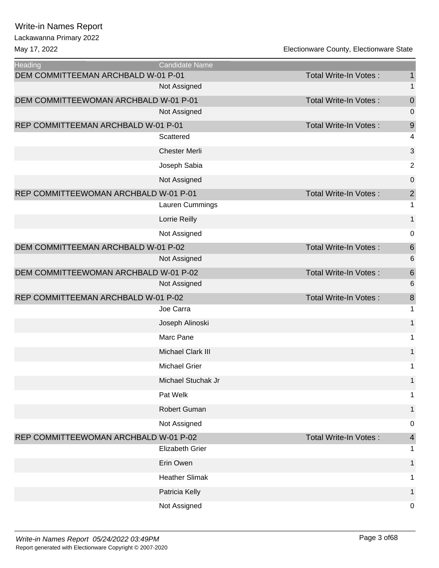Lackawanna Primary 2022

| <b>Heading</b>                        | <b>Candidate Name</b> |                              |                         |
|---------------------------------------|-----------------------|------------------------------|-------------------------|
| DEM COMMITTEEMAN ARCHBALD W-01 P-01   |                       | Total Write-In Votes:        | $\mathbf{1}$            |
|                                       | Not Assigned          |                              | $\mathbf 1$             |
| DEM COMMITTEEWOMAN ARCHBALD W-01 P-01 |                       | Total Write-In Votes:        | $\mathbf 0$             |
|                                       | Not Assigned          |                              | $\mathbf 0$             |
| REP COMMITTEEMAN ARCHBALD W-01 P-01   |                       | Total Write-In Votes:        | $\boldsymbol{9}$        |
|                                       | Scattered             |                              | 4                       |
|                                       | <b>Chester Merli</b>  |                              | $\sqrt{3}$              |
|                                       | Joseph Sabia          |                              | $\sqrt{2}$              |
|                                       | Not Assigned          |                              | $\boldsymbol{0}$        |
| REP COMMITTEEWOMAN ARCHBALD W-01 P-01 |                       | Total Write-In Votes:        | $\overline{\mathbf{c}}$ |
|                                       | Lauren Cummings       |                              | $\mathbf 1$             |
|                                       | Lorrie Reilly         |                              | $\mathbf 1$             |
|                                       | Not Assigned          |                              | $\mathbf 0$             |
| DEM COMMITTEEMAN ARCHBALD W-01 P-02   |                       | Total Write-In Votes:        | $\,6$                   |
|                                       | Not Assigned          |                              | 6                       |
| DEM COMMITTEEWOMAN ARCHBALD W-01 P-02 |                       | Total Write-In Votes:        | $\,$ 6 $\,$             |
|                                       | Not Assigned          |                              | $\,6$                   |
| REP COMMITTEEMAN ARCHBALD W-01 P-02   |                       | Total Write-In Votes:        | $\bf 8$                 |
|                                       | Joe Carra             |                              | $\mathbf 1$             |
|                                       | Joseph Alinoski       |                              | $\mathbf 1$             |
|                                       | Marc Pane             |                              | 1                       |
|                                       | Michael Clark III     |                              | $\mathbf{1}$            |
|                                       | <b>Michael Grier</b>  |                              | 1                       |
|                                       | Michael Stuchak Jr    |                              | 1                       |
|                                       | Pat Welk              |                              | 1                       |
|                                       | Robert Guman          |                              | 1                       |
|                                       | Not Assigned          |                              | 0                       |
| REP COMMITTEEWOMAN ARCHBALD W-01 P-02 |                       | <b>Total Write-In Votes:</b> | $\overline{\mathbf{r}}$ |
|                                       | Elizabeth Grier       |                              | 1                       |
|                                       | Erin Owen             |                              | 1                       |
|                                       | <b>Heather Slimak</b> |                              | 1                       |
|                                       | Patricia Kelly        |                              | 1                       |
|                                       | Not Assigned          |                              | $\mathbf 0$             |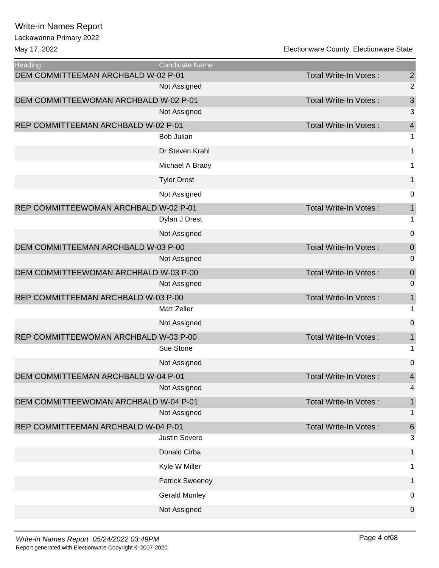Lackawanna Primary 2022

| <b>Heading</b>                        | Candidate Name         |                              |                          |
|---------------------------------------|------------------------|------------------------------|--------------------------|
| DEM COMMITTEEMAN ARCHBALD W-02 P-01   |                        | <b>Total Write-In Votes:</b> | $\overline{2}$           |
|                                       | Not Assigned           |                              | $\overline{2}$           |
| DEM COMMITTEEWOMAN ARCHBALD W-02 P-01 |                        | Total Write-In Votes:        | 3                        |
|                                       | Not Assigned           |                              | 3                        |
| REP COMMITTEEMAN ARCHBALD W-02 P-01   |                        | Total Write-In Votes:        | $\overline{\mathcal{L}}$ |
|                                       | <b>Bob Julian</b>      |                              | $\mathbf 1$              |
|                                       | Dr Steven Krahl        |                              | 1                        |
|                                       | Michael A Brady        |                              | 1                        |
|                                       | <b>Tyler Drost</b>     |                              | $\mathbf 1$              |
|                                       | Not Assigned           |                              | $\mathbf 0$              |
| REP COMMITTEEWOMAN ARCHBALD W-02 P-01 |                        | Total Write-In Votes:        | $\mathbf{1}$             |
|                                       | Dylan J Drest          |                              | 1                        |
|                                       | Not Assigned           |                              | $\mathbf 0$              |
| DEM COMMITTEEMAN ARCHBALD W-03 P-00   |                        | Total Write-In Votes:        | $\mathbf 0$              |
|                                       | Not Assigned           |                              | $\mathbf 0$              |
| DEM COMMITTEEWOMAN ARCHBALD W-03 P-00 |                        | Total Write-In Votes:        | $\mathbf 0$              |
|                                       | Not Assigned           |                              | 0                        |
| REP COMMITTEEMAN ARCHBALD W-03 P-00   |                        | Total Write-In Votes:        | $\mathbf 1$              |
|                                       | <b>Matt Zeller</b>     |                              | 1                        |
|                                       | Not Assigned           |                              | $\mathbf 0$              |
| REP COMMITTEEWOMAN ARCHBALD W-03 P-00 |                        | Total Write-In Votes:        | $\mathbf 1$              |
|                                       | Sue Stone              |                              | 1                        |
|                                       | Not Assigned           |                              | $\mathbf 0$              |
| DEM COMMITTEEMAN ARCHBALD W-04 P-01   |                        | Total Write-In Votes:        | $\overline{\mathbf{4}}$  |
|                                       | Not Assigned           |                              | 4                        |
| DEM COMMITTEEWOMAN ARCHBALD W-04 P-01 |                        | <b>Total Write-In Votes:</b> | $\mathbf{1}$             |
|                                       | Not Assigned           |                              | $\mathbf 1$              |
| REP COMMITTEEMAN ARCHBALD W-04 P-01   |                        | <b>Total Write-In Votes:</b> | $\boldsymbol{6}$         |
|                                       | <b>Justin Severe</b>   |                              | 3                        |
|                                       | Donald Cirba           |                              | 1                        |
|                                       | Kyle W Miller          |                              | 1                        |
|                                       | <b>Patrick Sweeney</b> |                              | 1                        |
|                                       | <b>Gerald Munley</b>   |                              | $\mathbf 0$              |
|                                       | Not Assigned           |                              | $\pmb{0}$                |
|                                       |                        |                              |                          |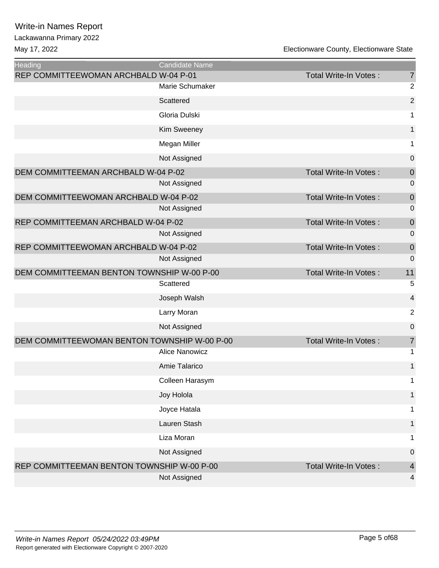| <b>Heading</b>                               | Candidate Name        |                              |                |
|----------------------------------------------|-----------------------|------------------------------|----------------|
| REP COMMITTEEWOMAN ARCHBALD W-04 P-01        |                       | Total Write-In Votes:        | $\overline{7}$ |
|                                              | Marie Schumaker       |                              | $\overline{c}$ |
|                                              | Scattered             |                              | $\mathbf 2$    |
|                                              | Gloria Dulski         |                              | 1              |
|                                              | Kim Sweeney           |                              | $\mathbf{1}$   |
|                                              | Megan Miller          |                              | 1              |
|                                              | Not Assigned          |                              | $\mathbf 0$    |
| DEM COMMITTEEMAN ARCHBALD W-04 P-02          |                       | <b>Total Write-In Votes:</b> | $\mathbf 0$    |
|                                              | Not Assigned          |                              | 0              |
| DEM COMMITTEEWOMAN ARCHBALD W-04 P-02        |                       | Total Write-In Votes:        | $\mathbf 0$    |
|                                              | Not Assigned          |                              | 0              |
| REP COMMITTEEMAN ARCHBALD W-04 P-02          |                       | Total Write-In Votes:        | $\mathbf 0$    |
|                                              | Not Assigned          |                              | 0              |
| REP COMMITTEEWOMAN ARCHBALD W-04 P-02        |                       | <b>Total Write-In Votes:</b> | $\mathbf 0$    |
|                                              | Not Assigned          |                              | 0              |
| DEM COMMITTEEMAN BENTON TOWNSHIP W-00 P-00   |                       | Total Write-In Votes:        | 11             |
|                                              | Scattered             |                              | 5              |
|                                              | Joseph Walsh          |                              | 4              |
|                                              | Larry Moran           |                              | $\overline{2}$ |
|                                              | Not Assigned          |                              | $\pmb{0}$      |
| DEM COMMITTEEWOMAN BENTON TOWNSHIP W-00 P-00 |                       | Total Write-In Votes:        | $\overline{7}$ |
|                                              | <b>Alice Nanowicz</b> |                              | 1              |
|                                              | Amie Talarico         |                              | $\mathbf{1}$   |
|                                              | Colleen Harasym       |                              | 1              |
|                                              | Joy Holola            |                              | $\mathbf{1}$   |
|                                              | Joyce Hatala          |                              | 1              |
|                                              | Lauren Stash          |                              | 1              |
|                                              | Liza Moran            |                              | 1              |
|                                              | Not Assigned          |                              | $\pmb{0}$      |
| REP COMMITTEEMAN BENTON TOWNSHIP W-00 P-00   |                       | <b>Total Write-In Votes:</b> | $\overline{4}$ |
|                                              | Not Assigned          |                              | 4              |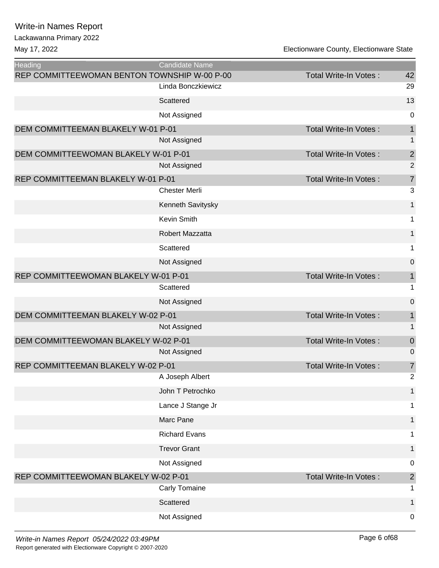| Heading                                      | <b>Candidate Name</b> |                              |                |
|----------------------------------------------|-----------------------|------------------------------|----------------|
| REP COMMITTEEWOMAN BENTON TOWNSHIP W-00 P-00 |                       | <b>Total Write-In Votes:</b> | 42             |
|                                              | Linda Bonczkiewicz    |                              | 29             |
|                                              | Scattered             |                              | 13             |
|                                              | Not Assigned          |                              | 0              |
| DEM COMMITTEEMAN BLAKELY W-01 P-01           |                       | <b>Total Write-In Votes:</b> | $\mathbf 1$    |
|                                              | Not Assigned          |                              | 1              |
| DEM COMMITTEEWOMAN BLAKELY W-01 P-01         |                       | <b>Total Write-In Votes:</b> | $\overline{2}$ |
|                                              | Not Assigned          |                              | $\overline{2}$ |
| REP COMMITTEEMAN BLAKELY W-01 P-01           |                       | <b>Total Write-In Votes:</b> | $\overline{7}$ |
|                                              | <b>Chester Merli</b>  |                              | 3              |
|                                              | Kenneth Savitysky     |                              | $\mathbf{1}$   |
|                                              | Kevin Smith           |                              | 1              |
|                                              | Robert Mazzatta       |                              | 1              |
|                                              | Scattered             |                              | 1              |
|                                              | Not Assigned          |                              | $\mathbf 0$    |
| REP COMMITTEEWOMAN BLAKELY W-01 P-01         |                       | <b>Total Write-In Votes:</b> | 1              |
|                                              | Scattered             |                              | 1              |
|                                              | Not Assigned          |                              | $\mathbf 0$    |
| DEM COMMITTEEMAN BLAKELY W-02 P-01           |                       | Total Write-In Votes:        | $\mathbf{1}$   |
|                                              | Not Assigned          |                              | 1              |
| DEM COMMITTEEWOMAN BLAKELY W-02 P-01         |                       | <b>Total Write-In Votes:</b> | $\mathbf 0$    |
|                                              | Not Assigned          |                              | 0              |
| REP COMMITTEEMAN BLAKELY W-02 P-01           |                       | Total Write-In Votes:        | $\overline{7}$ |
|                                              | A Joseph Albert       |                              | $\overline{c}$ |
|                                              | John T Petrochko      |                              | $\mathbf{1}$   |
|                                              | Lance J Stange Jr     |                              | 1              |
|                                              | Marc Pane             |                              | $\mathbf{1}$   |
|                                              | <b>Richard Evans</b>  |                              | 1              |
|                                              | <b>Trevor Grant</b>   |                              | 1              |
|                                              | Not Assigned          |                              | 0              |
| REP COMMITTEEWOMAN BLAKELY W-02 P-01         |                       | <b>Total Write-In Votes:</b> | $\overline{2}$ |
|                                              | Carly Tomaine         |                              | 1              |
|                                              | Scattered             |                              | 1              |
|                                              | Not Assigned          |                              | $\mathbf 0$    |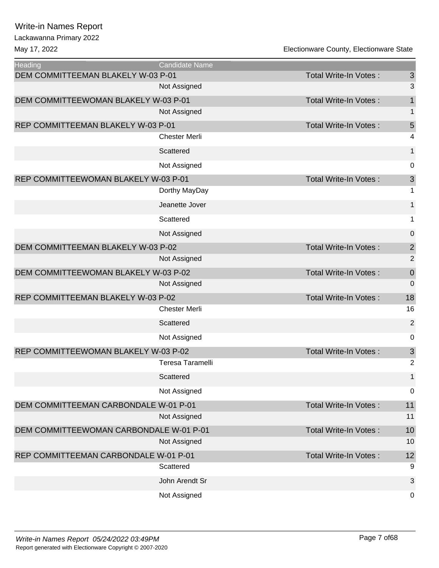# Lackawanna Primary 2022

| <b>Heading</b>                          | Candidate Name       |                              |                |
|-----------------------------------------|----------------------|------------------------------|----------------|
| DEM COMMITTEEMAN BLAKELY W-03 P-01      |                      | <b>Total Write-In Votes:</b> | $\mathfrak{S}$ |
|                                         | Not Assigned         |                              | 3              |
| DEM COMMITTEEWOMAN BLAKELY W-03 P-01    |                      | Total Write-In Votes:        | 1              |
|                                         | Not Assigned         |                              | 1              |
| REP COMMITTEEMAN BLAKELY W-03 P-01      |                      | <b>Total Write-In Votes:</b> | 5              |
|                                         | <b>Chester Merli</b> |                              | 4              |
|                                         | Scattered            |                              | 1              |
|                                         | Not Assigned         |                              | 0              |
| REP COMMITTEEWOMAN BLAKELY W-03 P-01    |                      | <b>Total Write-In Votes:</b> | $\mathfrak{S}$ |
|                                         | Dorthy MayDay        |                              | 1              |
|                                         | Jeanette Jover       |                              | $\mathbf{1}$   |
|                                         | Scattered            |                              | 1              |
|                                         | Not Assigned         |                              | 0              |
| DEM COMMITTEEMAN BLAKELY W-03 P-02      |                      | <b>Total Write-In Votes:</b> | $\mathbf{2}$   |
|                                         | Not Assigned         |                              | $\overline{2}$ |
| DEM COMMITTEEWOMAN BLAKELY W-03 P-02    |                      | Total Write-In Votes:        | $\mathbf 0$    |
|                                         | Not Assigned         |                              | $\mathbf 0$    |
| REP COMMITTEEMAN BLAKELY W-03 P-02      |                      | <b>Total Write-In Votes:</b> | 18             |
|                                         | <b>Chester Merli</b> |                              | 16             |
|                                         | Scattered            |                              | $\overline{2}$ |
|                                         | Not Assigned         |                              | $\mathbf 0$    |
| REP COMMITTEEWOMAN BLAKELY W-03 P-02    |                      | Total Write-In Votes:        | $\mathsf 3$    |
|                                         | Teresa Taramelli     |                              | $\overline{2}$ |
|                                         | Scattered            |                              | $\mathbf{1}$   |
|                                         | Not Assigned         |                              | $\pmb{0}$      |
| DEM COMMITTEEMAN CARBONDALE W-01 P-01   |                      | <b>Total Write-In Votes:</b> | 11             |
|                                         | Not Assigned         |                              | 11             |
| DEM COMMITTEEWOMAN CARBONDALE W-01 P-01 |                      | Total Write-In Votes:        | 10             |
|                                         | Not Assigned         |                              | 10             |
| REP COMMITTEEMAN CARBONDALE W-01 P-01   |                      | <b>Total Write-In Votes:</b> | 12             |
|                                         | Scattered            |                              | 9              |
|                                         | John Arendt Sr       |                              | $\sqrt{3}$     |
|                                         | Not Assigned         |                              | $\mathbf 0$    |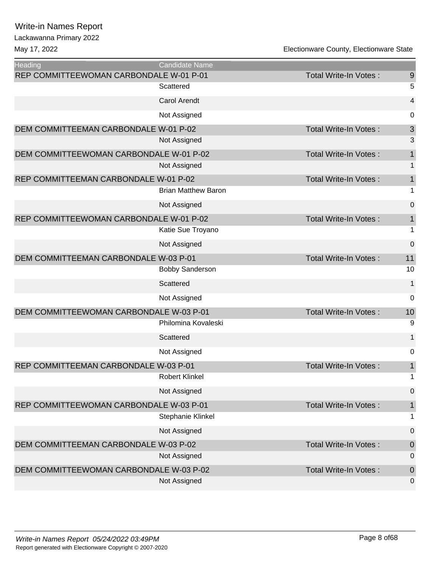| Heading                                 | <b>Candidate Name</b>      |                              |                  |
|-----------------------------------------|----------------------------|------------------------------|------------------|
| REP COMMITTEEWOMAN CARBONDALE W-01 P-01 |                            | <b>Total Write-In Votes:</b> | $\overline{9}$   |
|                                         | Scattered                  |                              | 5                |
|                                         | <b>Carol Arendt</b>        |                              | 4                |
|                                         | Not Assigned               |                              | 0                |
| DEM COMMITTEEMAN CARBONDALE W-01 P-02   |                            | <b>Total Write-In Votes:</b> | $\mathsf 3$      |
|                                         | Not Assigned               |                              | 3                |
| DEM COMMITTEEWOMAN CARBONDALE W-01 P-02 |                            | <b>Total Write-In Votes:</b> | 1                |
|                                         | Not Assigned               |                              | 1                |
| REP COMMITTEEMAN CARBONDALE W-01 P-02   |                            | <b>Total Write-In Votes:</b> | $\mathbf{1}$     |
|                                         | <b>Brian Matthew Baron</b> |                              | 1                |
|                                         | Not Assigned               |                              | 0                |
| REP COMMITTEEWOMAN CARBONDALE W-01 P-02 |                            | <b>Total Write-In Votes:</b> | $\mathbf{1}$     |
|                                         | Katie Sue Troyano          |                              | $\mathbf 1$      |
|                                         | Not Assigned               |                              | $\boldsymbol{0}$ |
| DEM COMMITTEEMAN CARBONDALE W-03 P-01   |                            | <b>Total Write-In Votes:</b> | 11               |
|                                         | <b>Bobby Sanderson</b>     |                              | 10               |
|                                         | Scattered                  |                              | 1                |
|                                         | Not Assigned               |                              | 0                |
| DEM COMMITTEEWOMAN CARBONDALE W-03 P-01 |                            | <b>Total Write-In Votes:</b> | 10               |
|                                         | Philomina Kovaleski        |                              | 9                |
|                                         | Scattered                  |                              | 1                |
|                                         | Not Assigned               |                              | 0                |
| REP COMMITTEEMAN CARBONDALE W-03 P-01   |                            | <b>Total Write-In Votes:</b> | $\mathbf{1}$     |
|                                         | <b>Robert Klinkel</b>      |                              | 1                |
|                                         | Not Assigned               |                              | $\boldsymbol{0}$ |
| REP COMMITTEEWOMAN CARBONDALE W-03 P-01 |                            | <b>Total Write-In Votes:</b> | $\mathbf 1$      |
|                                         | Stephanie Klinkel          |                              | 1                |
|                                         | Not Assigned               |                              | 0                |
| DEM COMMITTEEMAN CARBONDALE W-03 P-02   |                            | Total Write-In Votes:        | $\boldsymbol{0}$ |
|                                         | Not Assigned               |                              | $\mathbf 0$      |
| DEM COMMITTEEWOMAN CARBONDALE W-03 P-02 |                            | <b>Total Write-In Votes:</b> | $\pmb{0}$        |
|                                         | Not Assigned               |                              | 0                |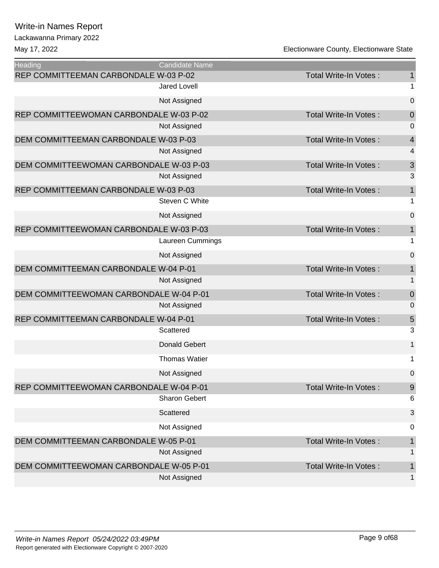# Lackawanna Primary 2022

| <b>Heading</b>                          | Candidate Name       |                              |                  |
|-----------------------------------------|----------------------|------------------------------|------------------|
| REP COMMITTEEMAN CARBONDALE W-03 P-02   |                      | Total Write-In Votes:        | $\mathbf{1}$     |
|                                         | <b>Jared Lovell</b>  |                              | $\mathbf{1}$     |
|                                         | Not Assigned         |                              | 0                |
| REP COMMITTEEWOMAN CARBONDALE W-03 P-02 |                      | Total Write-In Votes:        | $\mathbf 0$      |
|                                         | Not Assigned         |                              | 0                |
| DEM COMMITTEEMAN CARBONDALE W-03 P-03   |                      | Total Write-In Votes:        | $\overline{4}$   |
|                                         | Not Assigned         |                              | 4                |
| DEM COMMITTEEWOMAN CARBONDALE W-03 P-03 |                      | <b>Total Write-In Votes:</b> | 3                |
|                                         | Not Assigned         |                              | 3                |
| REP COMMITTEEMAN CARBONDALE W-03 P-03   |                      | Total Write-In Votes:        | $\mathbf 1$      |
|                                         | Steven C White       |                              | 1                |
|                                         | Not Assigned         |                              | 0                |
| REP COMMITTEEWOMAN CARBONDALE W-03 P-03 |                      | Total Write-In Votes:        | $\mathbf{1}$     |
|                                         | Laureen Cummings     |                              | 1                |
|                                         | Not Assigned         |                              | 0                |
| DEM COMMITTEEMAN CARBONDALE W-04 P-01   |                      | <b>Total Write-In Votes:</b> | 1                |
|                                         | Not Assigned         |                              | $\mathbf{1}$     |
| DEM COMMITTEEWOMAN CARBONDALE W-04 P-01 |                      | <b>Total Write-In Votes:</b> | $\boldsymbol{0}$ |
|                                         | Not Assigned         |                              | 0                |
| REP COMMITTEEMAN CARBONDALE W-04 P-01   |                      | Total Write-In Votes:        | 5                |
|                                         | Scattered            |                              | 3                |
|                                         | <b>Donald Gebert</b> |                              | 1                |
|                                         | <b>Thomas Watier</b> |                              | 1                |
|                                         | Not Assigned         |                              | 0                |
| REP COMMITTEEWOMAN CARBONDALE W-04 P-01 |                      | Total Write-In Votes:        | 9                |
|                                         | <b>Sharon Gebert</b> |                              | 6                |
|                                         | Scattered            |                              | 3                |
|                                         | Not Assigned         |                              | 0                |
| DEM COMMITTEEMAN CARBONDALE W-05 P-01   |                      | <b>Total Write-In Votes:</b> | 1                |
|                                         | Not Assigned         |                              | 1                |
| DEM COMMITTEEWOMAN CARBONDALE W-05 P-01 |                      | Total Write-In Votes:        | 1                |
|                                         | Not Assigned         |                              | 1                |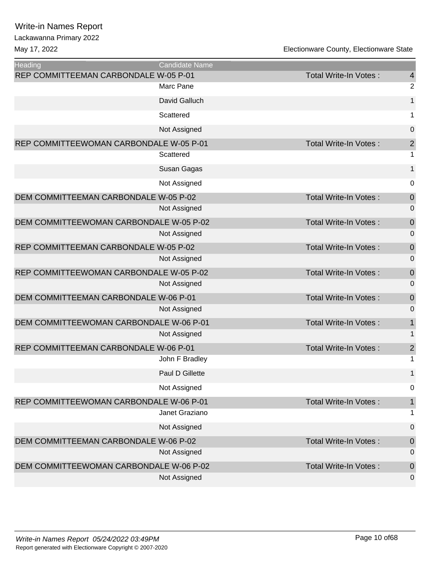Lackawanna Primary 2022

| <b>Heading</b>                          | <b>Candidate Name</b> |                              |                         |
|-----------------------------------------|-----------------------|------------------------------|-------------------------|
| REP COMMITTEEMAN CARBONDALE W-05 P-01   |                       | Total Write-In Votes:        | $\overline{4}$          |
|                                         | Marc Pane             |                              | $\overline{2}$          |
|                                         | David Galluch         |                              | 1                       |
|                                         | Scattered             |                              | 1                       |
|                                         | Not Assigned          |                              | 0                       |
| REP COMMITTEEWOMAN CARBONDALE W-05 P-01 |                       | Total Write-In Votes:        | $\overline{c}$          |
|                                         | Scattered             |                              | 1                       |
|                                         | Susan Gagas           |                              | $\mathbf{1}$            |
|                                         | Not Assigned          |                              | 0                       |
| DEM COMMITTEEMAN CARBONDALE W-05 P-02   |                       | <b>Total Write-In Votes:</b> | $\mathbf 0$             |
|                                         | Not Assigned          |                              | 0                       |
| DEM COMMITTEEWOMAN CARBONDALE W-05 P-02 |                       | <b>Total Write-In Votes:</b> | $\mathbf 0$             |
|                                         | Not Assigned          |                              | $\mathbf 0$             |
| REP COMMITTEEMAN CARBONDALE W-05 P-02   |                       | Total Write-In Votes:        | $\mathbf 0$             |
|                                         | Not Assigned          |                              | 0                       |
| REP COMMITTEEWOMAN CARBONDALE W-05 P-02 |                       | <b>Total Write-In Votes:</b> | $\mathbf 0$             |
|                                         | Not Assigned          |                              | 0                       |
| DEM COMMITTEEMAN CARBONDALE W-06 P-01   |                       | Total Write-In Votes:        | $\mathbf 0$             |
|                                         | Not Assigned          |                              | $\overline{0}$          |
| DEM COMMITTEEWOMAN CARBONDALE W-06 P-01 |                       | <b>Total Write-In Votes:</b> | $\mathbf 1$             |
|                                         | Not Assigned          |                              | 1                       |
| REP COMMITTEEMAN CARBONDALE W-06 P-01   |                       | <b>Total Write-In Votes:</b> | $\overline{\mathbf{c}}$ |
|                                         | John F Bradley        |                              | 1                       |
|                                         | Paul D Gillette       |                              | 1                       |
|                                         | Not Assigned          |                              | $\mathbf 0$             |
| REP COMMITTEEWOMAN CARBONDALE W-06 P-01 |                       | <b>Total Write-In Votes:</b> | $\mathbf 1$             |
|                                         | Janet Graziano        |                              | 1                       |
|                                         | Not Assigned          |                              | $\boldsymbol{0}$        |
| DEM COMMITTEEMAN CARBONDALE W-06 P-02   |                       | <b>Total Write-In Votes:</b> | $\boldsymbol{0}$        |
|                                         | Not Assigned          |                              | $\mathbf 0$             |
| DEM COMMITTEEWOMAN CARBONDALE W-06 P-02 |                       | Total Write-In Votes:        | $\mathbf 0$             |
|                                         | Not Assigned          |                              | 0                       |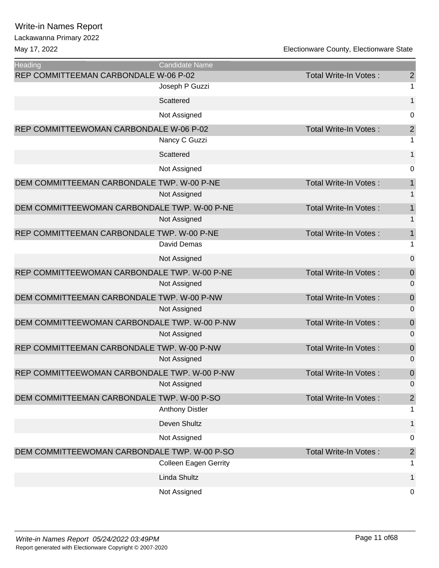#### Lackawanna Primary 2022

May 17, 2022 **Accord 2012** Electionware County, Electionware State

| <b>Heading</b>                               | Candidate Name         |                              |                |
|----------------------------------------------|------------------------|------------------------------|----------------|
| REP COMMITTEEMAN CARBONDALE W-06 P-02        |                        | Total Write-In Votes:        | $\overline{2}$ |
|                                              | Joseph P Guzzi         |                              | 1              |
|                                              | Scattered              |                              | 1              |
|                                              | Not Assigned           |                              | 0              |
| REP COMMITTEEWOMAN CARBONDALE W-06 P-02      |                        | Total Write-In Votes:        | $\overline{a}$ |
|                                              | Nancy C Guzzi          |                              | 1              |
|                                              | Scattered              |                              | 1              |
|                                              | Not Assigned           |                              | 0              |
| DEM COMMITTEEMAN CARBONDALE TWP. W-00 P-NE   |                        | Total Write-In Votes:        | 1              |
|                                              | Not Assigned           |                              | 1              |
| DEM COMMITTEEWOMAN CARBONDALE TWP. W-00 P-NE |                        | <b>Total Write-In Votes:</b> | 1              |
|                                              | Not Assigned           |                              | 1              |
| REP COMMITTEEMAN CARBONDALE TWP. W-00 P-NE   |                        | <b>Total Write-In Votes:</b> | 1              |
|                                              | <b>David Demas</b>     |                              | 1              |
|                                              | Not Assigned           |                              | 0              |
| REP COMMITTEEWOMAN CARBONDALE TWP. W-00 P-NE |                        | Total Write-In Votes:        | 0              |
|                                              | Not Assigned           |                              | 0              |
| DEM COMMITTEEMAN CARBONDALE TWP. W-00 P-NW   |                        | Total Write-In Votes:        | $\overline{0}$ |
|                                              | Not Assigned           |                              | $\overline{0}$ |
| DEM COMMITTEEWOMAN CARBONDALE TWP. W-00 P-NW |                        | Total Write-In Votes:        | $\overline{0}$ |
|                                              | Not Assigned           |                              | 0              |
| REP COMMITTEEMAN CARBONDALE TWP. W-00 P-NW   |                        | <b>Total Write-In Votes:</b> | $\overline{0}$ |
|                                              | Not Assigned           |                              | 0              |
| REP COMMITTEEWOMAN CARBONDALE TWP. W-00 P-NW |                        | Total Write-In Votes:        | $\overline{0}$ |
|                                              | Not Assigned           |                              | 0              |
| DEM COMMITTEEMAN CARBONDALE TWP. W-00 P-SO   |                        | Total Write-In Votes:        | $\overline{a}$ |
|                                              | <b>Anthony Distler</b> |                              | 1              |
|                                              |                        |                              |                |

| Deven Shultz                                 |                       |   |
|----------------------------------------------|-----------------------|---|
| Not Assigned                                 |                       | 0 |
| DEM COMMITTEEWOMAN CARBONDALE TWP. W-00 P-SO | Total Write-In Votes: | 2 |
| <b>Colleen Eagen Gerrity</b>                 |                       |   |
| Linda Shultz                                 |                       |   |
| Not Assigned                                 |                       | 0 |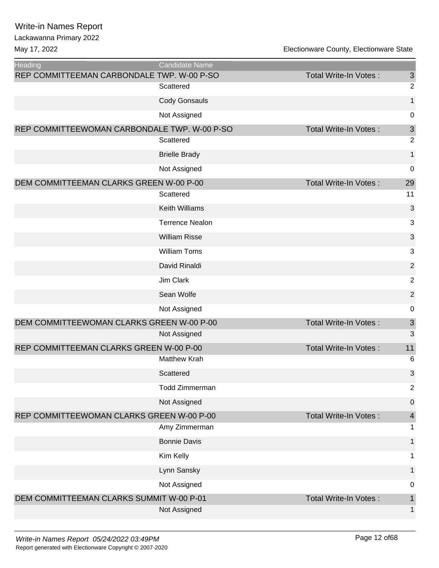Lackawanna Primary 2022

| <b>Heading</b>                               | Candidate Name         |                              |                           |
|----------------------------------------------|------------------------|------------------------------|---------------------------|
| REP COMMITTEEMAN CARBONDALE TWP. W-00 P-SO   |                        | <b>Total Write-In Votes:</b> | $\sqrt{3}$                |
|                                              | Scattered              |                              | $\overline{2}$            |
|                                              | <b>Cody Gonsauls</b>   |                              | $\mathbf{1}$              |
|                                              | Not Assigned           |                              | 0                         |
| REP COMMITTEEWOMAN CARBONDALE TWP. W-00 P-SO |                        | <b>Total Write-In Votes:</b> | $\ensuremath{\mathsf{3}}$ |
|                                              | Scattered              |                              | $\overline{2}$            |
|                                              | <b>Brielle Brady</b>   |                              | $\mathbf 1$               |
|                                              | Not Assigned           |                              | 0                         |
| DEM COMMITTEEMAN CLARKS GREEN W-00 P-00      |                        | <b>Total Write-In Votes:</b> | 29                        |
|                                              | Scattered              |                              | 11                        |
|                                              | <b>Keith Williams</b>  |                              | 3                         |
|                                              | <b>Terrence Nealon</b> |                              | 3                         |
|                                              | <b>William Risse</b>   |                              | $\mathfrak{B}$            |
|                                              | <b>William Toms</b>    |                              | 3                         |
|                                              | David Rinaldi          |                              | $\overline{2}$            |
|                                              | Jim Clark              |                              | $\overline{2}$            |
|                                              | Sean Wolfe             |                              | $\overline{2}$            |
|                                              | Not Assigned           |                              | 0                         |
| DEM COMMITTEEWOMAN CLARKS GREEN W-00 P-00    |                        | <b>Total Write-In Votes:</b> | $\ensuremath{\mathsf{3}}$ |
|                                              | Not Assigned           |                              | 3                         |
| REP COMMITTEEMAN CLARKS GREEN W-00 P-00      |                        | <b>Total Write-In Votes:</b> | 11                        |
|                                              | <b>Matthew Krah</b>    |                              | 6                         |
|                                              | Scattered              |                              | 3                         |
|                                              | Todd Zimmerman         |                              | $\overline{2}$            |
|                                              | Not Assigned           |                              | $\mathbf 0$               |
| REP COMMITTEEWOMAN CLARKS GREEN W-00 P-00    |                        | Total Write-In Votes:        | $\overline{\mathbf{4}}$   |
|                                              | Amy Zimmerman          |                              | 1                         |
|                                              | <b>Bonnie Davis</b>    |                              | $\mathbf{1}$              |
|                                              | Kim Kelly              |                              | 1                         |
|                                              | Lynn Sansky            |                              | $\mathbf{1}$              |
|                                              | Not Assigned           |                              | 0                         |
| DEM COMMITTEEMAN CLARKS SUMMIT W-00 P-01     |                        | Total Write-In Votes:        | 1                         |
|                                              | Not Assigned           |                              | $\mathbf 1$               |
|                                              |                        |                              |                           |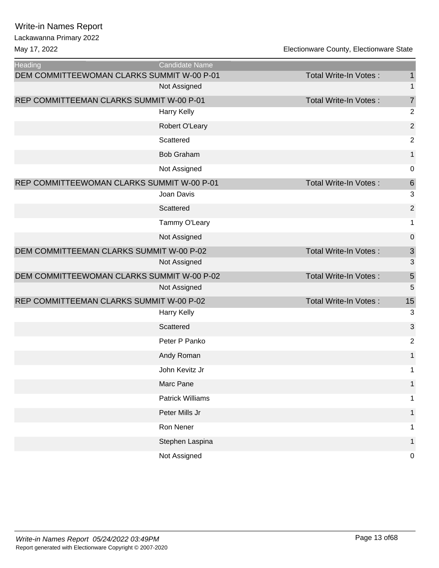| <b>Heading</b>                             | Candidate Name          |                              |                  |
|--------------------------------------------|-------------------------|------------------------------|------------------|
| DEM COMMITTEEWOMAN CLARKS SUMMIT W-00 P-01 |                         | Total Write-In Votes:        | $\mathbf{1}$     |
|                                            | Not Assigned            |                              | 1                |
| REP COMMITTEEMAN CLARKS SUMMIT W-00 P-01   |                         | Total Write-In Votes:        | $\overline{7}$   |
|                                            | Harry Kelly             |                              | $\overline{2}$   |
|                                            | Robert O'Leary          |                              | $\sqrt{2}$       |
|                                            | Scattered               |                              | $\overline{c}$   |
|                                            | <b>Bob Graham</b>       |                              | $\mathbf{1}$     |
|                                            | Not Assigned            |                              | $\boldsymbol{0}$ |
| REP COMMITTEEWOMAN CLARKS SUMMIT W-00 P-01 |                         | Total Write-In Votes:        | $\,$ 6 $\,$      |
|                                            | Joan Davis              |                              | 3                |
|                                            | Scattered               |                              | $\mathbf 2$      |
|                                            | Tammy O'Leary           |                              | 1                |
|                                            | Not Assigned            |                              | 0                |
| DEM COMMITTEEMAN CLARKS SUMMIT W-00 P-02   |                         | <b>Total Write-In Votes:</b> | $\mathfrak{S}$   |
|                                            | Not Assigned            |                              | 3                |
| DEM COMMITTEEWOMAN CLARKS SUMMIT W-00 P-02 |                         | Total Write-In Votes:        | $\overline{5}$   |
|                                            | Not Assigned            |                              | 5                |
| REP COMMITTEEMAN CLARKS SUMMIT W-00 P-02   |                         | Total Write-In Votes:        | 15               |
|                                            | Harry Kelly             |                              | 3                |
|                                            | Scattered               |                              | 3                |
|                                            | Peter P Panko           |                              | $\sqrt{2}$       |
|                                            | Andy Roman              |                              | $\mathbf{1}$     |
|                                            | John Kevitz Jr          |                              | 1                |
|                                            | Marc Pane               |                              | 1                |
|                                            | <b>Patrick Williams</b> |                              | 1                |
|                                            | Peter Mills Jr          |                              | 1                |
|                                            | Ron Nener               |                              | 1                |
|                                            | Stephen Laspina         |                              | 1                |
|                                            | Not Assigned            |                              | 0                |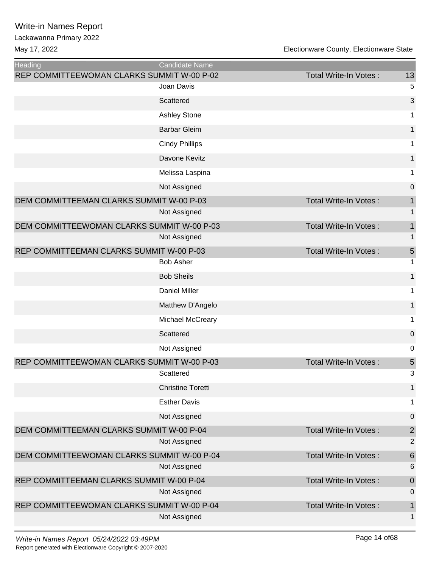| <b>Heading</b>                             | <b>Candidate Name</b>    |                       |                         |
|--------------------------------------------|--------------------------|-----------------------|-------------------------|
| REP COMMITTEEWOMAN CLARKS SUMMIT W-00 P-02 |                          | Total Write-In Votes: | 13                      |
|                                            | Joan Davis               |                       | 5                       |
|                                            | Scattered                |                       | 3                       |
|                                            | <b>Ashley Stone</b>      |                       | 1                       |
|                                            | <b>Barbar Gleim</b>      |                       | $\mathbf{1}$            |
|                                            | <b>Cindy Phillips</b>    |                       | 1                       |
|                                            | Davone Kevitz            |                       | 1                       |
|                                            | Melissa Laspina          |                       | 1                       |
|                                            | Not Assigned             |                       | 0                       |
| DEM COMMITTEEMAN CLARKS SUMMIT W-00 P-03   |                          | Total Write-In Votes: | 1                       |
|                                            | Not Assigned             |                       | 1                       |
| DEM COMMITTEEWOMAN CLARKS SUMMIT W-00 P-03 |                          | Total Write-In Votes: | 1                       |
|                                            | Not Assigned             |                       | 1                       |
| REP COMMITTEEMAN CLARKS SUMMIT W-00 P-03   |                          | Total Write-In Votes: | $\overline{5}$          |
|                                            | <b>Bob Asher</b>         |                       | 1                       |
|                                            | <b>Bob Sheils</b>        |                       | 1                       |
|                                            | <b>Daniel Miller</b>     |                       | 1                       |
|                                            | Matthew D'Angelo         |                       | 1                       |
|                                            | Michael McCreary         |                       | 1                       |
|                                            | Scattered                |                       | 0                       |
|                                            | Not Assigned             |                       | 0                       |
| REP COMMITTEEWOMAN CLARKS SUMMIT W-00 P-03 |                          | Total Write-In Votes: | $\sqrt{5}$              |
|                                            | Scattered                |                       | 3                       |
|                                            | <b>Christine Toretti</b> |                       | $\mathbf{1}$            |
|                                            | <b>Esther Davis</b>      |                       | 1                       |
|                                            | Not Assigned             |                       | $\boldsymbol{0}$        |
| DEM COMMITTEEMAN CLARKS SUMMIT W-00 P-04   |                          | Total Write-In Votes: | $\overline{\mathbf{c}}$ |
|                                            | Not Assigned             |                       | $\overline{2}$          |
| DEM COMMITTEEWOMAN CLARKS SUMMIT W-00 P-04 |                          | Total Write-In Votes: | $\,$ 6 $\,$             |
|                                            | Not Assigned             |                       | 6                       |
| REP COMMITTEEMAN CLARKS SUMMIT W-00 P-04   |                          | Total Write-In Votes: | $\boldsymbol{0}$        |
|                                            | Not Assigned             |                       | $\boldsymbol{0}$        |
| REP COMMITTEEWOMAN CLARKS SUMMIT W-00 P-04 | Not Assigned             | Total Write-In Votes: | 1<br>1                  |
|                                            |                          |                       |                         |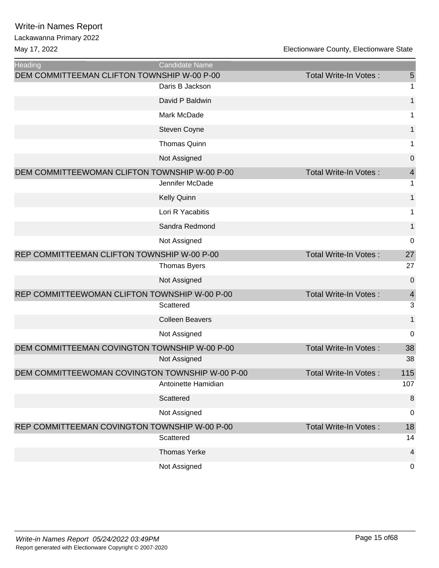| Heading                                         | Candidate Name         |                              |                         |
|-------------------------------------------------|------------------------|------------------------------|-------------------------|
| DEM COMMITTEEMAN CLIFTON TOWNSHIP W-00 P-00     |                        | <b>Total Write-In Votes:</b> | $\overline{5}$          |
|                                                 | Daris B Jackson        |                              | 1                       |
|                                                 | David P Baldwin        |                              | $\mathbf{1}$            |
|                                                 | Mark McDade            |                              | 1                       |
|                                                 | Steven Coyne           |                              | $\mathbf{1}$            |
|                                                 | <b>Thomas Quinn</b>    |                              | 1                       |
|                                                 | Not Assigned           |                              | 0                       |
| DEM COMMITTEEWOMAN CLIFTON TOWNSHIP W-00 P-00   |                        | Total Write-In Votes:        | $\overline{4}$          |
|                                                 | Jennifer McDade        |                              | 1                       |
|                                                 | Kelly Quinn            |                              | $\mathbf{1}$            |
|                                                 | Lori R Yacabitis       |                              | 1                       |
|                                                 | Sandra Redmond         |                              | 1                       |
|                                                 | Not Assigned           |                              | $\mathbf 0$             |
| REP COMMITTEEMAN CLIFTON TOWNSHIP W-00 P-00     |                        | <b>Total Write-In Votes:</b> | 27                      |
|                                                 | <b>Thomas Byers</b>    |                              | 27                      |
|                                                 | Not Assigned           |                              | $\pmb{0}$               |
| REP COMMITTEEWOMAN CLIFTON TOWNSHIP W-00 P-00   |                        | <b>Total Write-In Votes:</b> | $\overline{4}$          |
|                                                 | Scattered              |                              | 3                       |
|                                                 | <b>Colleen Beavers</b> |                              | 1                       |
|                                                 | Not Assigned           |                              | 0                       |
| DEM COMMITTEEMAN COVINGTON TOWNSHIP W-00 P-00   |                        | <b>Total Write-In Votes:</b> | 38                      |
|                                                 | Not Assigned           |                              | 38                      |
| DEM COMMITTEEWOMAN COVINGTON TOWNSHIP W-00 P-00 |                        | <b>Total Write-In Votes:</b> | 115                     |
|                                                 | Antoinette Hamidian    |                              | 107                     |
|                                                 | Scattered              |                              | 8                       |
|                                                 | Not Assigned           |                              | 0                       |
| REP COMMITTEEMAN COVINGTON TOWNSHIP W-00 P-00   |                        | <b>Total Write-In Votes:</b> | 18                      |
|                                                 | Scattered              |                              | 14                      |
|                                                 | <b>Thomas Yerke</b>    |                              | $\overline{\mathbf{4}}$ |
|                                                 | Not Assigned           |                              | 0                       |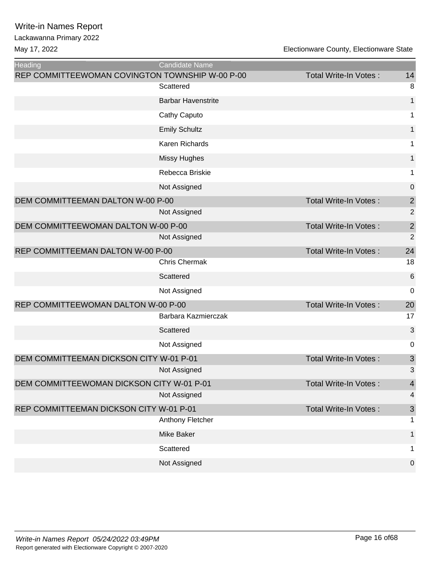| Heading                                         | Candidate Name            |                              |                  |
|-------------------------------------------------|---------------------------|------------------------------|------------------|
| REP COMMITTEEWOMAN COVINGTON TOWNSHIP W-00 P-00 |                           | <b>Total Write-In Votes:</b> | 14               |
|                                                 | Scattered                 |                              | 8                |
|                                                 | <b>Barbar Havenstrite</b> |                              | $\mathbf{1}$     |
|                                                 | Cathy Caputo              |                              | 1                |
|                                                 | <b>Emily Schultz</b>      |                              | $\mathbf{1}$     |
|                                                 | Karen Richards            |                              | 1                |
|                                                 | <b>Missy Hughes</b>       |                              | 1                |
|                                                 | Rebecca Briskie           |                              | 1                |
|                                                 | Not Assigned              |                              | $\boldsymbol{0}$ |
| DEM COMMITTEEMAN DALTON W-00 P-00               |                           | Total Write-In Votes:        | $\overline{2}$   |
|                                                 | Not Assigned              |                              | $\overline{2}$   |
| DEM COMMITTEEWOMAN DALTON W-00 P-00             |                           | <b>Total Write-In Votes:</b> | $\overline{2}$   |
|                                                 | Not Assigned              |                              | $\overline{2}$   |
| REP COMMITTEEMAN DALTON W-00 P-00               |                           | <b>Total Write-In Votes:</b> | 24               |
|                                                 | <b>Chris Chermak</b>      |                              | 18               |
|                                                 | Scattered                 |                              | 6                |
|                                                 | Not Assigned              |                              | 0                |
| REP COMMITTEEWOMAN DALTON W-00 P-00             |                           | <b>Total Write-In Votes:</b> | 20               |
|                                                 | Barbara Kazmierczak       |                              | 17               |
|                                                 | Scattered                 |                              | 3                |
|                                                 | Not Assigned              |                              | 0                |
| DEM COMMITTEEMAN DICKSON CITY W-01 P-01         |                           | <b>Total Write-In Votes:</b> | 3                |
|                                                 | Not Assigned              |                              | 3                |
| DEM COMMITTEEWOMAN DICKSON CITY W-01 P-01       |                           | <b>Total Write-In Votes:</b> | $\overline{4}$   |
|                                                 | Not Assigned              |                              | 4                |
| REP COMMITTEEMAN DICKSON CITY W-01 P-01         |                           | <b>Total Write-In Votes:</b> | $\sqrt{3}$       |
|                                                 | Anthony Fletcher          |                              | 1.               |
|                                                 | Mike Baker                |                              | 1                |
|                                                 | Scattered                 |                              | 1.               |
|                                                 | Not Assigned              |                              | $\pmb{0}$        |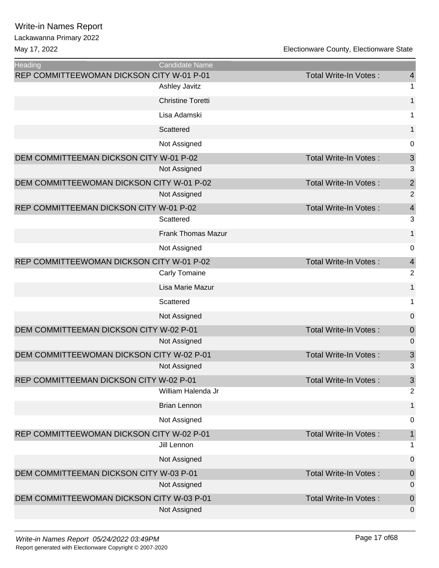| <b>Heading</b>                            | <b>Candidate Name</b>     |                              |                  |
|-------------------------------------------|---------------------------|------------------------------|------------------|
| REP COMMITTEEWOMAN DICKSON CITY W-01 P-01 |                           | <b>Total Write-In Votes:</b> | $\overline{4}$   |
|                                           | <b>Ashley Javitz</b>      |                              | 1                |
|                                           | <b>Christine Toretti</b>  |                              | $\mathbf{1}$     |
|                                           | Lisa Adamski              |                              | 1                |
|                                           | Scattered                 |                              | 1                |
|                                           | Not Assigned              |                              | 0                |
| DEM COMMITTEEMAN DICKSON CITY W-01 P-02   |                           | <b>Total Write-In Votes:</b> | $\mathfrak{S}$   |
|                                           | Not Assigned              |                              | 3                |
| DEM COMMITTEEWOMAN DICKSON CITY W-01 P-02 |                           | <b>Total Write-In Votes:</b> | $\overline{c}$   |
|                                           | Not Assigned              |                              | $\overline{2}$   |
| REP COMMITTEEMAN DICKSON CITY W-01 P-02   |                           | Total Write-In Votes:        | $\overline{4}$   |
|                                           | Scattered                 |                              | 3                |
|                                           | <b>Frank Thomas Mazur</b> |                              | $\mathbf{1}$     |
|                                           | Not Assigned              |                              | 0                |
| REP COMMITTEEWOMAN DICKSON CITY W-01 P-02 |                           | <b>Total Write-In Votes:</b> | $\overline{4}$   |
|                                           | Carly Tomaine             |                              | $\overline{c}$   |
|                                           | Lisa Marie Mazur          |                              | $\mathbf{1}$     |
|                                           | Scattered                 |                              | 1                |
|                                           | Not Assigned              |                              | $\pmb{0}$        |
| DEM COMMITTEEMAN DICKSON CITY W-02 P-01   |                           | Total Write-In Votes:        | $\boldsymbol{0}$ |
|                                           | Not Assigned              |                              | $\mathbf 0$      |
| DEM COMMITTEEWOMAN DICKSON CITY W-02 P-01 |                           | Total Write-In Votes:        | $\mathfrak{S}$   |
|                                           | Not Assigned              |                              | 3                |
| REP COMMITTEEMAN DICKSON CITY W-02 P-01   |                           | Total Write-In Votes:        | $\mathfrak{S}$   |
|                                           | William Halenda Jr        |                              | $\overline{2}$   |
|                                           | <b>Brian Lennon</b>       |                              | 1                |
|                                           | Not Assigned              |                              | 0                |
| REP COMMITTEEWOMAN DICKSON CITY W-02 P-01 |                           | <b>Total Write-In Votes:</b> | $\mathbf{1}$     |
|                                           | Jill Lennon               |                              | 1                |
|                                           | Not Assigned              |                              | $\boldsymbol{0}$ |
| DEM COMMITTEEMAN DICKSON CITY W-03 P-01   |                           | Total Write-In Votes:        | $\boldsymbol{0}$ |
|                                           | Not Assigned              |                              | 0                |
| DEM COMMITTEEWOMAN DICKSON CITY W-03 P-01 |                           | Total Write-In Votes:        | $\boldsymbol{0}$ |
|                                           | Not Assigned              |                              | 0                |
|                                           |                           |                              |                  |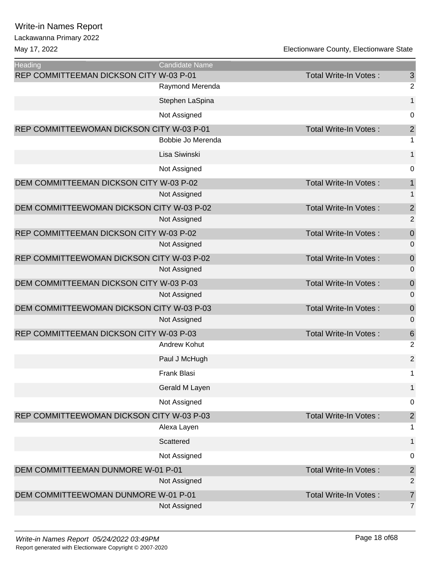Lackawanna Primary 2022

May 17, 2022 Electionware County, Electionware State

Ξ

| Heading                                   | <b>Candidate Name</b> |                              |                            |
|-------------------------------------------|-----------------------|------------------------------|----------------------------|
| REP COMMITTEEMAN DICKSON CITY W-03 P-01   |                       | <b>Total Write-In Votes:</b> | $\mathbf{3}$               |
|                                           | Raymond Merenda       |                              | $\mathbf 2$                |
|                                           | Stephen LaSpina       |                              | $\mathbf 1$                |
|                                           | Not Assigned          |                              | $\mathbf 0$                |
| REP COMMITTEEWOMAN DICKSON CITY W-03 P-01 |                       | Total Write-In Votes:        | $\overline{\mathbf{c}}$    |
|                                           | Bobbie Jo Merenda     |                              | $\mathbf 1$                |
|                                           | Lisa Siwinski         |                              | $\mathbf{1}$               |
|                                           | Not Assigned          |                              | $\mathbf 0$                |
| DEM COMMITTEEMAN DICKSON CITY W-03 P-02   |                       | Total Write-In Votes:        | $\mathbf{1}$               |
|                                           | Not Assigned          |                              | $\mathbf{1}$               |
| DEM COMMITTEEWOMAN DICKSON CITY W-03 P-02 |                       | Total Write-In Votes:        | $\overline{c}$             |
|                                           | Not Assigned          |                              | $\overline{2}$             |
| REP COMMITTEEMAN DICKSON CITY W-03 P-02   |                       | Total Write-In Votes:        | $\mathbf 0$                |
|                                           | Not Assigned          |                              | $\mathbf 0$                |
| REP COMMITTEEWOMAN DICKSON CITY W-03 P-02 |                       | Total Write-In Votes:        | $\mathbf 0$                |
|                                           | Not Assigned          |                              | $\mathbf 0$                |
| DEM COMMITTEEMAN DICKSON CITY W-03 P-03   |                       | Total Write-In Votes:        | $\mathbf 0$                |
|                                           | Not Assigned          |                              | $\mathbf 0$                |
| DEM COMMITTEEWOMAN DICKSON CITY W-03 P-03 | Not Assigned          | Total Write-In Votes:        | $\mathbf 0$<br>$\mathbf 0$ |
| REP COMMITTEEMAN DICKSON CITY W-03 P-03   |                       | <b>Total Write-In Votes:</b> | $\,6$                      |
|                                           | <b>Andrew Kohut</b>   |                              | $\overline{2}$             |
|                                           | Paul J McHugh         |                              | $\overline{2}$             |
|                                           | <b>Frank Blasi</b>    |                              | 1                          |
|                                           | Gerald M Layen        |                              | $\mathbf{1}$               |
|                                           | Not Assigned          |                              | 0                          |
| REP COMMITTEEWOMAN DICKSON CITY W-03 P-03 |                       | Total Write-In Votes:        | $\overline{\mathbf{c}}$    |
|                                           | Alexa Layen           |                              | 1                          |
|                                           | Scattered             |                              | 1                          |
|                                           | Not Assigned          |                              | $\mathbf 0$                |
| DEM COMMITTEEMAN DUNMORE W-01 P-01        |                       | <b>Total Write-In Votes:</b> | $\overline{c}$             |
|                                           | Not Assigned          |                              | $\sqrt{2}$                 |
| DEM COMMITTEEWOMAN DUNMORE W-01 P-01      |                       | Total Write-In Votes:        | $\overline{7}$             |
|                                           | Not Assigned          |                              | $\overline{7}$             |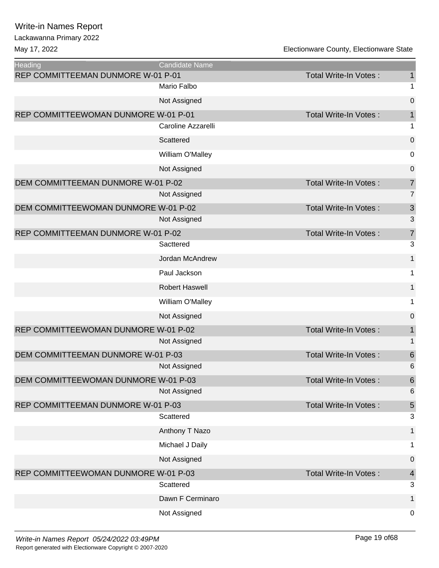Lackawanna Primary 2022

| Heading                              | <b>Candidate Name</b> |                              |                           |
|--------------------------------------|-----------------------|------------------------------|---------------------------|
| REP COMMITTEEMAN DUNMORE W-01 P-01   |                       | <b>Total Write-In Votes:</b> | $\mathbf{1}$              |
|                                      | Mario Falbo           |                              | 1                         |
|                                      | Not Assigned          |                              | $\mathbf 0$               |
| REP COMMITTEEWOMAN DUNMORE W-01 P-01 |                       | <b>Total Write-In Votes:</b> | $\mathbf{1}$              |
|                                      | Caroline Azzarelli    |                              | 1                         |
|                                      | Scattered             |                              | $\pmb{0}$                 |
|                                      | William O'Malley      |                              | $\mathbf 0$               |
|                                      | Not Assigned          |                              | $\mathbf 0$               |
| DEM COMMITTEEMAN DUNMORE W-01 P-02   |                       | Total Write-In Votes:        | $\overline{7}$            |
|                                      | Not Assigned          |                              | $\overline{7}$            |
| DEM COMMITTEEWOMAN DUNMORE W-01 P-02 |                       | <b>Total Write-In Votes:</b> | $\ensuremath{\mathsf{3}}$ |
|                                      | Not Assigned          |                              | $\mathfrak{B}$            |
| REP COMMITTEEMAN DUNMORE W-01 P-02   |                       | <b>Total Write-In Votes:</b> | $\overline{7}$            |
|                                      | Sacttered             |                              | $\mathfrak{S}$            |
|                                      | Jordan McAndrew       |                              | $\mathbf 1$               |
|                                      | Paul Jackson          |                              | 1                         |
|                                      | <b>Robert Haswell</b> |                              | $\mathbf{1}$              |
|                                      | William O'Malley      |                              | 1                         |
|                                      | Not Assigned          |                              | $\mathbf 0$               |
| REP COMMITTEEWOMAN DUNMORE W-01 P-02 |                       | Total Write-In Votes:        | $\mathbf{1}$              |
|                                      | Not Assigned          |                              | $\mathbf 1$               |
| DEM COMMITTEEMAN DUNMORE W-01 P-03   |                       | Total Write-In Votes:        | $\,6$                     |
|                                      | Not Assigned          |                              | 6                         |
| DEM COMMITTEEWOMAN DUNMORE W-01 P-03 |                       | Total Write-In Votes:        | $\,6\,$                   |
|                                      | Not Assigned          |                              | $6\phantom{1}6$           |
| REP COMMITTEEMAN DUNMORE W-01 P-03   |                       | Total Write-In Votes:        | 5                         |
|                                      | Scattered             |                              | $\mathfrak{S}$            |
|                                      | Anthony T Nazo        |                              | 1                         |
|                                      | Michael J Daily       |                              | 1                         |
|                                      | Not Assigned          |                              | $\pmb{0}$                 |
| REP COMMITTEEWOMAN DUNMORE W-01 P-03 |                       | Total Write-In Votes:        | $\overline{4}$            |
|                                      | Scattered             |                              | 3                         |
|                                      | Dawn F Cerminaro      |                              | 1                         |
|                                      | Not Assigned          |                              | 0                         |
|                                      |                       |                              |                           |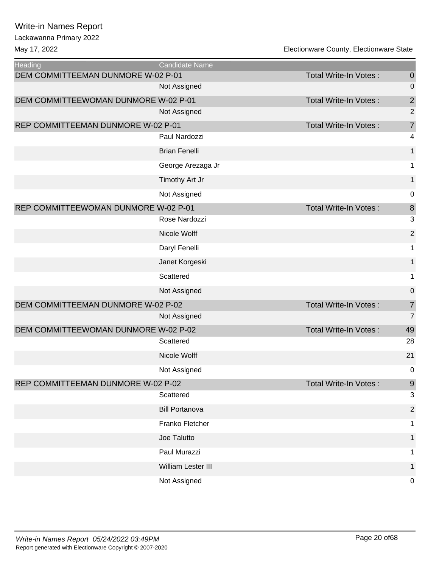### Lackawanna Primary 2022

| <b>Heading</b>                       | Candidate Name        |                              |                         |
|--------------------------------------|-----------------------|------------------------------|-------------------------|
| DEM COMMITTEEMAN DUNMORE W-02 P-01   |                       | Total Write-In Votes:        | $\theta$                |
|                                      | Not Assigned          |                              | $\mathbf 0$             |
| DEM COMMITTEEWOMAN DUNMORE W-02 P-01 |                       | <b>Total Write-In Votes:</b> | $\overline{\mathbf{c}}$ |
|                                      | Not Assigned          |                              | $\overline{2}$          |
| REP COMMITTEEMAN DUNMORE W-02 P-01   |                       | <b>Total Write-In Votes:</b> | $\overline{7}$          |
|                                      | Paul Nardozzi         |                              | 4                       |
|                                      | <b>Brian Fenelli</b>  |                              | 1                       |
|                                      | George Arezaga Jr     |                              | 1                       |
|                                      | Timothy Art Jr        |                              | $\mathbf{1}$            |
|                                      | Not Assigned          |                              | $\mathbf 0$             |
| REP COMMITTEEWOMAN DUNMORE W-02 P-01 |                       | <b>Total Write-In Votes:</b> | $\, 8$                  |
|                                      | Rose Nardozzi         |                              | 3                       |
|                                      | Nicole Wolff          |                              | $\mathbf 2$             |
|                                      | Daryl Fenelli         |                              | 1                       |
|                                      | Janet Korgeski        |                              | $\mathbf{1}$            |
|                                      | Scattered             |                              | 1                       |
|                                      | Not Assigned          |                              | $\boldsymbol{0}$        |
| DEM COMMITTEEMAN DUNMORE W-02 P-02   |                       | Total Write-In Votes:        | $\overline{7}$          |
|                                      | Not Assigned          |                              | $\overline{7}$          |
| DEM COMMITTEEWOMAN DUNMORE W-02 P-02 |                       | <b>Total Write-In Votes:</b> | 49                      |
|                                      | Scattered             |                              | 28                      |
|                                      | Nicole Wolff          |                              | 21                      |
|                                      | Not Assigned          |                              | $\mathbf 0$             |
| REP COMMITTEEMAN DUNMORE W-02 P-02   |                       | Total Write-In Votes :       | 9                       |
|                                      | Scattered             |                              | 3                       |
|                                      | <b>Bill Portanova</b> |                              | $\overline{2}$          |
|                                      | Franko Fletcher       |                              | 1                       |
|                                      | Joe Talutto           |                              | $\mathbf 1$             |
|                                      | Paul Murazzi          |                              | 1                       |
|                                      | William Lester III    |                              | 1                       |
|                                      | Not Assigned          |                              | $\mathbf 0$             |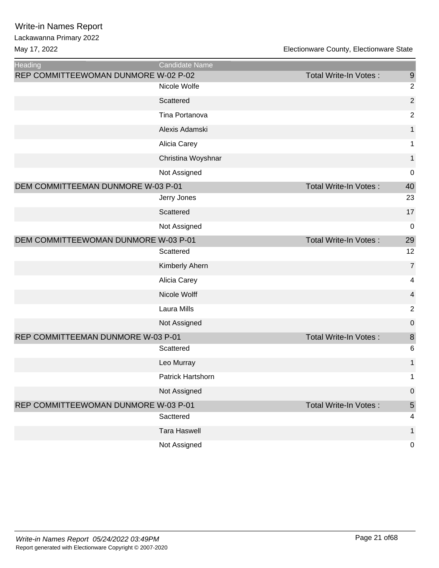| <b>Heading</b>                       | <b>Candidate Name</b> |                              |                         |
|--------------------------------------|-----------------------|------------------------------|-------------------------|
| REP COMMITTEEWOMAN DUNMORE W-02 P-02 |                       | Total Write-In Votes:        | 9                       |
|                                      | Nicole Wolfe          |                              | $\overline{2}$          |
|                                      | Scattered             |                              | $\sqrt{2}$              |
|                                      | Tina Portanova        |                              | $\sqrt{2}$              |
|                                      | Alexis Adamski        |                              | $\mathbf{1}$            |
|                                      | Alicia Carey          |                              | $\mathbf 1$             |
|                                      | Christina Woyshnar    |                              | $\mathbf{1}$            |
|                                      | Not Assigned          |                              | 0                       |
| DEM COMMITTEEMAN DUNMORE W-03 P-01   |                       | Total Write-In Votes:        | 40                      |
|                                      | Jerry Jones           |                              | 23                      |
|                                      | Scattered             |                              | 17                      |
|                                      | Not Assigned          |                              | $\pmb{0}$               |
| DEM COMMITTEEWOMAN DUNMORE W-03 P-01 |                       | Total Write-In Votes:        | 29                      |
|                                      | Scattered             |                              | 12                      |
|                                      | Kimberly Ahern        |                              | $\overline{7}$          |
|                                      | Alicia Carey          |                              | 4                       |
|                                      | Nicole Wolff          |                              | 4                       |
|                                      | Laura Mills           |                              | $\sqrt{2}$              |
|                                      | Not Assigned          |                              | 0                       |
| REP COMMITTEEMAN DUNMORE W-03 P-01   |                       | Total Write-In Votes:        | $\bf 8$                 |
|                                      | Scattered             |                              | 6                       |
|                                      | Leo Murray            |                              | 1                       |
|                                      | Patrick Hartshorn     |                              | 1                       |
|                                      | Not Assigned          |                              | $\boldsymbol{0}$        |
| REP COMMITTEEWOMAN DUNMORE W-03 P-01 |                       | <b>Total Write-In Votes:</b> | $\sqrt{5}$              |
|                                      | Sacttered             |                              | $\overline{\mathbf{4}}$ |
|                                      | <b>Tara Haswell</b>   |                              | 1                       |
|                                      | Not Assigned          |                              | $\pmb{0}$               |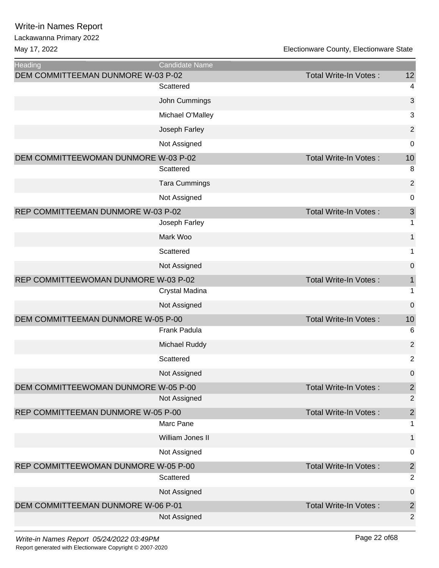| <b>Heading</b>                       | <b>Candidate Name</b> |                              |                |
|--------------------------------------|-----------------------|------------------------------|----------------|
| DEM COMMITTEEMAN DUNMORE W-03 P-02   |                       | <b>Total Write-In Votes:</b> | 12             |
|                                      | Scattered             |                              | 4              |
|                                      | John Cummings         |                              | 3              |
|                                      | Michael O'Malley      |                              | 3              |
|                                      | Joseph Farley         |                              | $\overline{2}$ |
|                                      | Not Assigned          |                              | 0              |
| DEM COMMITTEEWOMAN DUNMORE W-03 P-02 |                       | <b>Total Write-In Votes:</b> | 10             |
|                                      | Scattered             |                              | 8              |
|                                      | <b>Tara Cummings</b>  |                              | $\overline{2}$ |
|                                      | Not Assigned          |                              | 0              |
| REP COMMITTEEMAN DUNMORE W-03 P-02   |                       | <b>Total Write-In Votes:</b> | 3              |
|                                      | Joseph Farley         |                              | 1              |
|                                      | Mark Woo              |                              | 1              |
|                                      | Scattered             |                              | 1              |
|                                      | Not Assigned          |                              | $\mathbf 0$    |
| REP COMMITTEEWOMAN DUNMORE W-03 P-02 |                       | <b>Total Write-In Votes:</b> | 1              |
|                                      | Crystal Madina        |                              | 1              |
|                                      | Not Assigned          |                              | 0              |
| DEM COMMITTEEMAN DUNMORE W-05 P-00   |                       | Total Write-In Votes:        | 10             |
|                                      | Frank Padula          |                              | 6              |
|                                      | Michael Ruddy         |                              | $\overline{2}$ |
|                                      | Scattered             |                              | $\overline{c}$ |
|                                      | Not Assigned          |                              | $\mathbf 0$    |
| DEM COMMITTEEWOMAN DUNMORE W-05 P-00 |                       | <b>Total Write-In Votes:</b> | $\overline{c}$ |
|                                      | Not Assigned          |                              | $\mathbf 2$    |
| REP COMMITTEEMAN DUNMORE W-05 P-00   |                       | <b>Total Write-In Votes:</b> | $\overline{2}$ |
|                                      | Marc Pane             |                              | 1              |
|                                      | William Jones II      |                              | 1              |
|                                      | Not Assigned          |                              | 0              |
| REP COMMITTEEWOMAN DUNMORE W-05 P-00 |                       | <b>Total Write-In Votes:</b> | $\overline{2}$ |
|                                      | Scattered             |                              | $\overline{2}$ |
|                                      | Not Assigned          |                              | 0              |
| DEM COMMITTEEMAN DUNMORE W-06 P-01   |                       | Total Write-In Votes:        | $\overline{2}$ |
|                                      | Not Assigned          |                              | $\overline{2}$ |
|                                      |                       |                              |                |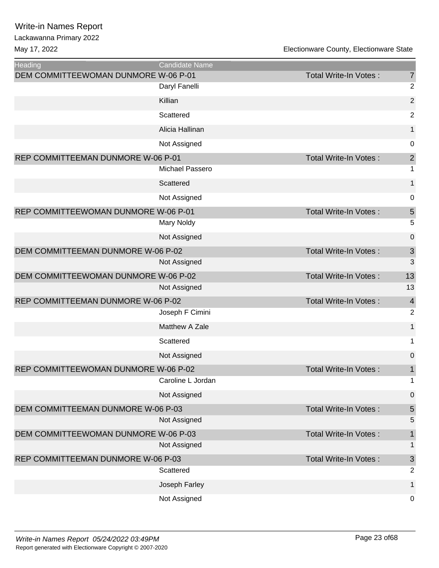| <b>Heading</b>                       | <b>Candidate Name</b> |                              |                  |
|--------------------------------------|-----------------------|------------------------------|------------------|
| DEM COMMITTEEWOMAN DUNMORE W-06 P-01 |                       | Total Write-In Votes:        | $\overline{7}$   |
|                                      | Daryl Fanelli         |                              | $\overline{2}$   |
|                                      | Killian               |                              | $\overline{2}$   |
|                                      | Scattered             |                              | $\overline{2}$   |
|                                      | Alicia Hallinan       |                              | $\mathbf{1}$     |
|                                      | Not Assigned          |                              | $\mathbf 0$      |
| REP COMMITTEEMAN DUNMORE W-06 P-01   |                       | Total Write-In Votes:        | $\mathbf{2}$     |
|                                      | Michael Passero       |                              | 1                |
|                                      | Scattered             |                              | $\mathbf{1}$     |
|                                      | Not Assigned          |                              | 0                |
| REP COMMITTEEWOMAN DUNMORE W-06 P-01 |                       | <b>Total Write-In Votes:</b> | $\overline{5}$   |
|                                      | Mary Noldy            |                              | 5                |
|                                      | Not Assigned          |                              | 0                |
| DEM COMMITTEEMAN DUNMORE W-06 P-02   |                       | <b>Total Write-In Votes:</b> | $\mathsf 3$      |
|                                      | Not Assigned          |                              | 3                |
| DEM COMMITTEEWOMAN DUNMORE W-06 P-02 |                       | Total Write-In Votes:        | 13               |
|                                      | Not Assigned          |                              | 13               |
| REP COMMITTEEMAN DUNMORE W-06 P-02   |                       | Total Write-In Votes:        | $\overline{4}$   |
|                                      | Joseph F Cimini       |                              | $\overline{2}$   |
|                                      | Matthew A Zale        |                              | $\mathbf{1}$     |
|                                      | Scattered             |                              | 1                |
|                                      | Not Assigned          |                              | 0                |
| REP COMMITTEEWOMAN DUNMORE W-06 P-02 |                       | <b>Total Write-In Votes:</b> | 1                |
|                                      | Caroline L Jordan     |                              | 1                |
|                                      | Not Assigned          |                              | $\boldsymbol{0}$ |
| DEM COMMITTEEMAN DUNMORE W-06 P-03   |                       | <b>Total Write-In Votes:</b> | $\overline{5}$   |
|                                      | Not Assigned          |                              | 5                |
| DEM COMMITTEEWOMAN DUNMORE W-06 P-03 |                       | Total Write-In Votes:        | 1                |
|                                      | Not Assigned          |                              | 1                |
| REP COMMITTEEMAN DUNMORE W-06 P-03   |                       | <b>Total Write-In Votes:</b> | $\mathfrak{S}$   |
|                                      | Scattered             |                              | $\overline{2}$   |
|                                      | Joseph Farley         |                              | 1                |
|                                      | Not Assigned          |                              | $\mathbf 0$      |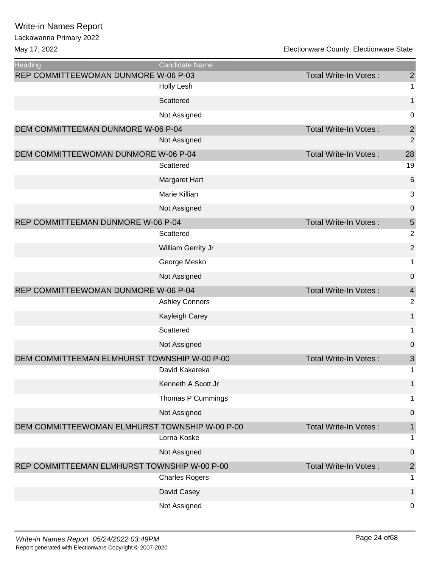| <b>Heading</b>                                 | Candidate Name        |                       |                |
|------------------------------------------------|-----------------------|-----------------------|----------------|
| REP COMMITTEEWOMAN DUNMORE W-06 P-03           |                       | Total Write-In Votes: | $\overline{2}$ |
|                                                | Holly Lesh            |                       | 1              |
|                                                | Scattered             |                       | $\mathbf{1}$   |
|                                                | Not Assigned          |                       | 0              |
| DEM COMMITTEEMAN DUNMORE W-06 P-04             |                       | Total Write-In Votes: | $\overline{2}$ |
|                                                | Not Assigned          |                       | $\overline{2}$ |
| DEM COMMITTEEWOMAN DUNMORE W-06 P-04           |                       | Total Write-In Votes: | 28             |
|                                                | Scattered             |                       | 19             |
|                                                | Margaret Hart         |                       | 6              |
|                                                | Marie Killian         |                       | 3              |
|                                                | Not Assigned          |                       | $\mathbf 0$    |
| REP COMMITTEEMAN DUNMORE W-06 P-04             |                       | Total Write-In Votes: | 5              |
|                                                | Scattered             |                       | $\overline{2}$ |
|                                                | William Gerrity Jr    |                       | $\overline{2}$ |
|                                                | George Mesko          |                       | 1              |
|                                                | Not Assigned          |                       | $\mathbf 0$    |
| REP COMMITTEEWOMAN DUNMORE W-06 P-04           |                       | Total Write-In Votes: | $\overline{4}$ |
|                                                | <b>Ashley Connors</b> |                       | $\overline{2}$ |
|                                                | Kayleigh Carey        |                       | $\mathbf{1}$   |
|                                                | Scattered             |                       | 1              |
|                                                | Not Assigned          |                       | 0              |
| DEM COMMITTEEMAN ELMHURST TOWNSHIP W-00 P-00   |                       | Total Write-In Votes: | $\mathfrak{S}$ |
|                                                | David Kakareka        |                       | 1              |
|                                                | Kenneth A Scott Jr    |                       | 1              |
|                                                | Thomas P Cummings     |                       | 1              |
|                                                | Not Assigned          |                       | 0              |
| DEM COMMITTEEWOMAN ELMHURST TOWNSHIP W-00 P-00 |                       | Total Write-In Votes: | 1              |
|                                                | Lorna Koske           |                       | 1              |
|                                                | Not Assigned          |                       | 0              |
| REP COMMITTEEMAN ELMHURST TOWNSHIP W-00 P-00   |                       | Total Write-In Votes: | $\overline{2}$ |
|                                                | <b>Charles Rogers</b> |                       | 1              |
|                                                | David Casey           |                       | 1              |
|                                                | Not Assigned          |                       | 0              |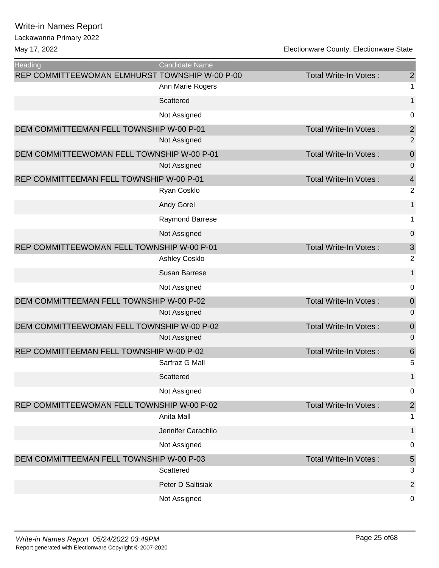Lackawanna Primary 2022

| <b>Heading</b>                                 | <b>Candidate Name</b> |                              |                  |
|------------------------------------------------|-----------------------|------------------------------|------------------|
| REP COMMITTEEWOMAN ELMHURST TOWNSHIP W-00 P-00 |                       | <b>Total Write-In Votes:</b> | $\overline{c}$   |
|                                                | Ann Marie Rogers      |                              | 1                |
|                                                | Scattered             |                              | $\mathbf{1}$     |
|                                                | Not Assigned          |                              | 0                |
| DEM COMMITTEEMAN FELL TOWNSHIP W-00 P-01       |                       | Total Write-In Votes:        | $\overline{c}$   |
|                                                | Not Assigned          |                              | $\overline{2}$   |
| DEM COMMITTEEWOMAN FELL TOWNSHIP W-00 P-01     |                       | <b>Total Write-In Votes:</b> | $\mathbf 0$      |
|                                                | Not Assigned          |                              | $\mathbf 0$      |
| REP COMMITTEEMAN FELL TOWNSHIP W-00 P-01       |                       | <b>Total Write-In Votes:</b> | $\overline{4}$   |
|                                                | Ryan Cosklo           |                              | $\overline{2}$   |
|                                                | <b>Andy Gorel</b>     |                              | $\mathbf{1}$     |
|                                                | Raymond Barrese       |                              | 1                |
|                                                | Not Assigned          |                              | $\pmb{0}$        |
| REP COMMITTEEWOMAN FELL TOWNSHIP W-00 P-01     |                       | Total Write-In Votes:        | $\mathfrak{S}$   |
|                                                | <b>Ashley Cosklo</b>  |                              | $\overline{2}$   |
|                                                | <b>Susan Barrese</b>  |                              | $\mathbf{1}$     |
|                                                | Not Assigned          |                              | 0                |
| DEM COMMITTEEMAN FELL TOWNSHIP W-00 P-02       |                       | <b>Total Write-In Votes:</b> | $\boldsymbol{0}$ |
|                                                | Not Assigned          |                              | 0                |
| DEM COMMITTEEWOMAN FELL TOWNSHIP W-00 P-02     |                       | Total Write-In Votes:        | $\mathbf 0$      |
|                                                | Not Assigned          |                              | $\mathbf 0$      |
| REP COMMITTEEMAN FELL TOWNSHIP W-00 P-02       |                       | Total Write-In Votes:        | $\,$ 6 $\,$      |
|                                                | Sarfraz G Mall        |                              | 5                |
|                                                | Scattered             |                              | 1                |
|                                                | Not Assigned          |                              | 0                |
| REP COMMITTEEWOMAN FELL TOWNSHIP W-00 P-02     |                       | <b>Total Write-In Votes:</b> | $\sqrt{2}$       |
|                                                | Anita Mall            |                              | 1                |
|                                                | Jennifer Carachilo    |                              | 1                |
|                                                | Not Assigned          |                              | 0                |
| DEM COMMITTEEMAN FELL TOWNSHIP W-00 P-03       |                       | <b>Total Write-In Votes:</b> | $\sqrt{5}$       |
|                                                | Scattered             |                              | 3                |
|                                                | Peter D Saltisiak     |                              | $\overline{2}$   |
|                                                | Not Assigned          |                              | 0                |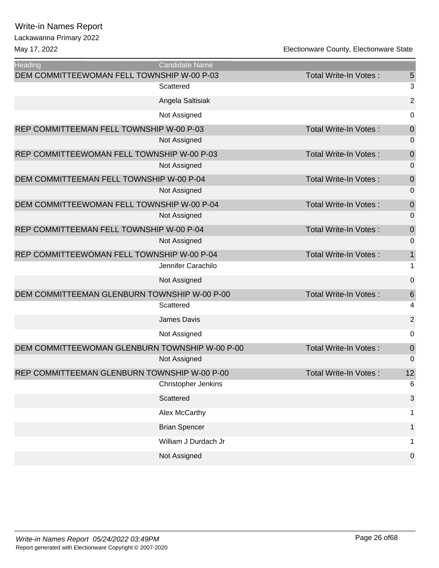Lackawanna Primary 2022

| <b>Heading</b>                                 | <b>Candidate Name</b> |                              |                |
|------------------------------------------------|-----------------------|------------------------------|----------------|
| DEM COMMITTEEWOMAN FELL TOWNSHIP W-00 P-03     |                       | <b>Total Write-In Votes:</b> | 5              |
|                                                | Scattered             |                              | 3              |
|                                                | Angela Saltisiak      |                              | $\overline{c}$ |
|                                                | Not Assigned          |                              | 0              |
| REP COMMITTEEMAN FELL TOWNSHIP W-00 P-03       |                       | <b>Total Write-In Votes:</b> | $\mathbf 0$    |
|                                                | Not Assigned          |                              | 0              |
| REP COMMITTEEWOMAN FELL TOWNSHIP W-00 P-03     |                       | <b>Total Write-In Votes:</b> | $\mathbf 0$    |
|                                                | Not Assigned          |                              | 0              |
| DEM COMMITTEEMAN FELL TOWNSHIP W-00 P-04       |                       | Total Write-In Votes:        | $\mathbf 0$    |
|                                                | Not Assigned          |                              | $\mathbf 0$    |
| DEM COMMITTEEWOMAN FELL TOWNSHIP W-00 P-04     |                       | Total Write-In Votes:        | $\mathbf 0$    |
|                                                | Not Assigned          |                              | 0              |
| REP COMMITTEEMAN FELL TOWNSHIP W-00 P-04       |                       | <b>Total Write-In Votes:</b> | $\mathbf 0$    |
|                                                | Not Assigned          |                              | $\overline{0}$ |
| REP COMMITTEEWOMAN FELL TOWNSHIP W-00 P-04     |                       | Total Write-In Votes:        | $\mathbf 1$    |
|                                                | Jennifer Carachilo    |                              | 1              |
|                                                | Not Assigned          |                              | $\mathbf 0$    |
| DEM COMMITTEEMAN GLENBURN TOWNSHIP W-00 P-00   |                       | Total Write-In Votes:        | 6              |
|                                                | Scattered             |                              | 4              |
|                                                | James Davis           |                              | $\overline{2}$ |
|                                                | Not Assigned          |                              | 0              |
| DEM COMMITTEEWOMAN GLENBURN TOWNSHIP W-00 P-00 |                       | <b>Total Write-In Votes:</b> | $\theta$       |
|                                                | Not Assigned          |                              | 0              |
| REP COMMITTEEMAN GLENBURN TOWNSHIP W-00 P-00   |                       | <b>Total Write-In Votes:</b> | 12             |
|                                                | Christopher Jenkins   |                              | 6              |
|                                                | Scattered             |                              | 3              |
|                                                | Alex McCarthy         |                              | 1              |
|                                                | <b>Brian Spencer</b>  |                              | 1              |
|                                                | William J Durdach Jr  |                              | 1              |
|                                                | Not Assigned          |                              | $\overline{0}$ |
|                                                |                       |                              |                |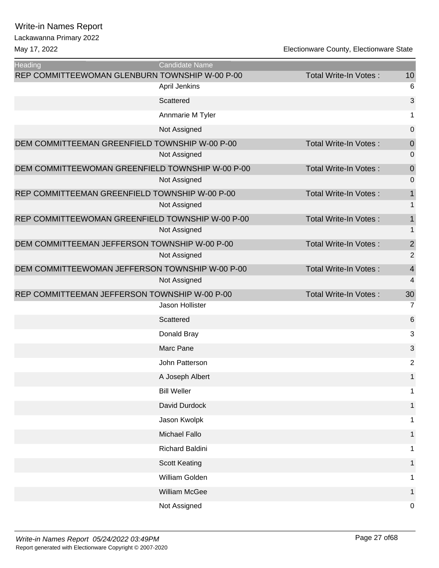| <b>Heading</b>                                   | <b>Candidate Name</b> |                              |                     |
|--------------------------------------------------|-----------------------|------------------------------|---------------------|
| REP COMMITTEEWOMAN GLENBURN TOWNSHIP W-00 P-00   | <b>April Jenkins</b>  | <b>Total Write-In Votes:</b> | 10<br>6             |
|                                                  | Scattered             |                              | 3                   |
|                                                  | Annmarie M Tyler      |                              | 1                   |
|                                                  | Not Assigned          |                              | $\mathbf 0$         |
| DEM COMMITTEEMAN GREENFIELD TOWNSHIP W-00 P-00   |                       | <b>Total Write-In Votes:</b> | $\mathbf 0$         |
|                                                  | Not Assigned          |                              | 0                   |
| DEM COMMITTEEWOMAN GREENFIELD TOWNSHIP W-00 P-00 |                       | Total Write-In Votes:        | $\mathbf 0$         |
|                                                  | Not Assigned          |                              | 0                   |
| REP COMMITTEEMAN GREENFIELD TOWNSHIP W-00 P-00   |                       | Total Write-In Votes:        | $\mathbf 1$         |
|                                                  | Not Assigned          |                              | 1                   |
| REP COMMITTEEWOMAN GREENFIELD TOWNSHIP W-00 P-00 |                       | Total Write-In Votes:        | 1                   |
|                                                  | Not Assigned          |                              | 1                   |
| DEM COMMITTEEMAN JEFFERSON TOWNSHIP W-00 P-00    |                       | <b>Total Write-In Votes:</b> | $\overline{2}$      |
|                                                  | Not Assigned          |                              | $\overline{2}$      |
| DEM COMMITTEEWOMAN JEFFERSON TOWNSHIP W-00 P-00  | Not Assigned          | Total Write-In Votes:        | $\overline{4}$<br>4 |
| REP COMMITTEEMAN JEFFERSON TOWNSHIP W-00 P-00    |                       | <b>Total Write-In Votes:</b> | 30                  |
|                                                  | Jason Hollister       |                              | $\overline{7}$      |
|                                                  | Scattered             |                              | 6                   |
|                                                  | Donald Bray           |                              | 3                   |
|                                                  | Marc Pane             |                              | 3                   |
|                                                  | John Patterson        |                              | $\overline{c}$      |
|                                                  | A Joseph Albert       |                              | $\mathbf{1}$        |
|                                                  | <b>Bill Weller</b>    |                              | 1                   |
|                                                  | David Durdock         |                              | 1                   |
|                                                  | Jason Kwolpk          |                              | 1.                  |
|                                                  | Michael Fallo         |                              | 1                   |
|                                                  | Richard Baldini       |                              | 1                   |
|                                                  | <b>Scott Keating</b>  |                              | 1.                  |
|                                                  | William Golden        |                              | 1                   |
|                                                  | William McGee         |                              | 1                   |
|                                                  | Not Assigned          |                              | $\mathbf 0$         |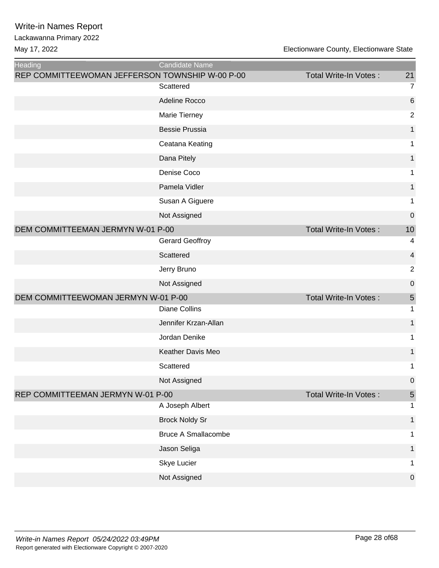| Heading                                         | <b>Candidate Name</b>      |                              |                |
|-------------------------------------------------|----------------------------|------------------------------|----------------|
| REP COMMITTEEWOMAN JEFFERSON TOWNSHIP W-00 P-00 |                            | Total Write-In Votes:        | 21             |
|                                                 | Scattered                  |                              | 7              |
|                                                 | Adeline Rocco              |                              | 6              |
|                                                 | Marie Tierney              |                              | $\overline{2}$ |
|                                                 | <b>Bessie Prussia</b>      |                              | 1              |
|                                                 | Ceatana Keating            |                              | 1              |
|                                                 | Dana Pitely                |                              | 1              |
|                                                 | Denise Coco                |                              | 1              |
|                                                 | Pamela Vidler              |                              | 1              |
|                                                 | Susan A Giguere            |                              | 1              |
|                                                 | Not Assigned               |                              | $\mathbf 0$    |
| DEM COMMITTEEMAN JERMYN W-01 P-00               |                            | <b>Total Write-In Votes:</b> | 10             |
|                                                 | <b>Gerard Geoffroy</b>     |                              | 4              |
|                                                 | Scattered                  |                              | 4              |
|                                                 | Jerry Bruno                |                              | $\overline{2}$ |
|                                                 | Not Assigned               |                              | 0              |
| DEM COMMITTEEWOMAN JERMYN W-01 P-00             |                            | Total Write-In Votes:        | $\overline{5}$ |
|                                                 | <b>Diane Collins</b>       |                              | 1              |
|                                                 | Jennifer Krzan-Allan       |                              | 1              |
|                                                 | Jordan Denike              |                              | 1              |
|                                                 | Keather Davis Meo          |                              | 1              |
|                                                 | Scattered                  |                              | 1              |
|                                                 | Not Assigned               |                              | $\cup$         |
| REP COMMITTEEMAN JERMYN W-01 P-00               |                            | Total Write-In Votes:        | $\overline{5}$ |
|                                                 | A Joseph Albert            |                              | 1              |
|                                                 | <b>Brock Noldy Sr</b>      |                              | $\mathbf 1$    |
|                                                 | <b>Bruce A Smallacombe</b> |                              | 1              |
|                                                 | Jason Seliga               |                              | $\mathbf 1$    |
|                                                 | Skye Lucier                |                              | 1              |
|                                                 | Not Assigned               |                              | $\pmb{0}$      |
|                                                 |                            |                              |                |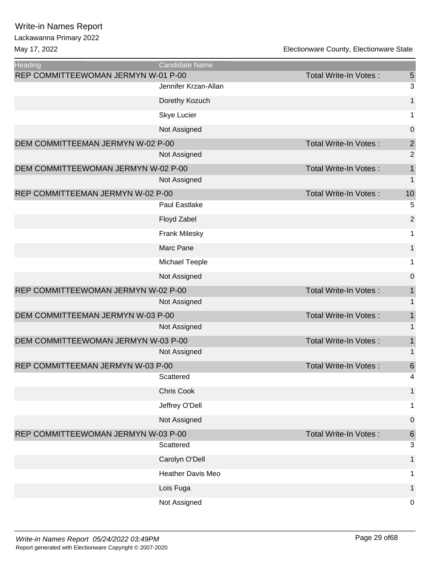May 17, 2022 Electionware County, Electionware State

Ξ

| <b>Heading</b>                      | <b>Candidate Name</b> |                              |                  |
|-------------------------------------|-----------------------|------------------------------|------------------|
| REP COMMITTEEWOMAN JERMYN W-01 P-00 |                       | <b>Total Write-In Votes:</b> | 5                |
|                                     | Jennifer Krzan-Allan  |                              | $\sqrt{3}$       |
|                                     | Dorethy Kozuch        |                              | $\mathbf{1}$     |
|                                     | <b>Skye Lucier</b>    |                              | $\mathbf 1$      |
|                                     | Not Assigned          |                              | 0                |
| DEM COMMITTEEMAN JERMYN W-02 P-00   |                       | Total Write-In Votes:        | $\overline{2}$   |
|                                     | Not Assigned          |                              | $\overline{2}$   |
| DEM COMMITTEEWOMAN JERMYN W-02 P-00 |                       | <b>Total Write-In Votes:</b> | $\mathbf{1}$     |
|                                     | Not Assigned          |                              | $\mathbf 1$      |
| REP COMMITTEEMAN JERMYN W-02 P-00   |                       | Total Write-In Votes:        | 10               |
|                                     | Paul Eastlake         |                              | 5                |
|                                     | Floyd Zabel           |                              | $\overline{2}$   |
|                                     | <b>Frank Milesky</b>  |                              | $\mathbf 1$      |
|                                     | Marc Pane             |                              | $\mathbf 1$      |
|                                     | <b>Michael Teeple</b> |                              | $\mathbf 1$      |
|                                     | Not Assigned          |                              | $\boldsymbol{0}$ |
| REP COMMITTEEWOMAN JERMYN W-02 P-00 |                       | <b>Total Write-In Votes:</b> | $\mathbf{1}$     |
|                                     | Not Assigned          |                              | $\mathbf{1}$     |
| DEM COMMITTEEMAN JERMYN W-03 P-00   |                       | Total Write-In Votes:        | $\mathbf{1}$     |
|                                     | Not Assigned          |                              | $\mathbf{1}$     |
| DEM COMMITTEEWOMAN JERMYN W-03 P-00 |                       | Total Write-In Votes:        | $\mathbf{1}$     |
|                                     | Not Assigned          |                              | 1                |
| REP COMMITTEEMAN JERMYN W-03 P-00   |                       | Total Write-In Votes:        | $\,6$            |
|                                     | Scattered             |                              | 4                |
|                                     | Chris Cook            |                              | $\mathbf{1}$     |
|                                     | Jeffrey O'Dell        |                              | 1                |
|                                     | Not Assigned          |                              | 0                |
| REP COMMITTEEWOMAN JERMYN W-03 P-00 |                       | <b>Total Write-In Votes:</b> | $6\phantom{1}6$  |
|                                     | Scattered             |                              | 3                |
|                                     | Carolyn O'Dell        |                              | 1                |
|                                     | Heather Davis Meo     |                              | 1                |
|                                     | Lois Fuga             |                              | $\mathbf{1}$     |
|                                     | Not Assigned          |                              | $\mathbf 0$      |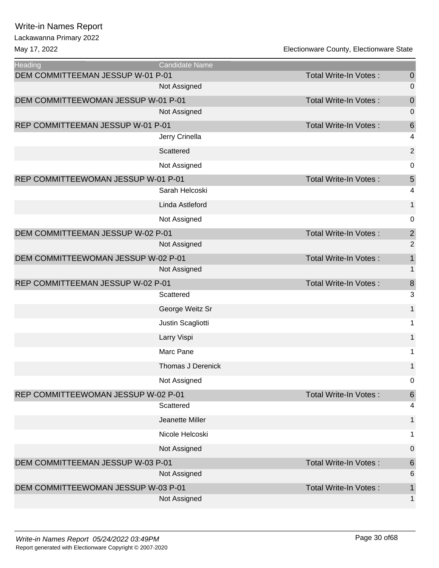Lackawanna Primary 2022

May 17, 2022

| Electionware County, Electionware State |  |
|-----------------------------------------|--|
|-----------------------------------------|--|

| <b>Heading</b>                      | <b>Candidate Name</b>    |                              |                  |
|-------------------------------------|--------------------------|------------------------------|------------------|
| DEM COMMITTEEMAN JESSUP W-01 P-01   |                          | Total Write-In Votes:        | $\boldsymbol{0}$ |
|                                     | Not Assigned             |                              | 0                |
| DEM COMMITTEEWOMAN JESSUP W-01 P-01 |                          | Total Write-In Votes:        | $\mathbf 0$      |
|                                     | Not Assigned             |                              | 0                |
| REP COMMITTEEMAN JESSUP W-01 P-01   |                          | Total Write-In Votes:        | 6<br>4           |
|                                     | Jerry Crinella           |                              |                  |
|                                     | Scattered                |                              | $\mathbf 2$      |
|                                     | Not Assigned             |                              | $\pmb{0}$        |
| REP COMMITTEEWOMAN JESSUP W-01 P-01 |                          | <b>Total Write-In Votes:</b> | 5                |
|                                     | Sarah Helcoski           |                              | 4                |
|                                     | Linda Astleford          |                              | $\mathbf 1$      |
|                                     | Not Assigned             |                              | 0                |
| DEM COMMITTEEMAN JESSUP W-02 P-01   |                          | Total Write-In Votes:        | $\overline{2}$   |
|                                     | Not Assigned             |                              | $\overline{2}$   |
| DEM COMMITTEEWOMAN JESSUP W-02 P-01 |                          | <b>Total Write-In Votes:</b> | $\mathbf{1}$     |
|                                     | Not Assigned             |                              | 1                |
| REP COMMITTEEMAN JESSUP W-02 P-01   |                          | Total Write-In Votes:        | $\boldsymbol{8}$ |
|                                     | Scattered                |                              | 3                |
|                                     | George Weitz Sr          |                              | $\mathbf 1$      |
|                                     | Justin Scagliotti        |                              | 1                |
|                                     | Larry Vispi              |                              | $\mathbf 1$      |
|                                     | Marc Pane                |                              | 1                |
|                                     | <b>Thomas J Derenick</b> |                              | 1                |
|                                     | Not Assigned             |                              | 0                |
| REP COMMITTEEWOMAN JESSUP W-02 P-01 |                          | <b>Total Write-In Votes:</b> | $\,$ 6 $\,$      |
|                                     | Scattered                |                              | 4                |
|                                     | Jeanette Miller          |                              | $\mathbf 1$      |
|                                     | Nicole Helcoski          |                              | 1                |
|                                     | Not Assigned             |                              | 0                |
| DEM COMMITTEEMAN JESSUP W-03 P-01   |                          | <b>Total Write-In Votes:</b> | 6                |
|                                     | Not Assigned             |                              | 6                |
| DEM COMMITTEEWOMAN JESSUP W-03 P-01 |                          | Total Write-In Votes:        | $\mathbf 1$      |
|                                     | Not Assigned             |                              | 1                |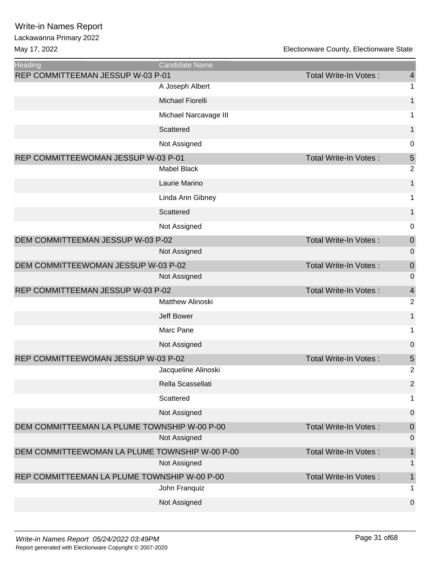| <b>Heading</b>                                 | Candidate Name          |                              |                |
|------------------------------------------------|-------------------------|------------------------------|----------------|
| REP COMMITTEEMAN JESSUP W-03 P-01              |                         | Total Write-In Votes:        | $\overline{4}$ |
|                                                | A Joseph Albert         |                              | 1              |
|                                                | Michael Fiorelli        |                              | 1              |
|                                                | Michael Narcavage III   |                              | 1              |
|                                                | Scattered               |                              | 1              |
|                                                | Not Assigned            |                              | 0              |
| REP COMMITTEEWOMAN JESSUP W-03 P-01            |                         | Total Write-In Votes:        | 5              |
|                                                | <b>Mabel Black</b>      |                              | $\overline{c}$ |
|                                                | Laurie Marino           |                              | $\mathbf 1$    |
|                                                | Linda Ann Gibney        |                              | 1              |
|                                                | Scattered               |                              | 1              |
|                                                | Not Assigned            |                              | 0              |
| DEM COMMITTEEMAN JESSUP W-03 P-02              |                         | Total Write-In Votes:        | $\mathbf 0$    |
|                                                | Not Assigned            |                              | 0              |
| DEM COMMITTEEWOMAN JESSUP W-03 P-02            |                         | Total Write-In Votes:        | $\mathbf 0$    |
|                                                | Not Assigned            |                              | 0              |
| REP COMMITTEEMAN JESSUP W-03 P-02              |                         | <b>Total Write-In Votes:</b> | 4              |
|                                                | <b>Matthew Alinoski</b> |                              | $\overline{2}$ |
|                                                | <b>Jeff Bower</b>       |                              | $\mathbf 1$    |
|                                                | Marc Pane               |                              | 1              |
|                                                | Not Assigned            |                              | 0              |
| REP COMMITTEEWOMAN JESSUP W-03 P-02            |                         | Total Write-In Votes:        | 5              |
|                                                | Jacqueline Alinoski     |                              | $\overline{2}$ |
|                                                | Rella Scassellati       |                              | $\overline{2}$ |
|                                                | Scattered               |                              | 1              |
|                                                | Not Assigned            |                              | $\pmb{0}$      |
| DEM COMMITTEEMAN LA PLUME TOWNSHIP W-00 P-00   |                         | Total Write-In Votes:        | $\theta$       |
|                                                | Not Assigned            |                              | 0              |
| DEM COMMITTEEWOMAN LA PLUME TOWNSHIP W-00 P-00 |                         | Total Write-In Votes:        | $\mathbf 1$    |
|                                                | Not Assigned            |                              | 1              |
| REP COMMITTEEMAN LA PLUME TOWNSHIP W-00 P-00   |                         | Total Write-In Votes:        | $\mathbf 1$    |
|                                                | John Franquiz           |                              | 1              |
|                                                | Not Assigned            |                              | $\pmb{0}$      |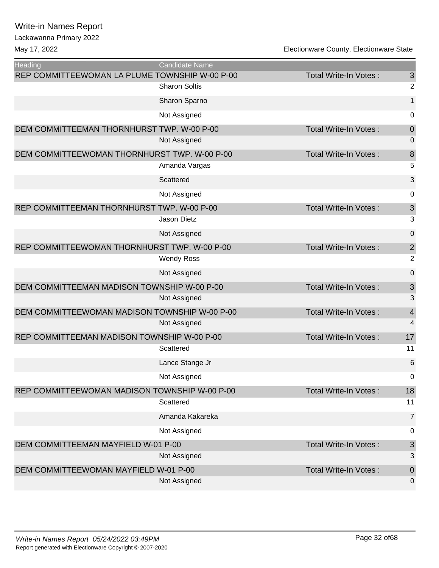| <b>Heading</b>                                 | Candidate Name       |                              |                |
|------------------------------------------------|----------------------|------------------------------|----------------|
| REP COMMITTEEWOMAN LA PLUME TOWNSHIP W-00 P-00 |                      | Total Write-In Votes:        | $\mathfrak{S}$ |
|                                                | <b>Sharon Soltis</b> |                              | $\overline{2}$ |
|                                                | Sharon Sparno        |                              | $\mathbf{1}$   |
|                                                | Not Assigned         |                              | 0              |
| DEM COMMITTEEMAN THORNHURST TWP. W-00 P-00     |                      | <b>Total Write-In Votes:</b> | $\mathbf 0$    |
|                                                | Not Assigned         |                              | 0              |
| DEM COMMITTEEWOMAN THORNHURST TWP. W-00 P-00   |                      | Total Write-In Votes:        | 8              |
|                                                | Amanda Vargas        |                              | 5              |
|                                                | Scattered            |                              | $\mathfrak{B}$ |
|                                                | Not Assigned         |                              | 0              |
| REP COMMITTEEMAN THORNHURST TWP. W-00 P-00     |                      | <b>Total Write-In Votes:</b> | $\sqrt{3}$     |
|                                                | <b>Jason Dietz</b>   |                              | 3              |
|                                                | Not Assigned         |                              | $\mathbf 0$    |
| REP COMMITTEEWOMAN THORNHURST TWP. W-00 P-00   |                      | Total Write-In Votes:        | $\sqrt{2}$     |
|                                                | <b>Wendy Ross</b>    |                              | $\overline{2}$ |
|                                                | Not Assigned         |                              | $\mathbf 0$    |
| DEM COMMITTEEMAN MADISON TOWNSHIP W-00 P-00    |                      | <b>Total Write-In Votes:</b> | $\sqrt{3}$     |
|                                                | Not Assigned         |                              | 3              |
| DEM COMMITTEEWOMAN MADISON TOWNSHIP W-00 P-00  |                      | <b>Total Write-In Votes:</b> | $\overline{4}$ |
|                                                | Not Assigned         |                              | 4              |
| REP COMMITTEEMAN MADISON TOWNSHIP W-00 P-00    |                      | Total Write-In Votes:        | 17             |
|                                                | Scattered            |                              | 11             |
|                                                | Lance Stange Jr      |                              | 6              |
|                                                | Not Assigned         |                              | 0              |
| REP COMMITTEEWOMAN MADISON TOWNSHIP W-00 P-00  |                      | Total Write-In Votes:        | 18             |
|                                                | Scattered            |                              | 11             |
|                                                | Amanda Kakareka      |                              | $\overline{7}$ |
|                                                | Not Assigned         |                              | 0              |
| DEM COMMITTEEMAN MAYFIELD W-01 P-00            |                      | Total Write-In Votes:        | $\sqrt{3}$     |
|                                                | Not Assigned         |                              | 3              |
| DEM COMMITTEEWOMAN MAYFIELD W-01 P-00          |                      | <b>Total Write-In Votes:</b> | $\theta$       |
|                                                | Not Assigned         |                              | 0              |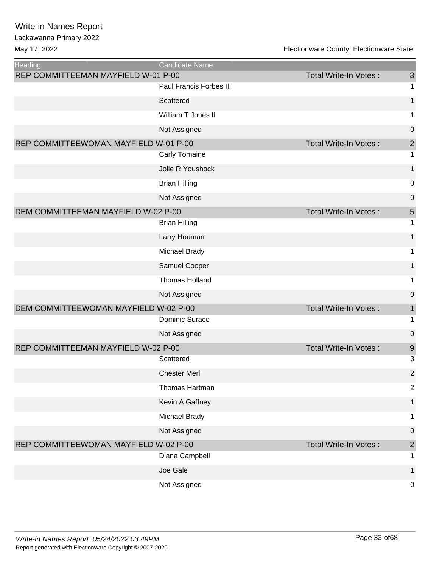| Heading                               | Candidate Name          |                              |                |
|---------------------------------------|-------------------------|------------------------------|----------------|
| REP COMMITTEEMAN MAYFIELD W-01 P-00   |                         | Total Write-In Votes:        | $\mathsf 3$    |
|                                       | Paul Francis Forbes III |                              | 1              |
|                                       | Scattered               |                              | $\mathbf 1$    |
|                                       | William T Jones II      |                              | 1              |
|                                       | Not Assigned            |                              | $\mathbf 0$    |
| REP COMMITTEEWOMAN MAYFIELD W-01 P-00 |                         | Total Write-In Votes:        | $\mathbf{2}$   |
|                                       | Carly Tomaine           |                              | 1              |
|                                       | Jolie R Youshock        |                              | $\mathbf{1}$   |
|                                       | <b>Brian Hilling</b>    |                              | 0              |
|                                       | Not Assigned            |                              | $\mathbf 0$    |
| DEM COMMITTEEMAN MAYFIELD W-02 P-00   |                         | <b>Total Write-In Votes:</b> | 5              |
|                                       | <b>Brian Hilling</b>    |                              | 1              |
|                                       | Larry Houman            |                              | 1              |
|                                       | Michael Brady           |                              | 1              |
|                                       | Samuel Cooper           |                              | 1              |
|                                       | <b>Thomas Holland</b>   |                              | 1              |
|                                       | Not Assigned            |                              | $\mathbf 0$    |
| DEM COMMITTEEWOMAN MAYFIELD W-02 P-00 |                         | Total Write-In Votes:        | 1              |
|                                       | <b>Dominic Surace</b>   |                              | 1              |
|                                       | Not Assigned            |                              | $\mathbf 0$    |
| REP COMMITTEEMAN MAYFIELD W-02 P-00   |                         | Total Write-In Votes:        | $\overline{9}$ |
|                                       | Scattered               |                              | 3              |
|                                       | <b>Chester Merli</b>    |                              | $\overline{2}$ |
|                                       | Thomas Hartman          |                              | $\overline{2}$ |
|                                       | Kevin A Gaffney         |                              | $\mathbf 1$    |
|                                       | Michael Brady           |                              | 1              |
|                                       | Not Assigned            |                              | 0              |
| REP COMMITTEEWOMAN MAYFIELD W-02 P-00 |                         | Total Write-In Votes:        | $\mathbf 2$    |
|                                       | Diana Campbell          |                              | 1              |
|                                       | Joe Gale                |                              | $\mathbf{1}$   |
|                                       | Not Assigned            |                              | $\mathbf 0$    |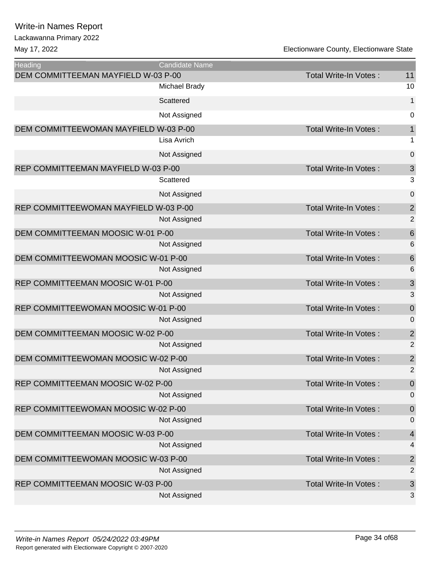#### Lackawanna Primary 2022

| <b>Heading</b>                        | Candidate Name |                              |                         |
|---------------------------------------|----------------|------------------------------|-------------------------|
| DEM COMMITTEEMAN MAYFIELD W-03 P-00   |                | Total Write-In Votes:        | 11                      |
|                                       | Michael Brady  |                              | 10                      |
|                                       | Scattered      |                              | $\mathbf{1}$            |
|                                       | Not Assigned   |                              | $\mathbf 0$             |
| DEM COMMITTEEWOMAN MAYFIELD W-03 P-00 |                | <b>Total Write-In Votes:</b> | $\mathbf{1}$            |
|                                       | Lisa Avrich    |                              | 1                       |
|                                       | Not Assigned   |                              | $\mathbf 0$             |
| REP COMMITTEEMAN MAYFIELD W-03 P-00   |                | <b>Total Write-In Votes:</b> | $\mathfrak{S}$          |
|                                       | Scattered      |                              | 3                       |
|                                       | Not Assigned   |                              | $\mathbf 0$             |
| REP COMMITTEEWOMAN MAYFIELD W-03 P-00 |                | Total Write-In Votes:        | $\overline{c}$          |
|                                       | Not Assigned   |                              | $\overline{2}$          |
| DEM COMMITTEEMAN MOOSIC W-01 P-00     |                | <b>Total Write-In Votes:</b> | $\boldsymbol{6}$        |
|                                       | Not Assigned   |                              | $6\phantom{1}6$         |
| DEM COMMITTEEWOMAN MOOSIC W-01 P-00   |                | Total Write-In Votes:        | $6\phantom{1}6$         |
|                                       | Not Assigned   |                              | $6\phantom{1}6$         |
| REP COMMITTEEMAN MOOSIC W-01 P-00     |                | Total Write-In Votes:        | 3                       |
|                                       | Not Assigned   |                              | 3                       |
| REP COMMITTEEWOMAN MOOSIC W-01 P-00   |                | Total Write-In Votes:        | $\mathbf 0$             |
|                                       | Not Assigned   |                              | $\mathbf 0$             |
| DEM COMMITTEEMAN MOOSIC W-02 P-00     |                | Total Write-In Votes:        | $\overline{\mathbf{c}}$ |
|                                       | Not Assigned   |                              | $\overline{2}$          |
| DEM COMMITTEEWOMAN MOOSIC W-02 P-00   |                | Total Write-In Votes:        | $\overline{\mathbf{c}}$ |
|                                       | Not Assigned   |                              | $\overline{2}$          |
| REP COMMITTEEMAN MOOSIC W-02 P-00     |                | Total Write-In Votes:        | $\boldsymbol{0}$        |
|                                       | Not Assigned   |                              | 0                       |
| REP COMMITTEEWOMAN MOOSIC W-02 P-00   |                | Total Write-In Votes:        | $\mathbf 0$             |
|                                       | Not Assigned   |                              | 0                       |
| DEM COMMITTEEMAN MOOSIC W-03 P-00     |                | Total Write-In Votes:        | $\overline{4}$          |
|                                       | Not Assigned   |                              | 4                       |
| DEM COMMITTEEWOMAN MOOSIC W-03 P-00   |                | Total Write-In Votes:        | $\overline{\mathbf{c}}$ |
|                                       | Not Assigned   |                              | $\overline{2}$          |
| REP COMMITTEEMAN MOOSIC W-03 P-00     |                | Total Write-In Votes:        | 3                       |
|                                       | Not Assigned   |                              | 3                       |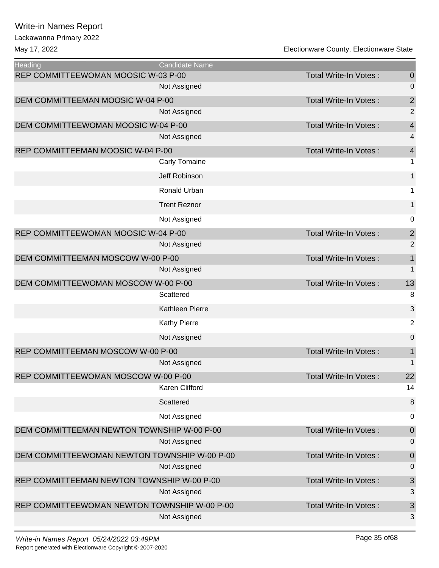| Heading                                      | <b>Candidate Name</b> |                              |                          |
|----------------------------------------------|-----------------------|------------------------------|--------------------------|
| REP COMMITTEEWOMAN MOOSIC W-03 P-00          |                       | <b>Total Write-In Votes:</b> | $\boldsymbol{0}$         |
|                                              | Not Assigned          |                              | $\mathbf 0$              |
| DEM COMMITTEEMAN MOOSIC W-04 P-00            |                       | Total Write-In Votes:        | $\overline{\mathbf{c}}$  |
|                                              | Not Assigned          |                              | $\overline{2}$           |
| DEM COMMITTEEWOMAN MOOSIC W-04 P-00          |                       | Total Write-In Votes:        | $\overline{\mathcal{A}}$ |
|                                              | Not Assigned          |                              | 4                        |
| REP COMMITTEEMAN MOOSIC W-04 P-00            |                       | <b>Total Write-In Votes:</b> | $\overline{4}$           |
|                                              | Carly Tomaine         |                              | 1                        |
|                                              | Jeff Robinson         |                              | $\mathbf{1}$             |
|                                              | Ronald Urban          |                              | 1                        |
|                                              | <b>Trent Reznor</b>   |                              | $\mathbf{1}$             |
|                                              | Not Assigned          |                              | 0                        |
| REP COMMITTEEWOMAN MOOSIC W-04 P-00          |                       | <b>Total Write-In Votes:</b> | $\overline{c}$           |
|                                              | Not Assigned          |                              | $\overline{2}$           |
| DEM COMMITTEEMAN MOSCOW W-00 P-00            |                       | <b>Total Write-In Votes:</b> | $\mathbf 1$              |
|                                              | Not Assigned          |                              | 1                        |
| DEM COMMITTEEWOMAN MOSCOW W-00 P-00          |                       | Total Write-In Votes:        | 13                       |
|                                              | Scattered             |                              | 8                        |
|                                              | Kathleen Pierre       |                              | 3                        |
|                                              | <b>Kathy Pierre</b>   |                              | $\overline{2}$           |
|                                              | Not Assigned          |                              | $\pmb{0}$                |
| REP COMMITTEEMAN MOSCOW W-00 P-00            |                       | <b>Total Write-In Votes:</b> | $\mathbf 1$              |
|                                              | Not Assigned          |                              | 1                        |
| REP COMMITTEEWOMAN MOSCOW W-00 P-00          |                       | Total Write-In Votes:        | 22                       |
|                                              | Karen Clifford        |                              | 14                       |
|                                              | Scattered             |                              | $\boldsymbol{8}$         |
|                                              | Not Assigned          |                              | 0                        |
| DEM COMMITTEEMAN NEWTON TOWNSHIP W-00 P-00   |                       | <b>Total Write-In Votes:</b> | $\theta$                 |
|                                              | Not Assigned          |                              | $\mathbf 0$              |
| DEM COMMITTEEWOMAN NEWTON TOWNSHIP W-00 P-00 |                       | Total Write-In Votes:        | $\theta$                 |
|                                              | Not Assigned          |                              | $\mathbf 0$              |
| REP COMMITTEEMAN NEWTON TOWNSHIP W-00 P-00   |                       | <b>Total Write-In Votes:</b> | $\mathfrak{S}$           |
|                                              | Not Assigned          |                              | 3                        |
| REP COMMITTEEWOMAN NEWTON TOWNSHIP W-00 P-00 |                       | Total Write-In Votes:        | $\mathsf 3$              |
|                                              | Not Assigned          |                              | 3                        |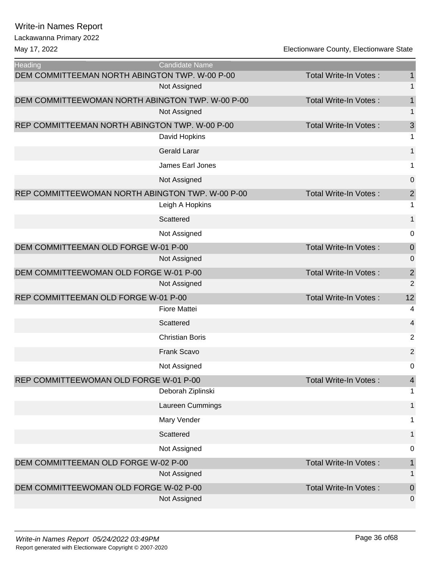| <b>Heading</b>                                   | <b>Candidate Name</b>  |                              |                  |
|--------------------------------------------------|------------------------|------------------------------|------------------|
| DEM COMMITTEEMAN NORTH ABINGTON TWP. W-00 P-00   |                        | <b>Total Write-In Votes:</b> | 1                |
|                                                  | Not Assigned           |                              | 1                |
| DEM COMMITTEEWOMAN NORTH ABINGTON TWP. W-00 P-00 |                        | Total Write-In Votes:        | $\mathbf 1$      |
|                                                  | Not Assigned           |                              | 1                |
| REP COMMITTEEMAN NORTH ABINGTON TWP. W-00 P-00   |                        | Total Write-In Votes:        | 3                |
|                                                  | David Hopkins          |                              | 1                |
|                                                  | <b>Gerald Larar</b>    |                              | 1                |
|                                                  | James Earl Jones       |                              | 1                |
|                                                  | Not Assigned           |                              | $\pmb{0}$        |
| REP COMMITTEEWOMAN NORTH ABINGTON TWP. W-00 P-00 |                        | Total Write-In Votes:        | $\sqrt{2}$       |
|                                                  | Leigh A Hopkins        |                              | 1                |
|                                                  | Scattered              |                              | 1                |
|                                                  | Not Assigned           |                              | 0                |
| DEM COMMITTEEMAN OLD FORGE W-01 P-00             |                        | Total Write-In Votes:        | $\boldsymbol{0}$ |
|                                                  | Not Assigned           |                              | 0                |
| DEM COMMITTEEWOMAN OLD FORGE W-01 P-00           |                        | <b>Total Write-In Votes:</b> | $\overline{c}$   |
|                                                  | Not Assigned           |                              | $\overline{2}$   |
| REP COMMITTEEMAN OLD FORGE W-01 P-00             |                        | Total Write-In Votes:        | 12               |
|                                                  | <b>Fiore Mattei</b>    |                              | 4                |
|                                                  | Scattered              |                              | 4                |
|                                                  | <b>Christian Boris</b> |                              | $\overline{2}$   |
|                                                  | Frank Scavo            |                              | $\overline{c}$   |
|                                                  | Not Assigned           |                              | 0                |
| REP COMMITTEEWOMAN OLD FORGE W-01 P-00           |                        | Total Write-In Votes:        | 4                |
|                                                  | Deborah Ziplinski      |                              | 1                |
|                                                  | Laureen Cummings       |                              | 1                |
|                                                  | Mary Vender            |                              | 1                |
|                                                  | Scattered              |                              | 1                |
|                                                  | Not Assigned           |                              | 0                |
| DEM COMMITTEEMAN OLD FORGE W-02 P-00             |                        | <b>Total Write-In Votes:</b> | $\mathbf 1$      |
|                                                  | Not Assigned           |                              | 1                |
| DEM COMMITTEEWOMAN OLD FORGE W-02 P-00           |                        | Total Write-In Votes:        | $\mathbf 0$      |
|                                                  | Not Assigned           |                              | 0                |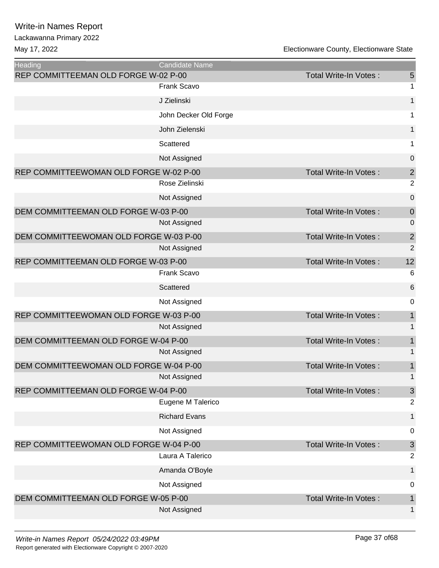| REP COMMITTEEMAN OLD FORGE W-02 P-00<br>5<br>Total Write-In Votes:<br><b>Frank Scavo</b><br>1<br>$\mathbf{1}$<br>J Zielinski<br>John Decker Old Forge<br>1<br>$\mathbf{1}$<br>John Zielenski |
|----------------------------------------------------------------------------------------------------------------------------------------------------------------------------------------------|
|                                                                                                                                                                                              |
|                                                                                                                                                                                              |
|                                                                                                                                                                                              |
|                                                                                                                                                                                              |
|                                                                                                                                                                                              |
| Scattered<br>1                                                                                                                                                                               |
| $\mathbf 0$<br>Not Assigned                                                                                                                                                                  |
| $\overline{\mathbf{c}}$<br>REP COMMITTEEWOMAN OLD FORGE W-02 P-00<br>Total Write-In Votes:                                                                                                   |
| $\overline{2}$<br>Rose Zielinski                                                                                                                                                             |
| $\mathbf 0$<br>Not Assigned                                                                                                                                                                  |
| DEM COMMITTEEMAN OLD FORGE W-03 P-00<br>Total Write-In Votes:<br>$\mathbf 0$                                                                                                                 |
| Not Assigned<br>0                                                                                                                                                                            |
| $\overline{c}$<br>DEM COMMITTEEWOMAN OLD FORGE W-03 P-00<br>Total Write-In Votes:                                                                                                            |
| $\overline{2}$<br>Not Assigned                                                                                                                                                               |
| 12<br>REP COMMITTEEMAN OLD FORGE W-03 P-00<br>Total Write-In Votes:                                                                                                                          |
| <b>Frank Scavo</b><br>6                                                                                                                                                                      |
| 6<br>Scattered                                                                                                                                                                               |
| 0<br>Not Assigned                                                                                                                                                                            |
| $\mathbf 1$<br>REP COMMITTEEWOMAN OLD FORGE W-03 P-00<br>Total Write-In Votes:                                                                                                               |
| 1<br>Not Assigned                                                                                                                                                                            |
| $\mathbf 1$<br>DEM COMMITTEEMAN OLD FORGE W-04 P-00<br>Total Write-In Votes:                                                                                                                 |
| 1<br>Not Assigned                                                                                                                                                                            |
| $\mathbf 1$<br>DEM COMMITTEEWOMAN OLD FORGE W-04 P-00<br>Total Write-In Votes:                                                                                                               |
| 1<br>Not Assigned                                                                                                                                                                            |
| $\sqrt{3}$<br>REP COMMITTEEMAN OLD FORGE W-04 P-00<br>Total Write-In Votes:                                                                                                                  |
| Eugene M Talerico<br>2                                                                                                                                                                       |
| <b>Richard Evans</b><br>1                                                                                                                                                                    |
| Not Assigned<br>0                                                                                                                                                                            |
| REP COMMITTEEWOMAN OLD FORGE W-04 P-00<br>$\sqrt{3}$<br>Total Write-In Votes:                                                                                                                |
| Laura A Talerico<br>2                                                                                                                                                                        |
| Amanda O'Boyle<br>1                                                                                                                                                                          |
| Not Assigned<br>0                                                                                                                                                                            |
| DEM COMMITTEEMAN OLD FORGE W-05 P-00<br><b>Total Write-In Votes:</b><br>$\mathbf 1$                                                                                                          |
| Not Assigned<br>1                                                                                                                                                                            |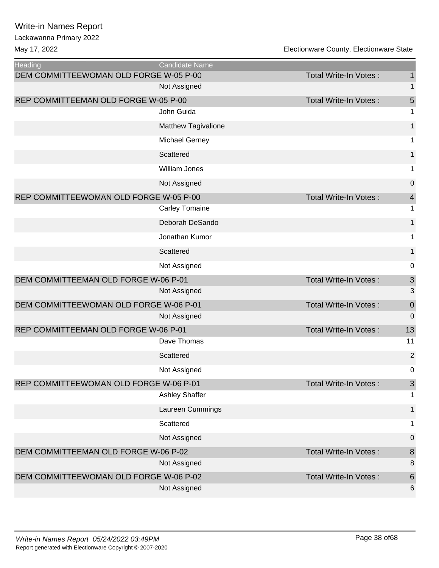| <b>Heading</b>                         | <b>Candidate Name</b> |                              |                  |
|----------------------------------------|-----------------------|------------------------------|------------------|
| DEM COMMITTEEWOMAN OLD FORGE W-05 P-00 |                       | <b>Total Write-In Votes:</b> | $\mathbf{1}$     |
|                                        | Not Assigned          |                              | 1                |
| REP COMMITTEEMAN OLD FORGE W-05 P-00   |                       | Total Write-In Votes:        | 5                |
|                                        | John Guida            |                              | 1                |
|                                        | Matthew Tagivalione   |                              | 1                |
|                                        | <b>Michael Gerney</b> |                              | 1                |
|                                        | Scattered             |                              | 1                |
|                                        | <b>William Jones</b>  |                              | 1                |
|                                        | Not Assigned          |                              | $\pmb{0}$        |
| REP COMMITTEEWOMAN OLD FORGE W-05 P-00 |                       | <b>Total Write-In Votes:</b> | $\overline{4}$   |
|                                        | <b>Carley Tomaine</b> |                              | 1                |
|                                        | Deborah DeSando       |                              | $\mathbf{1}$     |
|                                        | Jonathan Kumor        |                              | 1                |
|                                        | Scattered             |                              | $\mathbf{1}$     |
|                                        | Not Assigned          |                              | 0                |
| DEM COMMITTEEMAN OLD FORGE W-06 P-01   |                       | Total Write-In Votes:        | $\sqrt{3}$       |
|                                        | Not Assigned          |                              | 3                |
| DEM COMMITTEEWOMAN OLD FORGE W-06 P-01 |                       | <b>Total Write-In Votes:</b> | $\boldsymbol{0}$ |
|                                        | Not Assigned          |                              | $\mathbf 0$      |
| REP COMMITTEEMAN OLD FORGE W-06 P-01   |                       | <b>Total Write-In Votes:</b> | 13               |
|                                        | Dave Thomas           |                              | 11               |
|                                        | Scattered             |                              | $\mathbf 2$      |
|                                        | Not Assigned          |                              | 0                |
| REP COMMITTEEWOMAN OLD FORGE W-06 P-01 |                       | Total Write-In Votes :       | 3                |
|                                        | <b>Ashley Shaffer</b> |                              | 1                |
|                                        | Laureen Cummings      |                              | 1                |
|                                        | Scattered             |                              | 1                |
|                                        | Not Assigned          |                              | $\pmb{0}$        |
| DEM COMMITTEEMAN OLD FORGE W-06 P-02   |                       | Total Write-In Votes:        | $\bf 8$          |
|                                        | Not Assigned          |                              | $\,8\,$          |
| DEM COMMITTEEWOMAN OLD FORGE W-06 P-02 |                       | Total Write-In Votes:        | $\,$ 6 $\,$      |
|                                        | Not Assigned          |                              | 6                |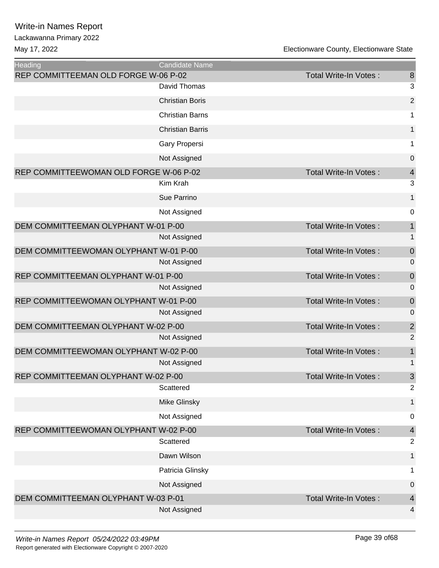| Heading                                | Candidate Name          |                              |                  |
|----------------------------------------|-------------------------|------------------------------|------------------|
| REP COMMITTEEMAN OLD FORGE W-06 P-02   |                         | Total Write-In Votes:        | 8                |
|                                        | David Thomas            |                              | 3                |
|                                        | <b>Christian Boris</b>  |                              | $\overline{2}$   |
|                                        | <b>Christian Barns</b>  |                              | 1                |
|                                        | <b>Christian Barris</b> |                              | $\mathbf{1}$     |
|                                        | Gary Propersi           |                              | $\mathbf{1}$     |
|                                        | Not Assigned            |                              | $\boldsymbol{0}$ |
| REP COMMITTEEWOMAN OLD FORGE W-06 P-02 |                         | Total Write-In Votes:        | $\overline{4}$   |
|                                        | Kim Krah                |                              | 3                |
|                                        | Sue Parrino             |                              | $\mathbf{1}$     |
|                                        | Not Assigned            |                              | $\mathbf 0$      |
| DEM COMMITTEEMAN OLYPHANT W-01 P-00    |                         | Total Write-In Votes:        | $\mathbf{1}$     |
|                                        | Not Assigned            |                              | 1                |
| DEM COMMITTEEWOMAN OLYPHANT W-01 P-00  |                         | Total Write-In Votes:        | $\mathbf 0$      |
|                                        | Not Assigned            |                              | 0                |
| REP COMMITTEEMAN OLYPHANT W-01 P-00    |                         | Total Write-In Votes:        | $\mathbf 0$      |
|                                        | Not Assigned            |                              | 0                |
| REP COMMITTEEWOMAN OLYPHANT W-01 P-00  |                         | <b>Total Write-In Votes:</b> | $\mathbf 0$      |
|                                        | Not Assigned            |                              | $\mathbf 0$      |
| DEM COMMITTEEMAN OLYPHANT W-02 P-00    |                         | Total Write-In Votes:        | $\mathbf 2$      |
|                                        | Not Assigned            |                              | $\overline{2}$   |
| DEM COMMITTEEWOMAN OLYPHANT W-02 P-00  |                         | Total Write-In Votes:        | 1                |
|                                        | Not Assigned            |                              | 1                |
| REP COMMITTEEMAN OLYPHANT W-02 P-00    |                         | Total Write-In Votes:        | 3                |
|                                        | Scattered               |                              | $\overline{2}$   |
|                                        | Mike Glinsky            |                              | 1                |
|                                        | Not Assigned            |                              | $\mathbf 0$      |
| REP COMMITTEEWOMAN OLYPHANT W-02 P-00  |                         | Total Write-In Votes:        | $\overline{4}$   |
|                                        | Scattered               |                              | $\overline{2}$   |
|                                        | Dawn Wilson             |                              | $\mathbf{1}$     |
|                                        | Patricia Glinsky        |                              | 1                |
|                                        | Not Assigned            |                              | 0                |
| DEM COMMITTEEMAN OLYPHANT W-03 P-01    |                         | Total Write-In Votes:        | $\overline{4}$   |
|                                        | Not Assigned            |                              | 4                |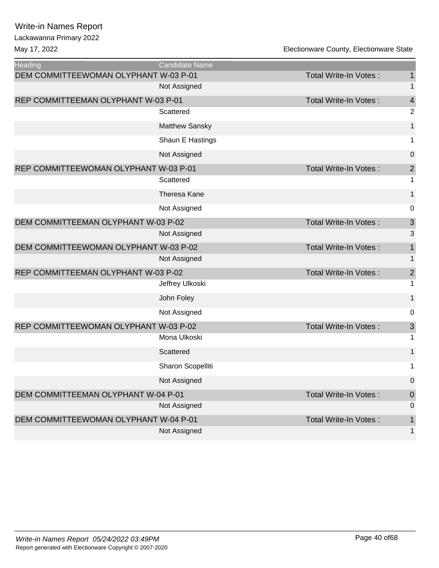| <b>Heading</b>                        | <b>Candidate Name</b> |                              |                          |
|---------------------------------------|-----------------------|------------------------------|--------------------------|
| DEM COMMITTEEWOMAN OLYPHANT W-03 P-01 |                       | Total Write-In Votes:        | $\mathbf{1}$             |
|                                       | Not Assigned          |                              | 1                        |
| REP COMMITTEEMAN OLYPHANT W-03 P-01   |                       | <b>Total Write-In Votes:</b> | $\overline{\mathcal{A}}$ |
|                                       | Scattered             |                              | $\overline{2}$           |
|                                       | <b>Matthew Sansky</b> |                              | 1                        |
|                                       | Shaun E Hastings      |                              | 1                        |
|                                       | Not Assigned          |                              | 0                        |
| REP COMMITTEEWOMAN OLYPHANT W-03 P-01 |                       | Total Write-In Votes:        | $\overline{\mathbf{c}}$  |
|                                       | Scattered             |                              | 1                        |
|                                       | Theresa Kane          |                              | 1                        |
|                                       | Not Assigned          |                              | 0                        |
| DEM COMMITTEEMAN OLYPHANT W-03 P-02   |                       | Total Write-In Votes:        | $\mathsf 3$              |
|                                       | Not Assigned          |                              | 3                        |
| DEM COMMITTEEWOMAN OLYPHANT W-03 P-02 |                       | Total Write-In Votes:        | $\mathbf 1$              |
|                                       | Not Assigned          |                              | 1                        |
| REP COMMITTEEMAN OLYPHANT W-03 P-02   |                       | Total Write-In Votes:        | $\overline{c}$           |
|                                       | Jeffrey Ulkoski       |                              | 1                        |
|                                       | John Foley            |                              | $\mathbf{1}$             |
|                                       | Not Assigned          |                              | 0                        |
| REP COMMITTEEWOMAN OLYPHANT W-03 P-02 |                       | Total Write-In Votes:        | $\mathsf 3$              |
|                                       | Mona Ulkoski          |                              | 1                        |
|                                       | Scattered             |                              | $\mathbf{1}$             |
|                                       | Sharon Scopelliti     |                              | 1                        |
|                                       | Not Assigned          |                              | 0                        |
| DEM COMMITTEEMAN OLYPHANT W-04 P-01   |                       | Total Write-In Votes:        | $\boldsymbol{0}$         |
|                                       | Not Assigned          |                              | $\boldsymbol{0}$         |
| DEM COMMITTEEWOMAN OLYPHANT W-04 P-01 |                       | <b>Total Write-In Votes:</b> | $\mathbf 1$              |
|                                       | Not Assigned          |                              | 1                        |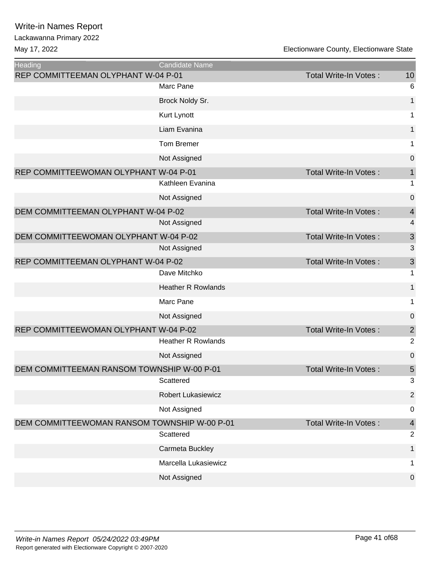| Heading                                      | <b>Candidate Name</b>     |                              |                  |
|----------------------------------------------|---------------------------|------------------------------|------------------|
| REP COMMITTEEMAN OLYPHANT W-04 P-01          |                           | Total Write-In Votes:        | 10               |
|                                              | Marc Pane                 |                              | 6                |
|                                              | Brock Noldy Sr.           |                              | 1                |
|                                              | Kurt Lynott               |                              | 1                |
|                                              | Liam Evanina              |                              | $\mathbf{1}$     |
|                                              | Tom Bremer                |                              | 1                |
|                                              | Not Assigned              |                              | $\pmb{0}$        |
| REP COMMITTEEWOMAN OLYPHANT W-04 P-01        |                           | Total Write-In Votes:        | $\mathbf 1$      |
|                                              | Kathleen Evanina          |                              | 1                |
|                                              | Not Assigned              |                              | $\pmb{0}$        |
| DEM COMMITTEEMAN OLYPHANT W-04 P-02          |                           | Total Write-In Votes:        | $\overline{4}$   |
|                                              | Not Assigned              |                              | 4                |
| DEM COMMITTEEWOMAN OLYPHANT W-04 P-02        |                           | Total Write-In Votes:        | $\mathfrak{S}$   |
|                                              | Not Assigned              |                              | 3                |
| REP COMMITTEEMAN OLYPHANT W-04 P-02          |                           | Total Write-In Votes:        | 3                |
|                                              | Dave Mitchko              |                              | 1                |
|                                              | <b>Heather R Rowlands</b> |                              | $\mathbf{1}$     |
|                                              | Marc Pane                 |                              | 1                |
|                                              | Not Assigned              |                              | $\boldsymbol{0}$ |
| REP COMMITTEEWOMAN OLYPHANT W-04 P-02        |                           | Total Write-In Votes:        | $\sqrt{2}$       |
|                                              | <b>Heather R Rowlands</b> |                              | $\overline{2}$   |
|                                              | Not Assigned              |                              | $\pmb{0}$        |
| DEM COMMITTEEMAN RANSOM TOWNSHIP W-00 P-01   |                           | <b>Total Write-In Votes:</b> | $\sqrt{5}$       |
|                                              | Scattered                 |                              | 3                |
|                                              | <b>Robert Lukasiewicz</b> |                              | $\overline{2}$   |
|                                              | Not Assigned              |                              | $\mathbf 0$      |
| DEM COMMITTEEWOMAN RANSOM TOWNSHIP W-00 P-01 |                           | <b>Total Write-In Votes:</b> | $\overline{4}$   |
|                                              | Scattered                 |                              | $\overline{2}$   |
|                                              | Carmeta Buckley           |                              | 1                |
|                                              | Marcella Lukasiewicz      |                              | 1                |
|                                              | Not Assigned              |                              | $\mathbf 0$      |
|                                              |                           |                              |                  |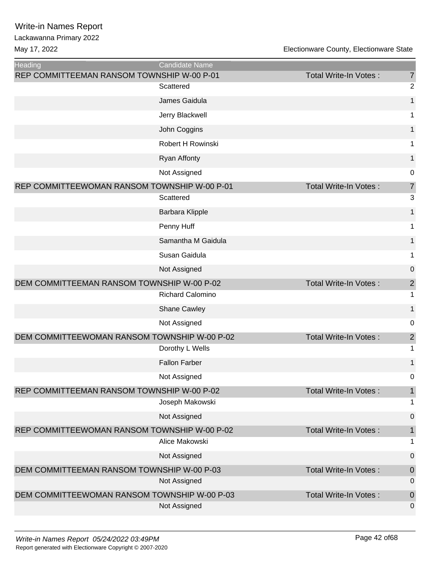| <b>Heading</b>                               | Candidate Name         |                              |                |
|----------------------------------------------|------------------------|------------------------------|----------------|
| REP COMMITTEEMAN RANSOM TOWNSHIP W-00 P-01   |                        | <b>Total Write-In Votes:</b> | $\overline{7}$ |
|                                              | Scattered              |                              | $\overline{c}$ |
|                                              | James Gaidula          |                              | $\mathbf 1$    |
|                                              | Jerry Blackwell        |                              | 1              |
|                                              | John Coggins           |                              | 1              |
|                                              | Robert H Rowinski      |                              | 1              |
|                                              | <b>Ryan Affonty</b>    |                              | 1              |
|                                              | Not Assigned           |                              | 0              |
| REP COMMITTEEWOMAN RANSOM TOWNSHIP W-00 P-01 |                        | <b>Total Write-In Votes:</b> | $\overline{7}$ |
|                                              | Scattered              |                              | 3              |
|                                              | <b>Barbara Klipple</b> |                              | 1              |
|                                              | Penny Huff             |                              | 1              |
|                                              | Samantha M Gaidula     |                              | 1              |
|                                              | Susan Gaidula          |                              | 1              |
|                                              | Not Assigned           |                              | 0              |
| DEM COMMITTEEMAN RANSOM TOWNSHIP W-00 P-02   |                        | <b>Total Write-In Votes:</b> | $\overline{2}$ |
|                                              | Richard Calomino       |                              | 1              |
|                                              | <b>Shane Cawley</b>    |                              | 1              |
|                                              | Not Assigned           |                              | 0              |
| DEM COMMITTEEWOMAN RANSOM TOWNSHIP W-00 P-02 |                        | <b>Total Write-In Votes:</b> | $\mathbf 2$    |
|                                              | Dorothy L Wells        |                              | 1              |
|                                              | <b>Fallon Farber</b>   |                              | 1              |
|                                              | Not Assigned           |                              | 0              |
| REP COMMITTEEMAN RANSOM TOWNSHIP W-00 P-02   |                        | <b>Total Write-In Votes:</b> | $\mathbf{1}$   |
|                                              | Joseph Makowski        |                              | 1              |
|                                              | Not Assigned           |                              | $\mathbf 0$    |
| REP COMMITTEEWOMAN RANSOM TOWNSHIP W-00 P-02 |                        | Total Write-In Votes:        | $\mathbf{1}$   |
|                                              | Alice Makowski         |                              | 1              |
|                                              | Not Assigned           |                              | $\pmb{0}$      |
| DEM COMMITTEEMAN RANSOM TOWNSHIP W-00 P-03   |                        | Total Write-In Votes:        | $\mathbf 0$    |
|                                              | Not Assigned           |                              | 0              |
| DEM COMMITTEEWOMAN RANSOM TOWNSHIP W-00 P-03 |                        | Total Write-In Votes:        | $\mathbf 0$    |
|                                              | Not Assigned           |                              | 0              |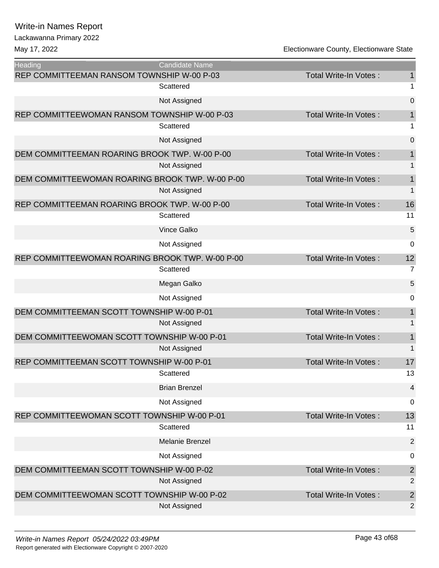#### Lackawanna Primary 2022

| <b>Heading</b>                                  | <b>Candidate Name</b> |                              |                |
|-------------------------------------------------|-----------------------|------------------------------|----------------|
| REP COMMITTEEMAN RANSOM TOWNSHIP W-00 P-03      |                       | <b>Total Write-In Votes:</b> | 1              |
|                                                 | Scattered             |                              | 1              |
|                                                 | Not Assigned          |                              | $\overline{0}$ |
| REP COMMITTEEWOMAN RANSOM TOWNSHIP W-00 P-03    |                       | <b>Total Write-In Votes:</b> | 1              |
|                                                 | Scattered             |                              | 1              |
|                                                 | Not Assigned          |                              | $\overline{0}$ |
| DEM COMMITTEEMAN ROARING BROOK TWP. W-00 P-00   |                       | <b>Total Write-In Votes:</b> | $\mathbf{1}$   |
|                                                 | Not Assigned          |                              | 1              |
| DEM COMMITTEEWOMAN ROARING BROOK TWP. W-00 P-00 |                       | Total Write-In Votes:        | $\mathbf 1$    |
|                                                 | Not Assigned          |                              | $\mathbf 1$    |
| REP COMMITTEEMAN ROARING BROOK TWP. W-00 P-00   |                       | Total Write-In Votes:        | 16             |
|                                                 | Scattered             |                              | 11             |
|                                                 | <b>Vince Galko</b>    |                              | 5              |
|                                                 | Not Assigned          |                              | 0              |
| REP COMMITTEEWOMAN ROARING BROOK TWP. W-00 P-00 |                       | <b>Total Write-In Votes:</b> | 12             |
|                                                 | Scattered             |                              | $\overline{7}$ |
|                                                 | Megan Galko           |                              | 5              |
|                                                 | Not Assigned          |                              | 0              |
| DEM COMMITTEEMAN SCOTT TOWNSHIP W-00 P-01       |                       | <b>Total Write-In Votes:</b> | $\mathbf{1}$   |
|                                                 | Not Assigned          |                              | 1              |
| DEM COMMITTEEWOMAN SCOTT TOWNSHIP W-00 P-01     |                       | Total Write-In Votes:        | $\mathbf{1}$   |
|                                                 | Not Assigned          |                              | $\mathbf 1$    |
| REP COMMITTEEMAN SCOTT TOWNSHIP W-00 P-01       |                       | Total Write-In Votes:        | 17             |
|                                                 | Scattered             |                              | 13             |
|                                                 | <b>Brian Brenzel</b>  |                              | $\overline{4}$ |
|                                                 | Not Assigned          |                              | 0              |
| REP COMMITTEEWOMAN SCOTT TOWNSHIP W-00 P-01     |                       | <b>Total Write-In Votes:</b> | 13             |
|                                                 | Scattered             |                              | 11             |
|                                                 | Melanie Brenzel       |                              | $\overline{2}$ |
|                                                 | Not Assigned          |                              | $\pmb{0}$      |
| DEM COMMITTEEMAN SCOTT TOWNSHIP W-00 P-02       |                       | <b>Total Write-In Votes:</b> | $\overline{2}$ |
|                                                 | Not Assigned          |                              | $\overline{2}$ |
| DEM COMMITTEEWOMAN SCOTT TOWNSHIP W-00 P-02     |                       | Total Write-In Votes:        | $\overline{c}$ |
|                                                 | Not Assigned          |                              | $\overline{2}$ |
|                                                 |                       |                              |                |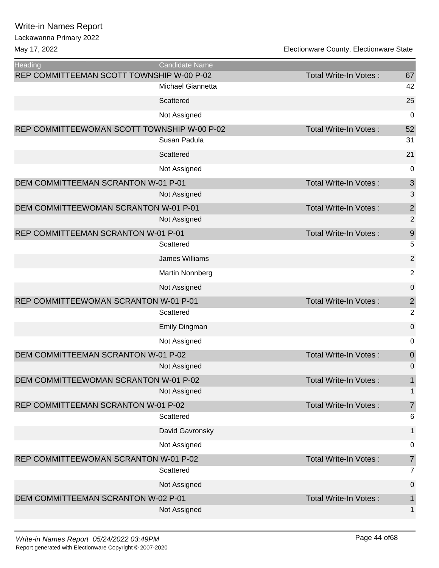| onawanna i mnary zu |  |
|---------------------|--|
| w 17 2022           |  |

| Heading                                     | <b>Candidate Name</b> |                              |                           |
|---------------------------------------------|-----------------------|------------------------------|---------------------------|
| REP COMMITTEEMAN SCOTT TOWNSHIP W-00 P-02   |                       | Total Write-In Votes:        | 67                        |
|                                             | Michael Giannetta     |                              | 42                        |
|                                             | Scattered             |                              | 25                        |
|                                             | Not Assigned          |                              | $\mathbf 0$               |
| REP COMMITTEEWOMAN SCOTT TOWNSHIP W-00 P-02 |                       | Total Write-In Votes:        | 52                        |
|                                             | Susan Padula          |                              | 31                        |
|                                             | Scattered             |                              | 21                        |
|                                             | Not Assigned          |                              | $\mathbf 0$               |
| DEM COMMITTEEMAN SCRANTON W-01 P-01         |                       | <b>Total Write-In Votes:</b> | $\ensuremath{\mathsf{3}}$ |
|                                             | Not Assigned          |                              | 3                         |
| DEM COMMITTEEWOMAN SCRANTON W-01 P-01       |                       | Total Write-In Votes:        | $\overline{\mathbf{c}}$   |
|                                             | Not Assigned          |                              | $\overline{2}$            |
| REP COMMITTEEMAN SCRANTON W-01 P-01         |                       | <b>Total Write-In Votes:</b> | $\boldsymbol{9}$          |
|                                             | Scattered             |                              | 5                         |
|                                             | James Williams        |                              | $\overline{2}$            |
|                                             | Martin Nonnberg       |                              | $\overline{2}$            |
|                                             | Not Assigned          |                              | $\mathbf 0$               |
| REP COMMITTEEWOMAN SCRANTON W-01 P-01       |                       | Total Write-In Votes:        | $\sqrt{2}$                |
|                                             | Scattered             |                              | $\overline{2}$            |
|                                             | Emily Dingman         |                              | $\mathbf 0$               |
|                                             | Not Assigned          |                              | 0                         |
| DEM COMMITTEEMAN SCRANTON W-01 P-02         |                       | <b>Total Write-In Votes:</b> | $\boldsymbol{0}$          |
|                                             | Not Assigned          |                              | 0                         |
| DEM COMMITTEEWOMAN SCRANTON W-01 P-02       |                       | Total Write-In Votes:        | 1                         |
|                                             | Not Assigned          |                              | $\mathbf{1}$              |
| REP COMMITTEEMAN SCRANTON W-01 P-02         |                       | <b>Total Write-In Votes:</b> | $\overline{7}$            |
|                                             | Scattered             |                              | 6                         |
|                                             | David Gavronsky       |                              | 1                         |
|                                             | Not Assigned          |                              | 0                         |
| REP COMMITTEEWOMAN SCRANTON W-01 P-02       |                       | <b>Total Write-In Votes:</b> | $\overline{7}$            |
|                                             | Scattered             |                              | $\overline{7}$            |
|                                             | Not Assigned          |                              | 0                         |
| DEM COMMITTEEMAN SCRANTON W-02 P-01         |                       | <b>Total Write-In Votes:</b> | 1                         |
|                                             | Not Assigned          |                              | 1                         |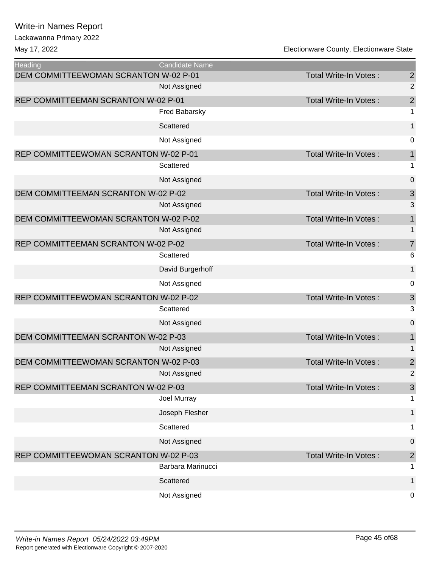| <b>Heading</b>                        | <b>Candidate Name</b> |                              |                           |
|---------------------------------------|-----------------------|------------------------------|---------------------------|
| DEM COMMITTEEWOMAN SCRANTON W-02 P-01 |                       | <b>Total Write-In Votes:</b> | $\overline{\mathbf{c}}$   |
|                                       | Not Assigned          |                              | $\overline{2}$            |
| REP COMMITTEEMAN SCRANTON W-02 P-01   |                       | <b>Total Write-In Votes:</b> | $\overline{\mathbf{c}}$   |
|                                       | Fred Babarsky         |                              | $\mathbf{1}$              |
|                                       | Scattered             |                              | $\mathbf{1}$              |
|                                       | Not Assigned          |                              | 0                         |
| REP COMMITTEEWOMAN SCRANTON W-02 P-01 |                       | <b>Total Write-In Votes:</b> | $\mathbf 1$               |
|                                       | Scattered             |                              | $\mathbf 1$               |
|                                       | Not Assigned          |                              | $\mathbf 0$               |
| DEM COMMITTEEMAN SCRANTON W-02 P-02   |                       | <b>Total Write-In Votes:</b> | $\mathfrak{S}$            |
|                                       | Not Assigned          |                              | 3                         |
| DEM COMMITTEEWOMAN SCRANTON W-02 P-02 |                       | Total Write-In Votes:        | $\mathbf 1$               |
|                                       | Not Assigned          |                              | $\mathbf{1}$              |
| REP COMMITTEEMAN SCRANTON W-02 P-02   |                       | Total Write-In Votes:        | $\overline{7}$            |
|                                       | Scattered             |                              | 6                         |
|                                       | David Burgerhoff      |                              | $\mathbf 1$               |
|                                       | Not Assigned          |                              | $\pmb{0}$                 |
| REP COMMITTEEWOMAN SCRANTON W-02 P-02 |                       | <b>Total Write-In Votes:</b> | $\ensuremath{\mathsf{3}}$ |
|                                       | Scattered             |                              | 3                         |
|                                       | Not Assigned          |                              | $\mathbf 0$               |
| DEM COMMITTEEMAN SCRANTON W-02 P-03   |                       | Total Write-In Votes:        | $\mathbf{1}$              |
|                                       | Not Assigned          |                              | $\mathbf{1}$              |
| DEM COMMITTEEWOMAN SCRANTON W-02 P-03 |                       | Total Write-In Votes:        | $\overline{c}$            |
|                                       | Not Assigned          |                              | $\overline{2}$            |
| REP COMMITTEEMAN SCRANTON W-02 P-03   |                       | Total Write-In Votes:        | $\mathfrak{S}$            |
|                                       | Joel Murray           |                              | 1                         |
|                                       | Joseph Flesher        |                              | $\mathbf 1$               |
|                                       | Scattered             |                              | 1                         |
|                                       | Not Assigned          |                              | $\overline{0}$            |
| REP COMMITTEEWOMAN SCRANTON W-02 P-03 |                       | Total Write-In Votes:        | $\overline{c}$            |
|                                       | Barbara Marinucci     |                              | 1                         |
|                                       | Scattered             |                              | 1                         |
|                                       | Not Assigned          |                              | 0                         |
|                                       |                       |                              |                           |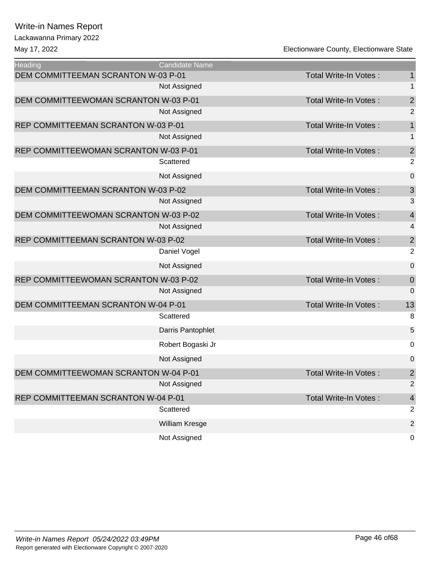Lackawanna Primary 2022

| Heading                               | <b>Candidate Name</b> |                              |                         |
|---------------------------------------|-----------------------|------------------------------|-------------------------|
| DEM COMMITTEEMAN SCRANTON W-03 P-01   |                       | Total Write-In Votes:        | 1                       |
|                                       | Not Assigned          |                              | 1                       |
| DEM COMMITTEEWOMAN SCRANTON W-03 P-01 |                       | <b>Total Write-In Votes:</b> | $\overline{\mathbf{c}}$ |
|                                       | Not Assigned          |                              | $\overline{2}$          |
| REP COMMITTEEMAN SCRANTON W-03 P-01   |                       | Total Write-In Votes:        | $\mathbf 1$             |
|                                       | Not Assigned          |                              | 1                       |
| REP COMMITTEEWOMAN SCRANTON W-03 P-01 |                       | <b>Total Write-In Votes:</b> | $\overline{c}$          |
|                                       | Scattered             |                              | $\overline{2}$          |
|                                       | Not Assigned          |                              | $\pmb{0}$               |
| DEM COMMITTEEMAN SCRANTON W-03 P-02   |                       | <b>Total Write-In Votes:</b> | $\mathsf 3$             |
|                                       | Not Assigned          |                              | 3                       |
| DEM COMMITTEEWOMAN SCRANTON W-03 P-02 |                       | Total Write-In Votes:        | $\overline{4}$          |
|                                       | Not Assigned          |                              | 4                       |
| REP COMMITTEEMAN SCRANTON W-03 P-02   |                       | Total Write-In Votes:        | $\overline{\mathbf{c}}$ |
|                                       | Daniel Vogel          |                              | $\overline{2}$          |
|                                       | Not Assigned          |                              | $\mathbf 0$             |
| REP COMMITTEEWOMAN SCRANTON W-03 P-02 |                       | <b>Total Write-In Votes:</b> | $\mathbf 0$             |
|                                       | Not Assigned          |                              | $\mathbf 0$             |
| DEM COMMITTEEMAN SCRANTON W-04 P-01   |                       | Total Write-In Votes:        | 13                      |
|                                       | Scattered             |                              | 8                       |
|                                       | Darris Pantophlet     |                              | 5                       |
|                                       | Robert Bogaski Jr     |                              | 0                       |
|                                       | Not Assigned          |                              | 0                       |
| DEM COMMITTEEWOMAN SCRANTON W-04 P-01 |                       | <b>Total Write-In Votes:</b> | $\overline{2}$          |
|                                       | Not Assigned          |                              | $\overline{c}$          |
| REP COMMITTEEMAN SCRANTON W-04 P-01   |                       | Total Write-In Votes:        | $\overline{4}$          |
|                                       | Scattered             |                              | $\overline{2}$          |
|                                       | William Kresge        |                              | $\overline{2}$          |
|                                       | Not Assigned          |                              | 0                       |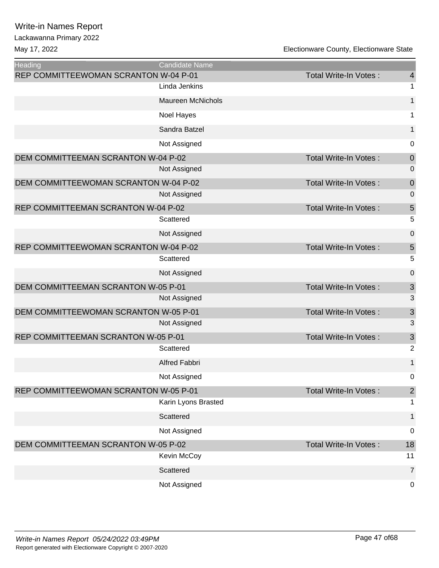| <b>Heading</b>                        | <b>Candidate Name</b>    |                              |                         |
|---------------------------------------|--------------------------|------------------------------|-------------------------|
| REP COMMITTEEWOMAN SCRANTON W-04 P-01 |                          | <b>Total Write-In Votes:</b> | $\overline{4}$          |
|                                       | Linda Jenkins            |                              | 1                       |
|                                       | <b>Maureen McNichols</b> |                              | $\mathbf 1$             |
|                                       | Noel Hayes               |                              | 1                       |
|                                       | Sandra Batzel            |                              | 1                       |
|                                       | Not Assigned             |                              | 0                       |
| DEM COMMITTEEMAN SCRANTON W-04 P-02   |                          | Total Write-In Votes:        | $\boldsymbol{0}$        |
|                                       | Not Assigned             |                              | $\boldsymbol{0}$        |
| DEM COMMITTEEWOMAN SCRANTON W-04 P-02 |                          | Total Write-In Votes:        | $\boldsymbol{0}$        |
|                                       | Not Assigned             |                              | $\mathbf 0$             |
| REP COMMITTEEMAN SCRANTON W-04 P-02   |                          | Total Write-In Votes:        | 5                       |
|                                       | Scattered                |                              | 5                       |
|                                       | Not Assigned             |                              | $\pmb{0}$               |
| REP COMMITTEEWOMAN SCRANTON W-04 P-02 |                          | Total Write-In Votes:        | $\overline{5}$          |
|                                       | Scattered                |                              | 5                       |
|                                       | Not Assigned             |                              | $\pmb{0}$               |
| DEM COMMITTEEMAN SCRANTON W-05 P-01   |                          | Total Write-In Votes:        | $\mathfrak{S}$          |
|                                       | Not Assigned             |                              | 3                       |
| DEM COMMITTEEWOMAN SCRANTON W-05 P-01 |                          | Total Write-In Votes:        | $\mathfrak{S}$          |
|                                       | Not Assigned             |                              | 3                       |
| REP COMMITTEEMAN SCRANTON W-05 P-01   |                          | Total Write-In Votes:        | $\mathfrak{S}$          |
|                                       | Scattered                |                              | $\overline{2}$          |
|                                       | Alfred Fabbri            |                              | $\mathbf{1}$            |
|                                       | Not Assigned             |                              | 0                       |
| REP COMMITTEEWOMAN SCRANTON W-05 P-01 |                          | Total Write-In Votes:        | $\overline{\mathbf{c}}$ |
|                                       | Karin Lyons Brasted      |                              | 1                       |
|                                       | Scattered                |                              | $\mathbf{1}$            |
|                                       | Not Assigned             |                              | $\mathbf 0$             |
| DEM COMMITTEEMAN SCRANTON W-05 P-02   |                          | <b>Total Write-In Votes:</b> | 18                      |
|                                       | Kevin McCoy              |                              | 11                      |
|                                       | Scattered                |                              | $\overline{7}$          |
|                                       | Not Assigned             |                              | $\mathbf 0$             |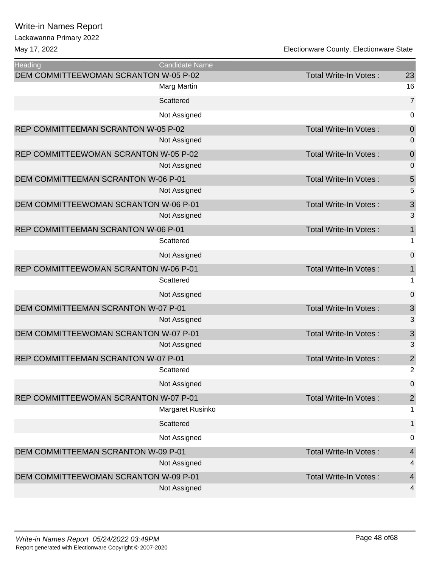| <b>Heading</b>                             | Candidate Name   |                              |                |
|--------------------------------------------|------------------|------------------------------|----------------|
| DEM COMMITTEEWOMAN SCRANTON W-05 P-02      |                  | Total Write-In Votes:        | 23             |
|                                            | Marg Martin      |                              | 16             |
|                                            | Scattered        |                              | $\overline{7}$ |
|                                            | Not Assigned     |                              | 0              |
| REP COMMITTEEMAN SCRANTON W-05 P-02        |                  | Total Write-In Votes:        | $\mathbf 0$    |
|                                            | Not Assigned     |                              | 0              |
| REP COMMITTEEWOMAN SCRANTON W-05 P-02      |                  | Total Write-In Votes:        | $\mathbf 0$    |
|                                            | Not Assigned     |                              | $\mathbf 0$    |
| DEM COMMITTEEMAN SCRANTON W-06 P-01        |                  | Total Write-In Votes:        | 5              |
|                                            | Not Assigned     |                              | 5              |
| DEM COMMITTEEWOMAN SCRANTON W-06 P-01      |                  | Total Write-In Votes:        | 3              |
|                                            | Not Assigned     |                              | 3              |
| REP COMMITTEEMAN SCRANTON W-06 P-01        |                  | Total Write-In Votes:        | 1              |
|                                            | Scattered        |                              | 1              |
|                                            | Not Assigned     |                              | $\mathbf 0$    |
| REP COMMITTEEWOMAN SCRANTON W-06 P-01      |                  | Total Write-In Votes:        | $\mathbf{1}$   |
|                                            | Scattered        |                              | 1              |
|                                            | Not Assigned     |                              | $\mathbf 0$    |
| DEM COMMITTEEMAN SCRANTON W-07 P-01        |                  | Total Write-In Votes:        | $\sqrt{3}$     |
|                                            | Not Assigned     |                              | 3              |
| DEM COMMITTEEWOMAN SCRANTON W-07 P-01      |                  | Total Write-In Votes:        | 3              |
|                                            | Not Assigned     |                              | 3              |
| <b>REP COMMITTEEMAN SCRANTON W-07 P-01</b> |                  | Total Write-In Votes:        | $\overline{2}$ |
|                                            | Scattered        |                              | $\overline{2}$ |
|                                            | Not Assigned     |                              | 0              |
| REP COMMITTEEWOMAN SCRANTON W-07 P-01      |                  | Total Write-In Votes:        | $\overline{2}$ |
|                                            | Margaret Rusinko |                              | 1              |
|                                            | Scattered        |                              | 1              |
|                                            | Not Assigned     |                              | 0              |
| DEM COMMITTEEMAN SCRANTON W-09 P-01        |                  | <b>Total Write-In Votes:</b> | $\overline{4}$ |
|                                            | Not Assigned     |                              | 4              |
| DEM COMMITTEEWOMAN SCRANTON W-09 P-01      |                  | Total Write-In Votes:        | 4              |
|                                            | Not Assigned     |                              | 4              |
|                                            |                  |                              |                |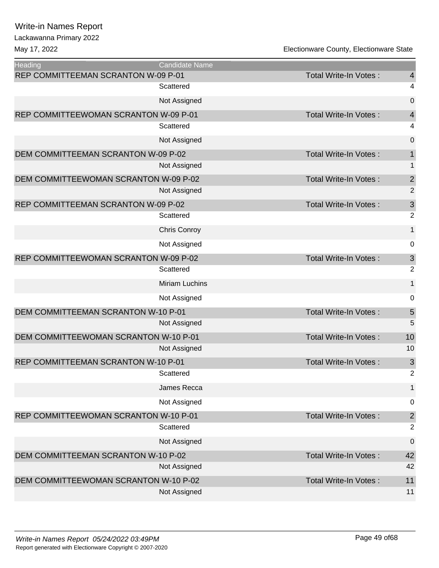Lackawanna Primary 2022

| Heading                               | Candidate Name        |                              |                         |
|---------------------------------------|-----------------------|------------------------------|-------------------------|
| REP COMMITTEEMAN SCRANTON W-09 P-01   |                       | Total Write-In Votes:        | $\overline{4}$          |
|                                       | Scattered             |                              | 4                       |
|                                       | Not Assigned          |                              | $\mathbf 0$             |
| REP COMMITTEEWOMAN SCRANTON W-09 P-01 |                       | <b>Total Write-In Votes:</b> | $\overline{4}$          |
|                                       | Scattered             |                              | 4                       |
|                                       | Not Assigned          |                              | $\mathbf 0$             |
| DEM COMMITTEEMAN SCRANTON W-09 P-02   |                       | Total Write-In Votes:        | $\mathbf 1$             |
|                                       | Not Assigned          |                              | $\mathbf{1}$            |
| DEM COMMITTEEWOMAN SCRANTON W-09 P-02 |                       | Total Write-In Votes:        | $\overline{\mathbf{c}}$ |
|                                       | Not Assigned          |                              | $\overline{2}$          |
| REP COMMITTEEMAN SCRANTON W-09 P-02   |                       | Total Write-In Votes:        | 3                       |
|                                       | Scattered             |                              | $\overline{2}$          |
|                                       | Chris Conroy          |                              | 1                       |
|                                       | Not Assigned          |                              | 0                       |
| REP COMMITTEEWOMAN SCRANTON W-09 P-02 |                       | <b>Total Write-In Votes:</b> | $\mathbf{3}$            |
|                                       | Scattered             |                              | $\overline{2}$          |
|                                       | <b>Miriam Luchins</b> |                              | $\mathbf{1}$            |
|                                       | Not Assigned          |                              | $\mathbf 0$             |
| DEM COMMITTEEMAN SCRANTON W-10 P-01   |                       | <b>Total Write-In Votes:</b> | $\sqrt{5}$              |
|                                       | Not Assigned          |                              | 5                       |
| DEM COMMITTEEWOMAN SCRANTON W-10 P-01 |                       | Total Write-In Votes:        | 10                      |
|                                       | Not Assigned          |                              | 10                      |
| REP COMMITTEEMAN SCRANTON W-10 P-01   |                       | Total Write-In Votes:        | $\mathbf{3}$            |
|                                       | Scattered             |                              | 2                       |
|                                       | James Recca           |                              | $\mathbf{1}$            |
|                                       | Not Assigned          |                              | $\mathbf 0$             |
| REP COMMITTEEWOMAN SCRANTON W-10 P-01 |                       | Total Write-In Votes:        | $\overline{\mathbf{c}}$ |
|                                       | Scattered             |                              | $\overline{2}$          |
|                                       | Not Assigned          |                              | $\mathbf 0$             |
| DEM COMMITTEEMAN SCRANTON W-10 P-02   |                       | Total Write-In Votes:        | 42                      |
|                                       | Not Assigned          |                              | 42                      |
| DEM COMMITTEEWOMAN SCRANTON W-10 P-02 |                       | Total Write-In Votes:        | 11                      |
|                                       | Not Assigned          |                              | 11                      |
|                                       |                       |                              |                         |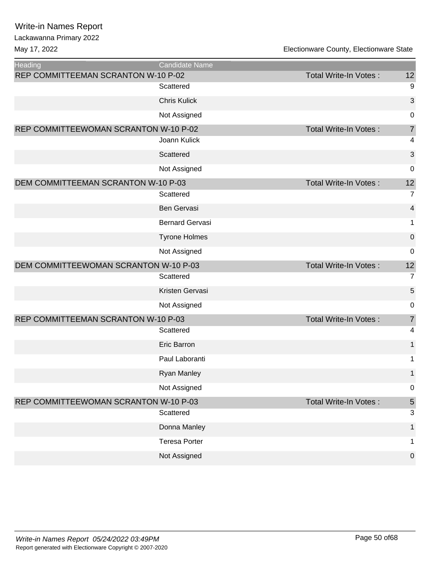Lackawanna Primary 2022

| <b>Heading</b>                        | <b>Candidate Name</b>  |                              |                |
|---------------------------------------|------------------------|------------------------------|----------------|
| REP COMMITTEEMAN SCRANTON W-10 P-02   |                        | Total Write-In Votes:        | 12             |
|                                       | Scattered              |                              | 9              |
|                                       | <b>Chris Kulick</b>    |                              | 3              |
|                                       | Not Assigned           |                              | 0              |
| REP COMMITTEEWOMAN SCRANTON W-10 P-02 |                        | <b>Total Write-In Votes:</b> | 7              |
|                                       | Joann Kulick           |                              | 4              |
|                                       | Scattered              |                              | 3              |
|                                       | Not Assigned           |                              | $\mathbf 0$    |
| DEM COMMITTEEMAN SCRANTON W-10 P-03   |                        | <b>Total Write-In Votes:</b> | 12             |
|                                       | Scattered              |                              | $\overline{7}$ |
|                                       | Ben Gervasi            |                              | 4              |
|                                       | <b>Bernard Gervasi</b> |                              | 1              |
|                                       | <b>Tyrone Holmes</b>   |                              | $\pmb{0}$      |
|                                       | Not Assigned           |                              | 0              |
| DEM COMMITTEEWOMAN SCRANTON W-10 P-03 |                        | Total Write-In Votes:        | 12             |
|                                       | Scattered              |                              | $\overline{7}$ |
|                                       | Kristen Gervasi        |                              | 5              |
|                                       | Not Assigned           |                              | 0              |
| REP COMMITTEEMAN SCRANTON W-10 P-03   |                        | Total Write-In Votes:        | $\overline{7}$ |
|                                       | Scattered              |                              | 4              |
|                                       | <b>Eric Barron</b>     |                              | $\mathbf{1}$   |
|                                       | Paul Laboranti         |                              | 1              |
|                                       | <b>Ryan Manley</b>     |                              | 1              |
|                                       | Not Assigned           |                              | 0              |
| REP COMMITTEEWOMAN SCRANTON W-10 P-03 |                        | <b>Total Write-In Votes:</b> | $\sqrt{5}$     |
|                                       | Scattered              |                              | 3              |
|                                       | Donna Manley           |                              | $\mathbf 1$    |
|                                       | <b>Teresa Porter</b>   |                              | 1              |
|                                       | Not Assigned           |                              | $\mathbf 0$    |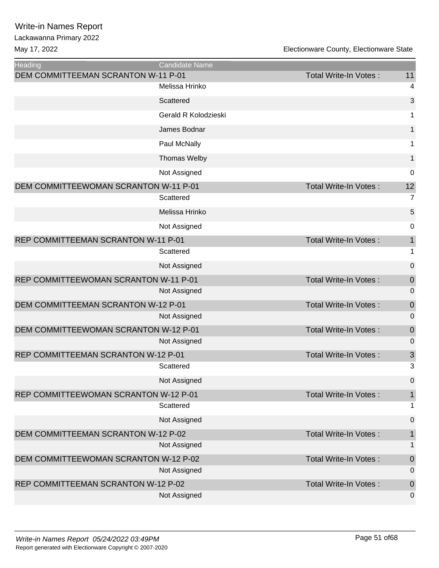| <b>Heading</b>                        | <b>Candidate Name</b> |                              |                  |
|---------------------------------------|-----------------------|------------------------------|------------------|
| DEM COMMITTEEMAN SCRANTON W-11 P-01   |                       | Total Write-In Votes:        | 11               |
|                                       | Melissa Hrinko        |                              | 4                |
|                                       | Scattered             |                              | 3                |
|                                       | Gerald R Kolodzieski  |                              | 1                |
|                                       | James Bodnar          |                              | $\mathbf{1}$     |
|                                       | Paul McNally          |                              | 1                |
|                                       | Thomas Welby          |                              | $\mathbf{1}$     |
|                                       | Not Assigned          |                              | 0                |
| DEM COMMITTEEWOMAN SCRANTON W-11 P-01 |                       | <b>Total Write-In Votes:</b> | 12               |
|                                       | Scattered             |                              | $\overline{7}$   |
|                                       | Melissa Hrinko        |                              | 5                |
|                                       | Not Assigned          |                              | 0                |
| REP COMMITTEEMAN SCRANTON W-11 P-01   |                       | Total Write-In Votes:        | $\mathbf{1}$     |
|                                       | Scattered             |                              | 1                |
|                                       | Not Assigned          |                              | $\boldsymbol{0}$ |
| REP COMMITTEEWOMAN SCRANTON W-11 P-01 |                       | <b>Total Write-In Votes:</b> | $\mathbf 0$      |
|                                       | Not Assigned          |                              | 0                |
| DEM COMMITTEEMAN SCRANTON W-12 P-01   |                       | Total Write-In Votes:        | $\mathbf 0$      |
|                                       | Not Assigned          |                              | $\mathbf 0$      |
| DEM COMMITTEEWOMAN SCRANTON W-12 P-01 |                       | Total Write-In Votes:        | $\mathbf 0$      |
|                                       | Not Assigned          |                              | 0                |
| REP COMMITTEEMAN SCRANTON W-12 P-01   |                       | Total Write-In Votes:        | 3                |
|                                       | Scattered             |                              | 3                |
|                                       | Not Assigned          |                              | 0                |
| REP COMMITTEEWOMAN SCRANTON W-12 P-01 |                       | <b>Total Write-In Votes:</b> | $\mathbf{1}$     |
|                                       | Scattered             |                              | 1                |
|                                       | Not Assigned          |                              | $\boldsymbol{0}$ |
| DEM COMMITTEEMAN SCRANTON W-12 P-02   |                       | Total Write-In Votes:        | 1                |
|                                       | Not Assigned          |                              | 1                |
| DEM COMMITTEEWOMAN SCRANTON W-12 P-02 |                       | Total Write-In Votes:        | $\mathbf 0$      |
|                                       | Not Assigned          |                              | 0                |
| REP COMMITTEEMAN SCRANTON W-12 P-02   |                       | Total Write-In Votes:        | $\mathbf 0$      |
|                                       | Not Assigned          |                              | 0                |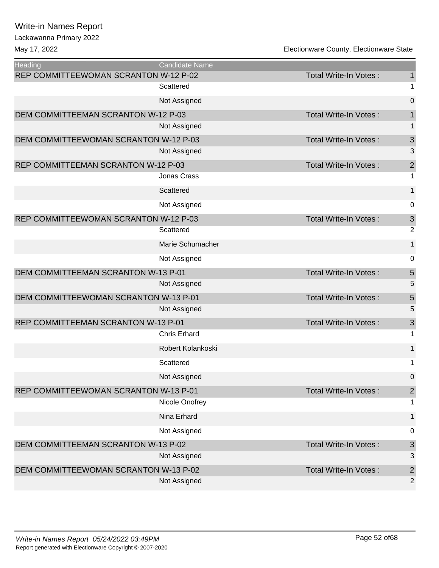Lackawanna Primary 2022

| <b>Heading</b>                        | <b>Candidate Name</b> |                              |                           |
|---------------------------------------|-----------------------|------------------------------|---------------------------|
| REP COMMITTEEWOMAN SCRANTON W-12 P-02 |                       | <b>Total Write-In Votes:</b> | $\mathbf 1$               |
|                                       | Scattered             |                              | 1                         |
|                                       | Not Assigned          |                              | $\mathbf 0$               |
| DEM COMMITTEEMAN SCRANTON W-12 P-03   |                       | <b>Total Write-In Votes:</b> | $\mathbf{1}$              |
|                                       | Not Assigned          |                              | 1                         |
| DEM COMMITTEEWOMAN SCRANTON W-12 P-03 |                       | Total Write-In Votes:        | 3                         |
|                                       | Not Assigned          |                              | 3                         |
| REP COMMITTEEMAN SCRANTON W-12 P-03   |                       | Total Write-In Votes:        | $\overline{2}$            |
|                                       | Jonas Crass           |                              | 1                         |
|                                       | Scattered             |                              | 1                         |
|                                       | Not Assigned          |                              | 0                         |
| REP COMMITTEEWOMAN SCRANTON W-12 P-03 |                       | Total Write-In Votes:        | $\ensuremath{\mathsf{3}}$ |
|                                       | Scattered             |                              | $\overline{c}$            |
|                                       | Marie Schumacher      |                              | 1                         |
|                                       | Not Assigned          |                              | $\boldsymbol{0}$          |
| DEM COMMITTEEMAN SCRANTON W-13 P-01   |                       | Total Write-In Votes:        | 5                         |
|                                       | Not Assigned          |                              | 5                         |
| DEM COMMITTEEWOMAN SCRANTON W-13 P-01 |                       | Total Write-In Votes:        | 5                         |
|                                       | Not Assigned          |                              | 5                         |
| REP COMMITTEEMAN SCRANTON W-13 P-01   |                       | Total Write-In Votes:        | 3                         |
|                                       | <b>Chris Erhard</b>   |                              | 1                         |
|                                       | Robert Kolankoski     |                              | 1                         |
|                                       | Scattered             |                              | 1                         |
|                                       | Not Assigned          |                              | $\mathbf 0$               |
| REP COMMITTEEWOMAN SCRANTON W-13 P-01 |                       | Total Write-In Votes:        | $\mathbf{2}$              |
|                                       | Nicole Onofrey        |                              | 1                         |
|                                       | Nina Erhard           |                              | 1                         |
|                                       | Not Assigned          |                              | 0                         |
| DEM COMMITTEEMAN SCRANTON W-13 P-02   |                       | Total Write-In Votes:        | 3                         |
|                                       | Not Assigned          |                              | 3                         |
| DEM COMMITTEEWOMAN SCRANTON W-13 P-02 |                       | Total Write-In Votes:        | $\mathbf 2$               |
|                                       | Not Assigned          |                              | 2                         |
|                                       |                       |                              |                           |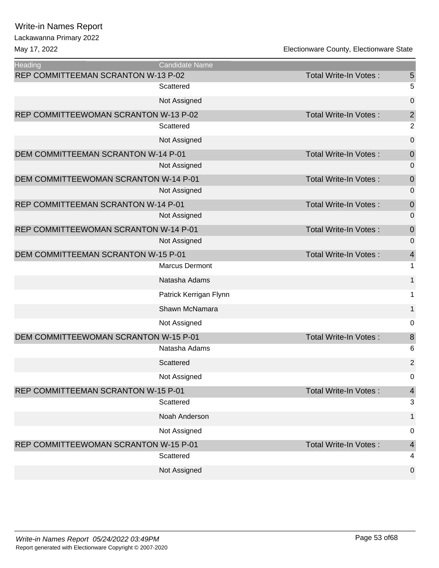Lackawanna Primary 2022

| <b>Heading</b>                        | <b>Candidate Name</b>  |                       |                  |
|---------------------------------------|------------------------|-----------------------|------------------|
| REP COMMITTEEMAN SCRANTON W-13 P-02   |                        | Total Write-In Votes: | $\sqrt{5}$       |
|                                       | Scattered              |                       | 5                |
|                                       | Not Assigned           |                       | $\mathbf 0$      |
| REP COMMITTEEWOMAN SCRANTON W-13 P-02 |                        | Total Write-In Votes: | $\overline{c}$   |
|                                       | Scattered              |                       | $\overline{2}$   |
|                                       | Not Assigned           |                       | $\mathbf 0$      |
| DEM COMMITTEEMAN SCRANTON W-14 P-01   |                        | Total Write-In Votes: | $\boldsymbol{0}$ |
|                                       | Not Assigned           |                       | $\mathbf 0$      |
| DEM COMMITTEEWOMAN SCRANTON W-14 P-01 |                        | Total Write-In Votes: | $\mathbf 0$      |
|                                       | Not Assigned           |                       | $\mathbf 0$      |
| REP COMMITTEEMAN SCRANTON W-14 P-01   |                        | Total Write-In Votes: | $\mathbf 0$      |
|                                       | Not Assigned           |                       | $\mathbf 0$      |
| REP COMMITTEEWOMAN SCRANTON W-14 P-01 |                        | Total Write-In Votes: | $\mathbf 0$      |
|                                       | Not Assigned           |                       | $\pmb{0}$        |
| DEM COMMITTEEMAN SCRANTON W-15 P-01   |                        | Total Write-In Votes: | $\overline{4}$   |
|                                       | <b>Marcus Dermont</b>  |                       | $\mathbf 1$      |
|                                       | Natasha Adams          |                       | $\mathbf 1$      |
|                                       | Patrick Kerrigan Flynn |                       | 1                |
|                                       | Shawn McNamara         |                       | $\mathbf{1}$     |
|                                       | Not Assigned           |                       | 0                |
| DEM COMMITTEEWOMAN SCRANTON W-15 P-01 |                        | Total Write-In Votes: | $\,8\,$          |
|                                       | Natasha Adams          |                       | 6                |
|                                       | Scattered              |                       | $\overline{2}$   |
|                                       | Not Assigned           |                       | 0                |
| REP COMMITTEEMAN SCRANTON W-15 P-01   |                        | Total Write-In Votes: | $\overline{4}$   |
|                                       | Scattered              |                       | $\mathbf{3}$     |
|                                       | Noah Anderson          |                       | $\mathbf{1}$     |
|                                       | Not Assigned           |                       | 0                |
| REP COMMITTEEWOMAN SCRANTON W-15 P-01 |                        | Total Write-In Votes: | $\overline{4}$   |
|                                       | Scattered              |                       | 4                |
|                                       | Not Assigned           |                       | $\pmb{0}$        |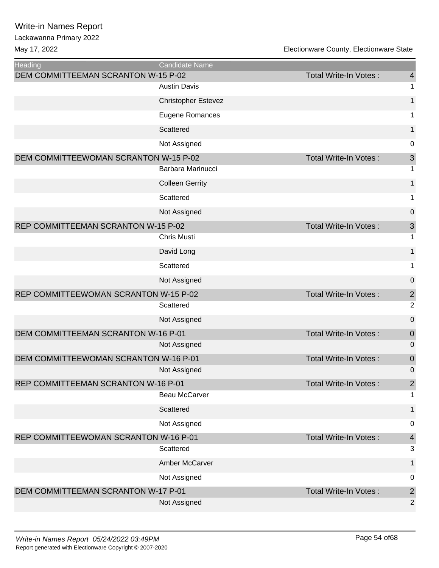| <b>Heading</b>                        | <b>Candidate Name</b>      |                              |                           |
|---------------------------------------|----------------------------|------------------------------|---------------------------|
| DEM COMMITTEEMAN SCRANTON W-15 P-02   |                            | Total Write-In Votes:        | $\overline{4}$            |
|                                       | <b>Austin Davis</b>        |                              | 1                         |
|                                       | <b>Christopher Estevez</b> |                              | 1                         |
|                                       | <b>Eugene Romances</b>     |                              | 1                         |
|                                       | Scattered                  |                              | 1                         |
|                                       | Not Assigned               |                              | $\mathbf 0$               |
| DEM COMMITTEEWOMAN SCRANTON W-15 P-02 |                            | <b>Total Write-In Votes:</b> | $\ensuremath{\mathsf{3}}$ |
|                                       | Barbara Marinucci          |                              | 1                         |
|                                       | <b>Colleen Gerrity</b>     |                              | $\mathbf 1$               |
|                                       | Scattered                  |                              | 1                         |
|                                       | Not Assigned               |                              | 0                         |
| REP COMMITTEEMAN SCRANTON W-15 P-02   |                            | Total Write-In Votes:        | $\ensuremath{\mathsf{3}}$ |
|                                       | <b>Chris Musti</b>         |                              | 1                         |
|                                       | David Long                 |                              | 1                         |
|                                       | Scattered                  |                              | 1                         |
|                                       | Not Assigned               |                              | 0                         |
| REP COMMITTEEWOMAN SCRANTON W-15 P-02 |                            | Total Write-In Votes:        | $\overline{\mathbf{c}}$   |
|                                       | Scattered                  |                              | $\overline{2}$            |
|                                       | Not Assigned               |                              | 0                         |
| DEM COMMITTEEMAN SCRANTON W-16 P-01   |                            | Total Write-In Votes:        | $\boldsymbol{0}$          |
|                                       | Not Assigned               |                              | $\mathbf 0$               |
| DEM COMMITTEEWOMAN SCRANTON W-16 P-01 |                            | Total Write-In Votes:        | $\boldsymbol{0}$          |
|                                       | Not Assigned               |                              | $\mathbf 0$               |
| REP COMMITTEEMAN SCRANTON W-16 P-01   | Beau McCarver              | Total Write-In Votes:        | $\sqrt{2}$<br>1           |
|                                       | Scattered                  |                              | 1                         |
|                                       | Not Assigned               |                              | 0                         |
| REP COMMITTEEWOMAN SCRANTON W-16 P-01 |                            | Total Write-In Votes:        | $\overline{\mathcal{A}}$  |
|                                       | Scattered                  |                              | 3                         |
|                                       | Amber McCarver             |                              | $\mathbf{1}$              |
|                                       | Not Assigned               |                              | $\pmb{0}$                 |
| DEM COMMITTEEMAN SCRANTON W-17 P-01   |                            | Total Write-In Votes:        | $\overline{\mathbf{c}}$   |
|                                       | Not Assigned               |                              | $\overline{2}$            |
|                                       |                            |                              |                           |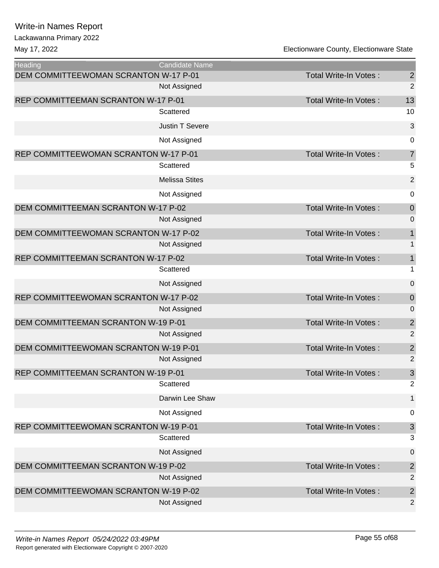| <b>Heading</b>                             | <b>Candidate Name</b>  |                              |                           |
|--------------------------------------------|------------------------|------------------------------|---------------------------|
| DEM COMMITTEEWOMAN SCRANTON W-17 P-01      |                        | Total Write-In Votes:        | $\overline{c}$            |
|                                            | Not Assigned           |                              | $\overline{2}$            |
| REP COMMITTEEMAN SCRANTON W-17 P-01        |                        | Total Write-In Votes:        | 13                        |
|                                            | Scattered              |                              | 10                        |
|                                            | <b>Justin T Severe</b> |                              | $\mathbf{3}$              |
|                                            | Not Assigned           |                              | $\mathbf 0$               |
| REP COMMITTEEWOMAN SCRANTON W-17 P-01      |                        | <b>Total Write-In Votes:</b> | $\overline{7}$            |
|                                            | Scattered              |                              | 5                         |
|                                            | <b>Melissa Stites</b>  |                              | $\overline{2}$            |
|                                            | Not Assigned           |                              | $\mathbf 0$               |
| DEM COMMITTEEMAN SCRANTON W-17 P-02        |                        | Total Write-In Votes:        | $\mathbf 0$               |
|                                            | Not Assigned           |                              | $\mathbf 0$               |
| DEM COMMITTEEWOMAN SCRANTON W-17 P-02      |                        | Total Write-In Votes:        | $\mathbf 1$               |
|                                            | Not Assigned           |                              | $\mathbf 1$               |
| REP COMMITTEEMAN SCRANTON W-17 P-02        |                        | <b>Total Write-In Votes:</b> | $\mathbf 1$               |
|                                            | Scattered              |                              | 1                         |
|                                            | Not Assigned           |                              | $\mathbf 0$               |
| REP COMMITTEEWOMAN SCRANTON W-17 P-02      |                        | Total Write-In Votes:        | $\mathbf 0$               |
|                                            | Not Assigned           |                              | $\mathbf 0$               |
| DEM COMMITTEEMAN SCRANTON W-19 P-01        |                        | Total Write-In Votes:        | $\overline{\mathbf{c}}$   |
|                                            | Not Assigned           |                              | $\overline{2}$            |
| DEM COMMITTEEWOMAN SCRANTON W-19 P-01      |                        | <b>Total Write-In Votes:</b> | $\overline{\mathbf{c}}$   |
|                                            | Not Assigned           |                              | $\overline{2}$            |
| <b>REP COMMITTEEMAN SCRANTON W-19 P-01</b> |                        | <b>Total Write-In Votes:</b> | 3                         |
|                                            | Scattered              |                              | $\overline{2}$            |
|                                            | Darwin Lee Shaw        |                              | $\mathbf{1}$              |
|                                            | Not Assigned           |                              | 0                         |
| REP COMMITTEEWOMAN SCRANTON W-19 P-01      |                        | Total Write-In Votes:        | $\ensuremath{\mathsf{3}}$ |
|                                            | Scattered              |                              | 3                         |
|                                            | Not Assigned           |                              | 0                         |
| DEM COMMITTEEMAN SCRANTON W-19 P-02        |                        | Total Write-In Votes:        | $\overline{\mathbf{c}}$   |
|                                            | Not Assigned           |                              | $\overline{2}$            |
| DEM COMMITTEEWOMAN SCRANTON W-19 P-02      |                        | Total Write-In Votes:        | $\overline{c}$            |
|                                            | Not Assigned           |                              | $\overline{2}$            |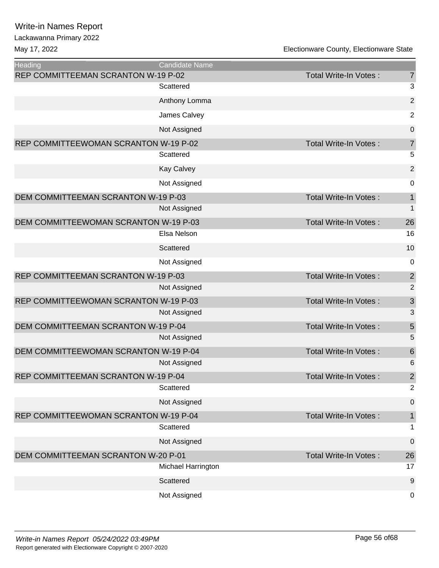| Heading                               | <b>Candidate Name</b> |                              |                  |
|---------------------------------------|-----------------------|------------------------------|------------------|
| REP COMMITTEEMAN SCRANTON W-19 P-02   |                       | Total Write-In Votes:        | $\overline{7}$   |
|                                       | Scattered             |                              | 3                |
|                                       | Anthony Lomma         |                              | $\overline{c}$   |
|                                       | James Calvey          |                              | $\overline{c}$   |
|                                       | Not Assigned          |                              | $\mathbf 0$      |
| REP COMMITTEEWOMAN SCRANTON W-19 P-02 |                       | Total Write-In Votes:        | $\overline{7}$   |
|                                       | Scattered             |                              | 5                |
|                                       | <b>Kay Calvey</b>     |                              | $\mathbf 2$      |
|                                       | Not Assigned          |                              | 0                |
| DEM COMMITTEEMAN SCRANTON W-19 P-03   |                       | Total Write-In Votes:        | $\mathbf 1$      |
|                                       | Not Assigned          |                              | $\mathbf 1$      |
| DEM COMMITTEEWOMAN SCRANTON W-19 P-03 |                       | Total Write-In Votes:        | 26               |
|                                       | Elsa Nelson           |                              | 16               |
|                                       | Scattered             |                              | 10               |
|                                       | Not Assigned          |                              | $\mathbf 0$      |
| REP COMMITTEEMAN SCRANTON W-19 P-03   |                       | Total Write-In Votes:        | $\overline{c}$   |
|                                       | Not Assigned          |                              | $\overline{2}$   |
| REP COMMITTEEWOMAN SCRANTON W-19 P-03 |                       | Total Write-In Votes:        | $\mathfrak{S}$   |
|                                       | Not Assigned          |                              | 3                |
| DEM COMMITTEEMAN SCRANTON W-19 P-04   |                       | Total Write-In Votes:        | 5                |
|                                       | Not Assigned          |                              | 5                |
| DEM COMMITTEEWOMAN SCRANTON W-19 P-04 |                       | Total Write-In Votes:        | $\boldsymbol{6}$ |
|                                       | Not Assigned          |                              | 6                |
| REP COMMITTEEMAN SCRANTON W-19 P-04   |                       | Total Write-In Votes:        | $\overline{2}$   |
|                                       | Scattered             |                              | $\overline{2}$   |
|                                       | Not Assigned          |                              | $\boldsymbol{0}$ |
| REP COMMITTEEWOMAN SCRANTON W-19 P-04 |                       | <b>Total Write-In Votes:</b> | $\mathbf 1$      |
|                                       | Scattered             |                              | 1                |
|                                       | Not Assigned          |                              | $\mathbf 0$      |
| DEM COMMITTEEMAN SCRANTON W-20 P-01   |                       | <b>Total Write-In Votes:</b> | 26               |
|                                       | Michael Harrington    |                              | 17               |
|                                       | Scattered             |                              | $9$              |
|                                       | Not Assigned          |                              | 0                |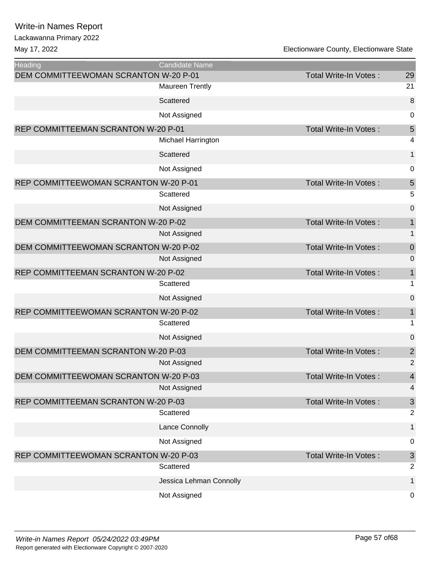#### Lackawanna Primary 2022

| Heading                               | <b>Candidate Name</b>   |                              |                           |
|---------------------------------------|-------------------------|------------------------------|---------------------------|
| DEM COMMITTEEWOMAN SCRANTON W-20 P-01 |                         | Total Write-In Votes:        | 29                        |
|                                       | <b>Maureen Trently</b>  |                              | 21                        |
|                                       | Scattered               |                              | 8                         |
|                                       | Not Assigned            |                              | $\pmb{0}$                 |
| REP COMMITTEEMAN SCRANTON W-20 P-01   |                         | <b>Total Write-In Votes:</b> | $\sqrt{5}$                |
|                                       | Michael Harrington      |                              | 4                         |
|                                       | Scattered               |                              | 1                         |
|                                       | Not Assigned            |                              | 0                         |
| REP COMMITTEEWOMAN SCRANTON W-20 P-01 |                         | <b>Total Write-In Votes:</b> | 5                         |
|                                       | Scattered               |                              | 5                         |
|                                       | Not Assigned            |                              | $\boldsymbol{0}$          |
| DEM COMMITTEEMAN SCRANTON W-20 P-02   |                         | <b>Total Write-In Votes:</b> | $\mathbf 1$               |
|                                       | Not Assigned            |                              | 1                         |
| DEM COMMITTEEWOMAN SCRANTON W-20 P-02 |                         | Total Write-In Votes:        | $\boldsymbol{0}$          |
|                                       | Not Assigned            |                              | $\mathbf 0$               |
| REP COMMITTEEMAN SCRANTON W-20 P-02   |                         | <b>Total Write-In Votes:</b> | $\mathbf 1$               |
|                                       | Scattered               |                              | 1                         |
|                                       | Not Assigned            |                              | 0                         |
| REP COMMITTEEWOMAN SCRANTON W-20 P-02 |                         | <b>Total Write-In Votes:</b> | $\mathbf 1$               |
|                                       | Scattered               |                              | $\mathbf 1$               |
|                                       | Not Assigned            |                              | $\boldsymbol{0}$          |
| DEM COMMITTEEMAN SCRANTON W-20 P-03   |                         | <b>Total Write-In Votes:</b> | $\overline{\mathbf{c}}$   |
|                                       | Not Assigned            |                              | $\overline{2}$            |
| DEM COMMITTEEWOMAN SCRANTON W-20 P-03 |                         | <b>Total Write-In Votes:</b> | $\overline{\mathbf{4}}$   |
|                                       | Not Assigned            |                              | 4                         |
| REP COMMITTEEMAN SCRANTON W-20 P-03   |                         | Total Write-In Votes:        | $\ensuremath{\mathsf{3}}$ |
|                                       | Scattered               |                              | $\overline{2}$            |
|                                       | Lance Connolly          |                              | 1                         |
|                                       | Not Assigned            |                              | 0                         |
| REP COMMITTEEWOMAN SCRANTON W-20 P-03 |                         | <b>Total Write-In Votes:</b> | $\sqrt{3}$                |
|                                       | Scattered               |                              | $\overline{2}$            |
|                                       | Jessica Lehman Connolly |                              | 1                         |
|                                       | Not Assigned            |                              | 0                         |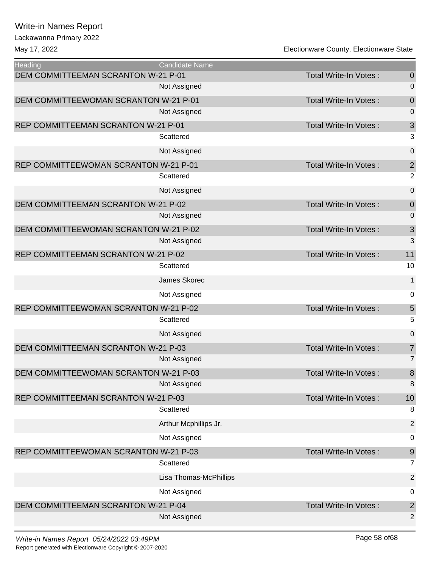Lackawanna Primary 2022

May 17, 2022 Electionware County, Electionware State

**Heading Candidate Name** DEM COMMITTEEMAN SCRANTON W-21 P-01 Total Write-In Votes : 0 Not Assigned 0 DEM COMMITTEEWOMAN SCRANTON W-21 P-01 Total Write-In Votes : 0 Not Assigned 0 REP COMMITTEEMAN SCRANTON W-21 P-01 Total Write-In Votes : 3 Scattered 3 Not Assigned 0 REP COMMITTEEWOMAN SCRANTON W-21 P-01 Total Write-In Votes : 2 Scattered 2 Not Assigned 0 DEM COMMITTEEMAN SCRANTON W-21 P-02 Total Write-In Votes : 0 Not Assigned 0 DEM COMMITTEEWOMAN SCRANTON W-21 P-02 Total Write-In Votes : 3 Not Assigned 3 and 3 and 3 and 3 and 3 and 3 and 3 and 3 and 3 and 3 and 3 and 3 and 3 and 3 and 3 and 3 and 3  $\alpha$ REP COMMITTEEMAN SCRANTON W-21 P-02 TOtal Write-In Votes : 11 Scattered 2008 and 2008 and 2008 and 2008 and 2008 and 2008 and 2008 and 2008 and 2008 and 2008 and 2008 and 20 James Skorec 1 Not Assigned 0 REP COMMITTEEWOMAN SCRANTON W-21 P-02 Total Write-In Votes : 5 Scattered 5 Not Assigned 0 DEM COMMITTEEMAN SCRANTON W-21 P-03 TOtal Write-In Votes : 7 Not Assigned 7 and 2008 and 2008 and 2008 and 2008 and 2008 and 2008 and 2008 and 2008 and 2008 and 2008 and 2008 and 2008 and 2008 and 2008 and 2008 and 2008 and 2008 and 2008 and 2008 and 2008 and 2008 and 2008 and 2008 DEM COMMITTEEWOMAN SCRANTON W-21 P-03 Total Write-In Votes : 8 Not Assigned 8 REP COMMITTEEMAN SCRANTON W-21 P-03 TOTAL Total Write-In Votes : 10 Scattered 8 and 3 and 3 and 3 and 3 and 3 and 3 and 3 and 3 and 3 and 3 and 3 and 3 and 3 and 3 and 3 and 3 and 3 and 3 and 3 and 3 and 3 and 3 and 3 and 3 and 3 and 3 and 3 and 3 and 3 and 3 and 3 and 3 and 3 and 3 and 3 Arthur Mcphillips Jr. 2 Not Assigned and the contract of the contract of the contract of the contract of the contract of the contract of the contract of the contract of the contract of the contract of the contract of the contract of the contract REP COMMITTEEWOMAN SCRANTON W-21 P-03 Total Write-In Votes : 9 Scattered 7 and 7 and 7 and 7 and 7 and 7 and 7 and 7 and 7 and 7 and 7 and 7 and 7 and 7 and 7 and 7 and 7 and 7 Lisa Thomas-McPhillips 2 Not Assigned 0 DEM COMMITTEEMAN SCRANTON W-21 P-04 Total Write-In Votes : 2 Not Assigned 2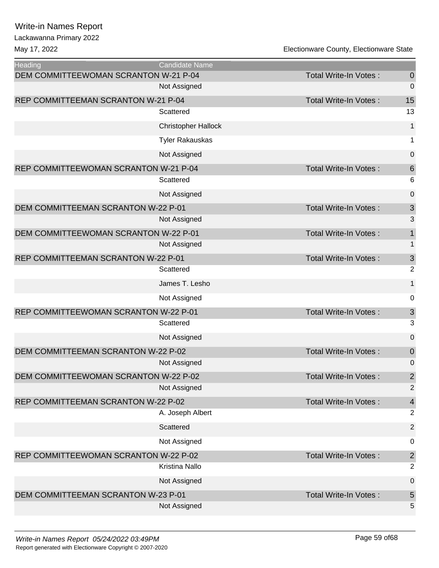| <b>Heading</b>                        | <b>Candidate Name</b>      |                              |                           |
|---------------------------------------|----------------------------|------------------------------|---------------------------|
| DEM COMMITTEEWOMAN SCRANTON W-21 P-04 |                            | <b>Total Write-In Votes:</b> | $\boldsymbol{0}$          |
|                                       | Not Assigned               |                              | 0                         |
| REP COMMITTEEMAN SCRANTON W-21 P-04   |                            | <b>Total Write-In Votes:</b> | 15                        |
|                                       | Scattered                  |                              | 13                        |
|                                       | <b>Christopher Hallock</b> |                              | $\mathbf 1$               |
|                                       | <b>Tyler Rakauskas</b>     |                              | 1                         |
|                                       | Not Assigned               |                              | $\mathbf 0$               |
| REP COMMITTEEWOMAN SCRANTON W-21 P-04 |                            | Total Write-In Votes:        | $\,$ 6 $\,$               |
|                                       | Scattered                  |                              | 6                         |
|                                       | Not Assigned               |                              | $\mathbf 0$               |
| DEM COMMITTEEMAN SCRANTON W-22 P-01   |                            | <b>Total Write-In Votes:</b> | $\mathsf 3$               |
|                                       | Not Assigned               |                              | 3                         |
| DEM COMMITTEEWOMAN SCRANTON W-22 P-01 |                            | <b>Total Write-In Votes:</b> | $\mathbf{1}$              |
|                                       | Not Assigned               |                              | $\mathbf 1$               |
| REP COMMITTEEMAN SCRANTON W-22 P-01   |                            | Total Write-In Votes:        | 3                         |
|                                       | Scattered                  |                              | $\overline{2}$            |
|                                       | James T. Lesho             |                              | $\mathbf 1$               |
|                                       | Not Assigned               |                              | 0                         |
| REP COMMITTEEWOMAN SCRANTON W-22 P-01 |                            | <b>Total Write-In Votes:</b> | $\ensuremath{\mathsf{3}}$ |
|                                       | Scattered                  |                              | 3                         |
|                                       | Not Assigned               |                              | $\mathbf 0$               |
| DEM COMMITTEEMAN SCRANTON W-22 P-02   |                            | <b>Total Write-In Votes:</b> | $\pmb{0}$                 |
|                                       | Not Assigned               |                              | 0                         |
| DEM COMMITTEEWOMAN SCRANTON W-22 P-02 |                            | Total Write-In Votes:        | $\overline{2}$            |
|                                       | Not Assigned               |                              | $\overline{2}$            |
| REP COMMITTEEMAN SCRANTON W-22 P-02   |                            | <b>Total Write-In Votes:</b> | $\overline{\mathbf{r}}$   |
|                                       | A. Joseph Albert           |                              | $\overline{2}$            |
|                                       | Scattered                  |                              | $\overline{2}$            |
|                                       | Not Assigned               |                              | $\mathbf 0$               |
| REP COMMITTEEWOMAN SCRANTON W-22 P-02 |                            | <b>Total Write-In Votes:</b> | $\overline{\mathbf{c}}$   |
|                                       | <b>Kristina Nallo</b>      |                              | $\overline{2}$            |
|                                       | Not Assigned               |                              | $\mathbf 0$               |
| DEM COMMITTEEMAN SCRANTON W-23 P-01   |                            | Total Write-In Votes:        | 5                         |
|                                       | Not Assigned               |                              | 5                         |
|                                       |                            |                              |                           |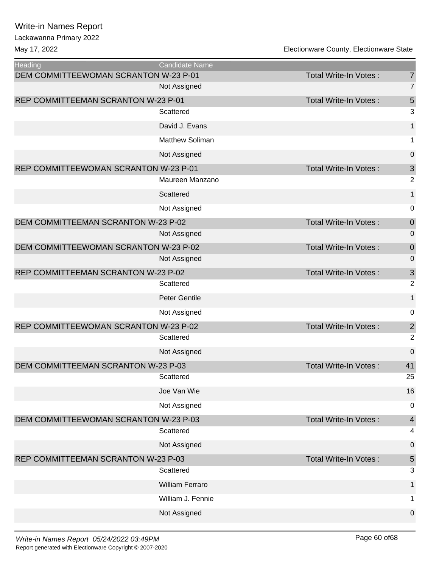| <b>Heading</b>                        | <b>Candidate Name</b>  |                              |                                             |
|---------------------------------------|------------------------|------------------------------|---------------------------------------------|
| DEM COMMITTEEWOMAN SCRANTON W-23 P-01 |                        | <b>Total Write-In Votes:</b> | $\overline{7}$                              |
|                                       | Not Assigned           |                              | $\overline{7}$                              |
| REP COMMITTEEMAN SCRANTON W-23 P-01   |                        | Total Write-In Votes:        | 5                                           |
|                                       | Scattered              |                              | 3                                           |
|                                       | David J. Evans         |                              | 1                                           |
|                                       | Matthew Soliman        |                              | 1                                           |
|                                       | Not Assigned           |                              | $\boldsymbol{0}$                            |
| REP COMMITTEEWOMAN SCRANTON W-23 P-01 | Maureen Manzano        | Total Write-In Votes:        | $\ensuremath{\mathsf{3}}$<br>$\overline{2}$ |
|                                       | Scattered              |                              | 1                                           |
|                                       | Not Assigned           |                              | $\mathbf 0$                                 |
| DEM COMMITTEEMAN SCRANTON W-23 P-02   |                        | <b>Total Write-In Votes:</b> | $\pmb{0}$                                   |
|                                       | Not Assigned           |                              | 0                                           |
| DEM COMMITTEEWOMAN SCRANTON W-23 P-02 |                        | <b>Total Write-In Votes:</b> | $\mathbf 0$                                 |
|                                       | Not Assigned           |                              | $\mathbf 0$                                 |
| REP COMMITTEEMAN SCRANTON W-23 P-02   |                        | Total Write-In Votes:        | 3                                           |
|                                       | Scattered              |                              | $\overline{2}$                              |
|                                       | <b>Peter Gentile</b>   |                              | 1                                           |
|                                       | Not Assigned           |                              | $\mathbf 0$                                 |
| REP COMMITTEEWOMAN SCRANTON W-23 P-02 |                        | Total Write-In Votes:        | $\overline{\mathbf{c}}$                     |
|                                       | Scattered              |                              | $\overline{2}$                              |
|                                       | Not Assigned           |                              | $\mathbf 0$                                 |
| DEM COMMITTEEMAN SCRANTON W-23 P-03   |                        | <b>Total Write-In Votes:</b> | 41                                          |
|                                       | Scattered              |                              | 25                                          |
|                                       | Joe Van Wie            |                              | 16                                          |
|                                       | Not Assigned           |                              | $\mathbf 0$                                 |
| DEM COMMITTEEWOMAN SCRANTON W-23 P-03 |                        | Total Write-In Votes:        | $\overline{\mathbf{4}}$                     |
|                                       | Scattered              |                              | 4                                           |
|                                       | Not Assigned           |                              | $\boldsymbol{0}$                            |
| REP COMMITTEEMAN SCRANTON W-23 P-03   |                        | Total Write-In Votes:        | $\sqrt{5}$                                  |
|                                       | Scattered              |                              | 3                                           |
|                                       | <b>William Ferraro</b> |                              | $\mathbf{1}$                                |
|                                       | William J. Fennie      |                              | 1                                           |
|                                       | Not Assigned           |                              | $\mathbf 0$                                 |
|                                       |                        |                              |                                             |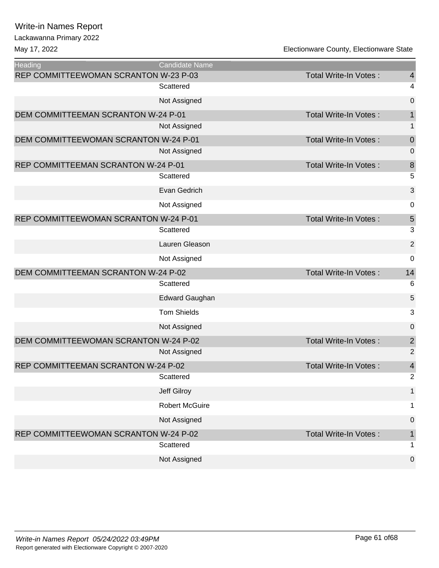# Lackawanna Primary 2022

| <b>Heading</b>                        | Candidate Name        |                              |                |
|---------------------------------------|-----------------------|------------------------------|----------------|
| REP COMMITTEEWOMAN SCRANTON W-23 P-03 |                       | <b>Total Write-In Votes:</b> | $\overline{4}$ |
|                                       | Scattered             |                              | 4              |
|                                       | Not Assigned          |                              | $\mathbf 0$    |
| DEM COMMITTEEMAN SCRANTON W-24 P-01   |                       | Total Write-In Votes:        | 1              |
|                                       | Not Assigned          |                              | 1              |
| DEM COMMITTEEWOMAN SCRANTON W-24 P-01 |                       | Total Write-In Votes:        | $\mathbf 0$    |
|                                       | Not Assigned          |                              | $\mathbf 0$    |
| REP COMMITTEEMAN SCRANTON W-24 P-01   |                       | <b>Total Write-In Votes:</b> | 8              |
|                                       | Scattered             |                              | 5              |
|                                       | Evan Gedrich          |                              | 3              |
|                                       | Not Assigned          |                              | 0              |
| REP COMMITTEEWOMAN SCRANTON W-24 P-01 |                       | Total Write-In Votes:        | $\overline{5}$ |
|                                       | Scattered             |                              | 3              |
|                                       | Lauren Gleason        |                              | $\overline{2}$ |
|                                       | Not Assigned          |                              | 0              |
| DEM COMMITTEEMAN SCRANTON W-24 P-02   |                       | Total Write-In Votes:        | 14             |
|                                       | Scattered             |                              | 6              |
|                                       | <b>Edward Gaughan</b> |                              | 5              |
|                                       | <b>Tom Shields</b>    |                              | 3              |
|                                       | Not Assigned          |                              | $\mathbf 0$    |
| DEM COMMITTEEWOMAN SCRANTON W-24 P-02 |                       | Total Write-In Votes:        | $\overline{2}$ |
|                                       | Not Assigned          |                              | $\overline{2}$ |
| REP COMMITTEEMAN SCRANTON W-24 P-02   |                       | Total Write-In Votes:        | 4              |
|                                       | Scattered             |                              | $\overline{2}$ |
|                                       | Jeff Gilroy           |                              | $\mathbf{1}$   |
|                                       | <b>Robert McGuire</b> |                              | 1              |
|                                       | Not Assigned          |                              | $\mathbf 0$    |
| REP COMMITTEEWOMAN SCRANTON W-24 P-02 |                       | Total Write-In Votes:        | 1              |
|                                       | Scattered             |                              | 1              |
|                                       | Not Assigned          |                              | $\mathbf 0$    |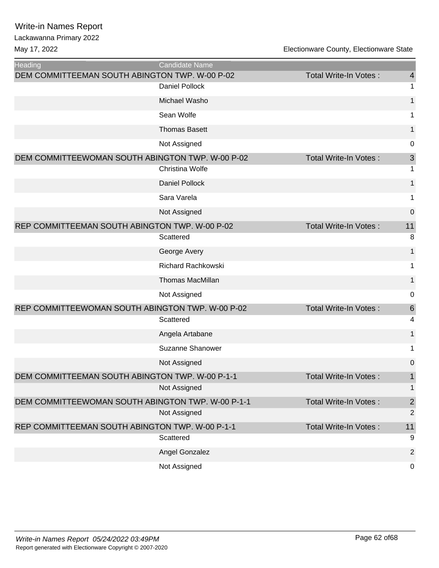| <b>Heading</b>                                    | <b>Candidate Name</b>     |                              |                 |
|---------------------------------------------------|---------------------------|------------------------------|-----------------|
| DEM COMMITTEEMAN SOUTH ABINGTON TWP. W-00 P-02    |                           | Total Write-In Votes:        | 4               |
|                                                   | <b>Daniel Pollock</b>     |                              | 1               |
|                                                   | Michael Washo             |                              | 1               |
|                                                   | Sean Wolfe                |                              | 1               |
|                                                   | <b>Thomas Basett</b>      |                              | 1               |
|                                                   | Not Assigned              |                              | 0               |
| DEM COMMITTEEWOMAN SOUTH ABINGTON TWP. W-00 P-02  |                           | Total Write-In Votes:        | $\mathfrak{S}$  |
|                                                   | Christina Wolfe           |                              | 1               |
|                                                   | <b>Daniel Pollock</b>     |                              | 1               |
|                                                   | Sara Varela               |                              | 1               |
|                                                   | Not Assigned              |                              | $\mathbf 0$     |
| REP COMMITTEEMAN SOUTH ABINGTON TWP. W-00 P-02    |                           | Total Write-In Votes:        | 11              |
|                                                   | Scattered                 |                              | 8               |
|                                                   | George Avery              |                              | 1               |
|                                                   | <b>Richard Rachkowski</b> |                              | 1               |
|                                                   | <b>Thomas MacMillan</b>   |                              | $\mathbf{1}$    |
|                                                   | Not Assigned              |                              | 0               |
| REP COMMITTEEWOMAN SOUTH ABINGTON TWP. W-00 P-02  |                           | Total Write-In Votes:        | $6\phantom{1}6$ |
|                                                   | Scattered                 |                              | 4               |
|                                                   | Angela Artabane           |                              | 1               |
|                                                   | Suzanne Shanower          |                              | 1               |
|                                                   | Not Assigned              |                              | $\overline{0}$  |
| DEM COMMITTEEMAN SOUTH ABINGTON TWP. W-00 P-1-1   |                           | Total Write-In Votes:        | 1               |
|                                                   | Not Assigned              |                              | 1               |
| DEM COMMITTEEWOMAN SOUTH ABINGTON TWP. W-00 P-1-1 |                           | Total Write-In Votes:        | $\sqrt{2}$      |
|                                                   | Not Assigned              |                              | $\overline{2}$  |
| REP COMMITTEEMAN SOUTH ABINGTON TWP. W-00 P-1-1   |                           | <b>Total Write-In Votes:</b> | 11              |
|                                                   | Scattered                 |                              | $9\,$           |
|                                                   | Angel Gonzalez            |                              | $\overline{2}$  |
|                                                   | Not Assigned              |                              | 0               |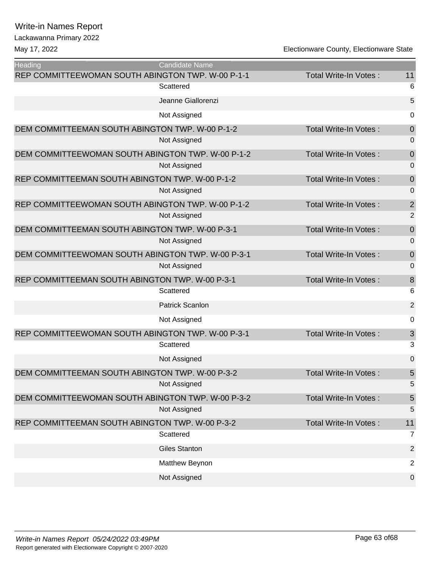| Heading<br>REP COMMITTEEWOMAN SOUTH ABINGTON TWP. W-00 P-1-1 | <b>Candidate Name</b>  | Total Write-In Votes:        | 11               |
|--------------------------------------------------------------|------------------------|------------------------------|------------------|
|                                                              | Scattered              |                              | 6                |
|                                                              | Jeanne Giallorenzi     |                              | 5                |
|                                                              | Not Assigned           |                              | 0                |
|                                                              |                        |                              |                  |
| DEM COMMITTEEMAN SOUTH ABINGTON TWP. W-00 P-1-2              |                        | <b>Total Write-In Votes:</b> | $\mathbf 0$      |
|                                                              | Not Assigned           |                              | 0                |
| DEM COMMITTEEWOMAN SOUTH ABINGTON TWP. W-00 P-1-2            | Not Assigned           | Total Write-In Votes:        | $\mathbf 0$<br>0 |
|                                                              |                        |                              |                  |
| REP COMMITTEEMAN SOUTH ABINGTON TWP. W-00 P-1-2              |                        | Total Write-In Votes:        | $\mathbf 0$      |
|                                                              | Not Assigned           |                              | $\overline{0}$   |
| REP COMMITTEEWOMAN SOUTH ABINGTON TWP. W-00 P-1-2            |                        | Total Write-In Votes:        | $\overline{2}$   |
|                                                              | Not Assigned           |                              | 2                |
| DEM COMMITTEEMAN SOUTH ABINGTON TWP. W-00 P-3-1              |                        | Total Write-In Votes:        | $\boldsymbol{0}$ |
|                                                              | Not Assigned           |                              | 0                |
| DEM COMMITTEEWOMAN SOUTH ABINGTON TWP. W-00 P-3-1            |                        | Total Write-In Votes:        | $\mathbf 0$      |
|                                                              | Not Assigned           |                              | 0                |
| REP COMMITTEEMAN SOUTH ABINGTON TWP. W-00 P-3-1              |                        | Total Write-In Votes:        | $\,8\,$          |
|                                                              | Scattered              |                              | 6                |
|                                                              | <b>Patrick Scanlon</b> |                              | $\overline{2}$   |
|                                                              | Not Assigned           |                              | 0                |
| REP COMMITTEEWOMAN SOUTH ABINGTON TWP. W-00 P-3-1            |                        | <b>Total Write-In Votes:</b> | 3                |
|                                                              | Scattered              |                              | 3                |
|                                                              | Not Assigned           |                              | 0                |
| DEM COMMITTEEMAN SOUTH ABINGTON TWP. W-00 P-3-2              |                        | Total Write-In Votes:        | 5                |
|                                                              | Not Assigned           |                              | 5                |
| DEM COMMITTEEWOMAN SOUTH ABINGTON TWP. W-00 P-3-2            |                        | Total Write-In Votes:        | $\overline{5}$   |
|                                                              | Not Assigned           |                              | 5                |
| REP COMMITTEEMAN SOUTH ABINGTON TWP. W-00 P-3-2              |                        | Total Write-In Votes:        | 11               |
|                                                              | Scattered              |                              | $\overline{7}$   |
|                                                              | <b>Giles Stanton</b>   |                              | $\overline{2}$   |
|                                                              | Matthew Beynon         |                              | $\overline{2}$   |
|                                                              | Not Assigned           |                              | 0                |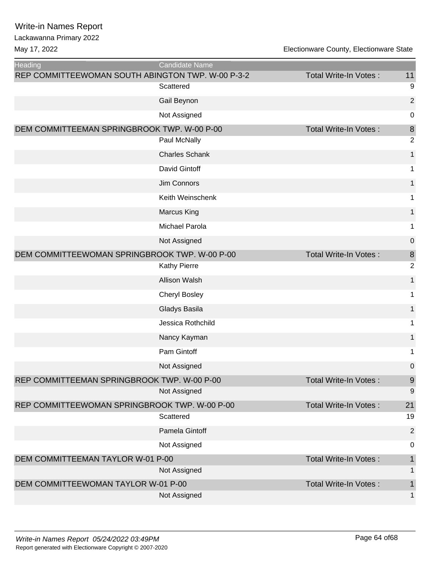| <b>Heading</b>                                    | <b>Candidate Name</b> |                              |                |
|---------------------------------------------------|-----------------------|------------------------------|----------------|
| REP COMMITTEEWOMAN SOUTH ABINGTON TWP. W-00 P-3-2 |                       | <b>Total Write-In Votes:</b> | 11             |
|                                                   | Scattered             |                              | 9              |
|                                                   | Gail Beynon           |                              | $\overline{2}$ |
|                                                   | Not Assigned          |                              | $\mathbf 0$    |
| DEM COMMITTEEMAN SPRINGBROOK TWP. W-00 P-00       |                       | Total Write-In Votes:        | $\bf 8$        |
|                                                   | Paul McNally          |                              | $\overline{2}$ |
|                                                   | <b>Charles Schank</b> |                              | 1              |
|                                                   | David Gintoff         |                              | 1              |
|                                                   | Jim Connors           |                              | 1              |
|                                                   | Keith Weinschenk      |                              | 1              |
|                                                   | <b>Marcus King</b>    |                              | $\mathbf{1}$   |
|                                                   | Michael Parola        |                              | 1              |
|                                                   | Not Assigned          |                              | 0              |
| DEM COMMITTEEWOMAN SPRINGBROOK TWP. W-00 P-00     |                       | Total Write-In Votes:        | $\bf 8$        |
|                                                   | <b>Kathy Pierre</b>   |                              | $\overline{2}$ |
|                                                   | <b>Allison Walsh</b>  |                              | 1              |
|                                                   | <b>Cheryl Bosley</b>  |                              | 1              |
|                                                   | Gladys Basila         |                              | 1              |
|                                                   | Jessica Rothchild     |                              | 1              |
|                                                   | Nancy Kayman          |                              | 1              |
|                                                   | Pam Gintoff           |                              | 1              |
|                                                   | Not Assigned          |                              | 0              |
| REP COMMITTEEMAN SPRINGBROOK TWP. W-00 P-00       |                       | Total Write-In Votes:        | $9\,$          |
|                                                   | Not Assigned          |                              | 9              |
| REP COMMITTEEWOMAN SPRINGBROOK TWP. W-00 P-00     |                       | Total Write-In Votes:        | 21             |
|                                                   | Scattered             |                              | 19             |
|                                                   | Pamela Gintoff        |                              | $\overline{2}$ |
|                                                   | Not Assigned          |                              | $\pmb{0}$      |
| DEM COMMITTEEMAN TAYLOR W-01 P-00                 |                       | <b>Total Write-In Votes:</b> | $\mathbf{1}$   |
|                                                   | Not Assigned          |                              | $\mathbf{1}$   |
| DEM COMMITTEEWOMAN TAYLOR W-01 P-00               |                       | Total Write-In Votes:        | $\mathbf{1}$   |
|                                                   | Not Assigned          |                              | 1              |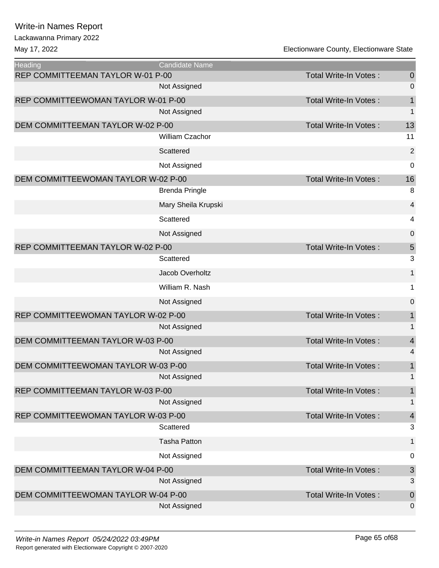Lackawanna Primary 2022

| <b>Heading</b>                      | <b>Candidate Name</b> |                              |                          |
|-------------------------------------|-----------------------|------------------------------|--------------------------|
| REP COMMITTEEMAN TAYLOR W-01 P-00   |                       | <b>Total Write-In Votes:</b> | 0                        |
|                                     | Not Assigned          |                              | 0                        |
| REP COMMITTEEWOMAN TAYLOR W-01 P-00 |                       | Total Write-In Votes:        | 1                        |
|                                     | Not Assigned          |                              | 1                        |
| DEM COMMITTEEMAN TAYLOR W-02 P-00   |                       | Total Write-In Votes:        | 13                       |
|                                     | William Czachor       |                              | 11                       |
|                                     | Scattered             |                              | $\overline{a}$           |
|                                     | Not Assigned          |                              | 0                        |
| DEM COMMITTEEWOMAN TAYLOR W-02 P-00 |                       | Total Write-In Votes:        | 16                       |
|                                     | <b>Brenda Pringle</b> |                              | 8                        |
|                                     | Mary Sheila Krupski   |                              | 4                        |
|                                     | Scattered             |                              | 4                        |
|                                     | Not Assigned          |                              | 0                        |
| REP COMMITTEEMAN TAYLOR W-02 P-00   |                       | <b>Total Write-In Votes:</b> | 5                        |
|                                     | Scattered             |                              | 3                        |
|                                     | Jacob Overholtz       |                              | 1                        |
|                                     | William R. Nash       |                              | 1                        |
|                                     | Not Assigned          |                              | 0                        |
| REP COMMITTEEWOMAN TAYLOR W-02 P-00 |                       | Total Write-In Votes:        | 1                        |
|                                     | Not Assigned          |                              | 1                        |
| DEM COMMITTEEMAN TAYLOR W-03 P-00   |                       | Total Write-In Votes:        | $\overline{\mathcal{A}}$ |
|                                     | Not Assigned          |                              | 4                        |
| DEM COMMITTEEWOMAN TAYLOR W-03 P-00 |                       | Total Write-In Votes:        | 1                        |
|                                     | Not Assigned          |                              | $\mathbf 1$              |
| REP COMMITTEEMAN TAYLOR W-03 P-00   |                       | Total Write-In Votes:        | 1                        |
|                                     | Not Assigned          |                              | 1                        |
| REP COMMITTEEWOMAN TAYLOR W-03 P-00 |                       | <b>Total Write-In Votes:</b> | 4                        |
|                                     | Scattered             |                              | 3                        |
|                                     | <b>Tasha Patton</b>   |                              | 1                        |
|                                     | Not Assigned          |                              | 0                        |
| DEM COMMITTEEMAN TAYLOR W-04 P-00   |                       | <b>Total Write-In Votes:</b> | 3                        |
|                                     | Not Assigned          |                              | 3                        |
| DEM COMMITTEEWOMAN TAYLOR W-04 P-00 |                       | Total Write-In Votes:        | 0                        |
|                                     | Not Assigned          |                              | 0                        |
|                                     |                       |                              |                          |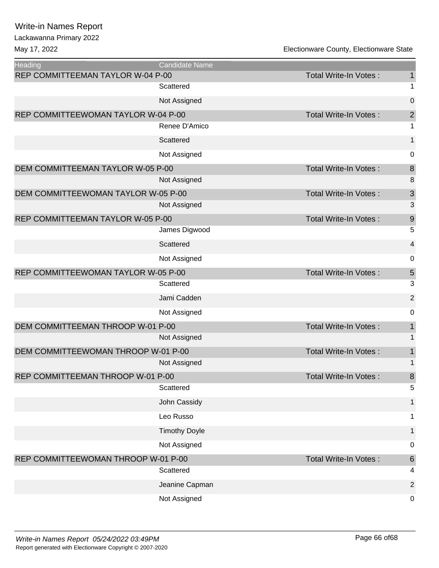Lackawanna Primary 2022

| Heading                             | <b>Candidate Name</b> |                              |                           |
|-------------------------------------|-----------------------|------------------------------|---------------------------|
| REP COMMITTEEMAN TAYLOR W-04 P-00   | Scattered             | <b>Total Write-In Votes:</b> | $\mathbf{1}$<br>1         |
|                                     |                       |                              |                           |
|                                     | Not Assigned          |                              | $\boldsymbol{0}$          |
| REP COMMITTEEWOMAN TAYLOR W-04 P-00 |                       | Total Write-In Votes:        | $\overline{c}$            |
|                                     | Renee D'Amico         |                              | 1                         |
|                                     | Scattered             |                              | 1                         |
|                                     | Not Assigned          |                              | 0                         |
| DEM COMMITTEEMAN TAYLOR W-05 P-00   |                       | <b>Total Write-In Votes:</b> | $\,8\,$                   |
|                                     | Not Assigned          |                              | 8                         |
| DEM COMMITTEEWOMAN TAYLOR W-05 P-00 |                       | Total Write-In Votes:        | $\ensuremath{\mathsf{3}}$ |
|                                     | Not Assigned          |                              | 3                         |
| REP COMMITTEEMAN TAYLOR W-05 P-00   |                       | <b>Total Write-In Votes:</b> | 9                         |
|                                     | James Digwood         |                              | 5                         |
|                                     | Scattered             |                              | $\overline{\mathbf{4}}$   |
|                                     | Not Assigned          |                              | $\mathbf 0$               |
| REP COMMITTEEWOMAN TAYLOR W-05 P-00 |                       | <b>Total Write-In Votes:</b> | 5                         |
|                                     | Scattered             |                              | 3                         |
|                                     | Jami Cadden           |                              | $\overline{2}$            |
|                                     | Not Assigned          |                              | 0                         |
| DEM COMMITTEEMAN THROOP W-01 P-00   |                       | <b>Total Write-In Votes:</b> | $\mathbf{1}$              |
|                                     | Not Assigned          |                              | 1                         |
| DEM COMMITTEEWOMAN THROOP W-01 P-00 |                       | <b>Total Write-In Votes:</b> | $\mathbf{1}$              |
|                                     | Not Assigned          |                              | $\mathbf 1$               |
| REP COMMITTEEMAN THROOP W-01 P-00   |                       | Total Write-In Votes:        | 8                         |
|                                     | Scattered             |                              | 5                         |
|                                     | John Cassidy          |                              | 1                         |
|                                     | Leo Russo             |                              | $\mathbf 1$               |
|                                     | <b>Timothy Doyle</b>  |                              | $\mathbf{1}$              |
|                                     | Not Assigned          |                              | $\mathbf 0$               |
| REP COMMITTEEWOMAN THROOP W-01 P-00 |                       | <b>Total Write-In Votes:</b> | $\,6\,$                   |
|                                     | Scattered             |                              | 4                         |
|                                     | Jeanine Capman        |                              | $\overline{2}$            |
|                                     | Not Assigned          |                              | $\mathbf 0$               |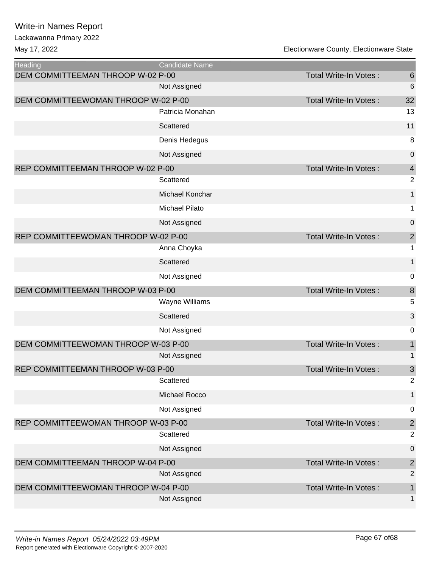May 17, 2022

| Electionware County, Electionware State |  |
|-----------------------------------------|--|
|-----------------------------------------|--|

| Heading                             | Candidate Name        |                              |                         |
|-------------------------------------|-----------------------|------------------------------|-------------------------|
| DEM COMMITTEEMAN THROOP W-02 P-00   |                       | Total Write-In Votes:        | $6\phantom{1}6$         |
|                                     | Not Assigned          |                              | $6\phantom{1}6$         |
| DEM COMMITTEEWOMAN THROOP W-02 P-00 |                       | <b>Total Write-In Votes:</b> | 32                      |
|                                     | Patricia Monahan      |                              | 13                      |
|                                     | Scattered             |                              | 11                      |
|                                     | Denis Hedegus         |                              | 8                       |
|                                     | Not Assigned          |                              | 0                       |
| REP COMMITTEEMAN THROOP W-02 P-00   |                       | Total Write-In Votes:        | $\overline{4}$          |
|                                     | Scattered             |                              | $\overline{2}$          |
|                                     | Michael Konchar       |                              | $\mathbf{1}$            |
|                                     | Michael Pilato        |                              | 1                       |
|                                     | Not Assigned          |                              | 0                       |
| REP COMMITTEEWOMAN THROOP W-02 P-00 |                       | Total Write-In Votes:        | $\overline{\mathbf{c}}$ |
|                                     | Anna Choyka           |                              | 1                       |
|                                     | Scattered             |                              | 1                       |
|                                     | Not Assigned          |                              | 0                       |
| DEM COMMITTEEMAN THROOP W-03 P-00   |                       | Total Write-In Votes:        | $\, 8$                  |
|                                     | <b>Wayne Williams</b> |                              |                         |
|                                     |                       |                              | 5                       |
|                                     | Scattered             |                              | 3                       |
|                                     | Not Assigned          |                              | 0                       |
| DEM COMMITTEEWOMAN THROOP W-03 P-00 |                       | <b>Total Write-In Votes:</b> | 1                       |
|                                     | Not Assigned          |                              | 1                       |
| REP COMMITTEEMAN THROOP W-03 P-00   |                       | Total Write-In Votes:        | $\mathfrak{S}$          |
|                                     | Scattered             |                              | 2                       |
|                                     | Michael Rocco         |                              | 1                       |
|                                     | Not Assigned          |                              | $\pmb{0}$               |
| REP COMMITTEEWOMAN THROOP W-03 P-00 |                       | Total Write-In Votes:        | $\mathbf{2}$            |
|                                     | Scattered             |                              | $\overline{2}$          |
|                                     | Not Assigned          |                              | $\pmb{0}$               |
| DEM COMMITTEEMAN THROOP W-04 P-00   |                       | Total Write-In Votes:        | $\overline{c}$          |
|                                     | Not Assigned          |                              | $\overline{2}$          |
| DEM COMMITTEEWOMAN THROOP W-04 P-00 | Not Assigned          | Total Write-In Votes:        | $\mathbf 1$             |